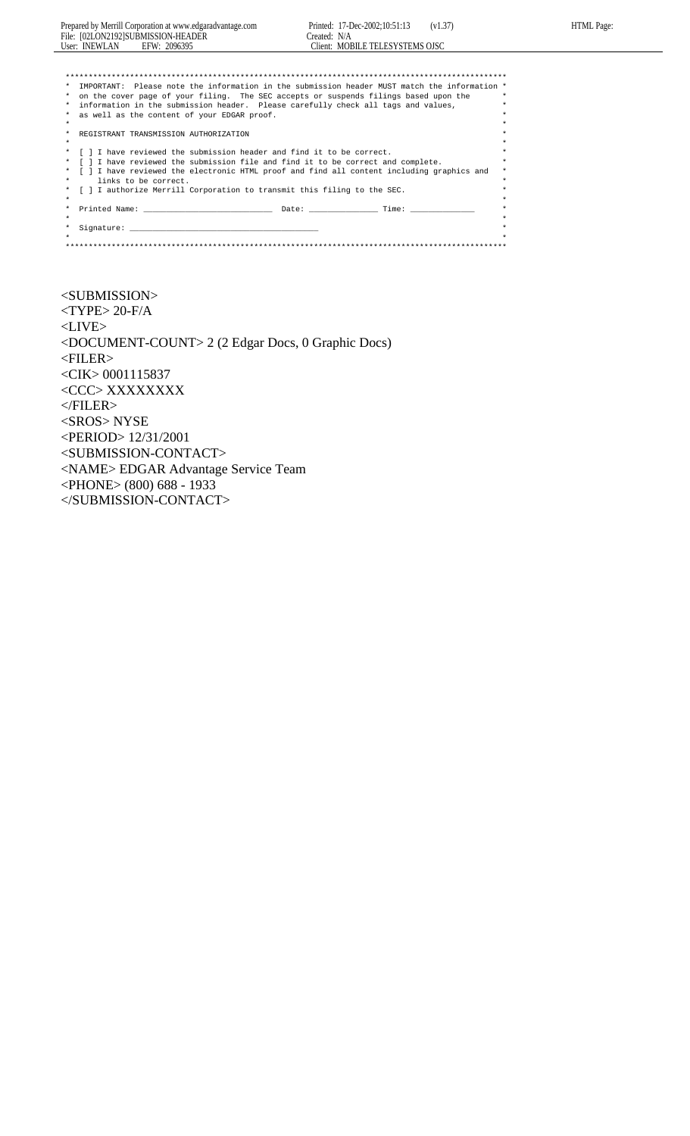| Prepared by Merrill Corporation at www.edgaradvantage.com                                                                                                                                                                                 | Printed: 17-Dec-2002;10:51:13 (v1.37)           |         |
|-------------------------------------------------------------------------------------------------------------------------------------------------------------------------------------------------------------------------------------------|-------------------------------------------------|---------|
| File: [02LON2192]SUBMISSION-HEADER<br>User: INEWLAN EFW: 2096395                                                                                                                                                                          | Created: N/A<br>Client: MOBILE TELESYSTEMS OISC |         |
|                                                                                                                                                                                                                                           |                                                 |         |
|                                                                                                                                                                                                                                           |                                                 |         |
| * IMPORTANT: Please note the information in the submission header MUST match the information *<br>$\ast$                                                                                                                                  |                                                 |         |
| on the cover page of your filing. The SEC accepts or suspends filings based upon the<br>*                                                                                                                                                 |                                                 | $\star$ |
| information in the submission header. Please carefully check all tags and values,<br>*                                                                                                                                                    |                                                 | ÷       |
| as well as the content of your EDGAR proof.<br>*                                                                                                                                                                                          |                                                 | $\star$ |
| $\star$                                                                                                                                                                                                                                   |                                                 | $\star$ |
| *<br>REGISTRANT TRANSMISSION AUTHORIZATION                                                                                                                                                                                                |                                                 | $\star$ |
| $\star$                                                                                                                                                                                                                                   |                                                 | $\star$ |
| [ ] I have reviewed the submission header and find it to be correct.<br>*                                                                                                                                                                 |                                                 | $\star$ |
| [ ] I have reviewed the submission file and find it to be correct and complete.<br>$\ast$                                                                                                                                                 |                                                 | ÷       |
| [ ] I have reviewed the electronic HTML proof and find all content including graphics and<br>$\star$                                                                                                                                      |                                                 | $\star$ |
| links to be correct.<br>$\ast$                                                                                                                                                                                                            |                                                 |         |
| [ ] I authorize Merrill Corporation to transmit this filing to the SEC.<br>*                                                                                                                                                              |                                                 | ÷       |
| $\star$                                                                                                                                                                                                                                   |                                                 |         |
| *                                                                                                                                                                                                                                         |                                                 | $\star$ |
| $\star$                                                                                                                                                                                                                                   |                                                 |         |
| $\star$<br>Signature: the contract of the contract of the contract of the contract of the contract of the contract of the contract of the contract of the contract of the contract of the contract of the contract of the contract of the |                                                 |         |
| $\star$                                                                                                                                                                                                                                   |                                                 |         |

HTML Page:

 $<$ SUBMISSION>  $<$  TYPE  $>$  20-F/A  $\,$  $<$  LIVE $>$ <DOCUMENT-COUNT> 2 (2 Edgar Docs, 0 Graphic Docs) <FILER> <CIK> 0001115837  $<\!\!CC\!\!C\!\!>XXXXXXXX$  $<$   $\!\!$   $\!\!$   $\!\!$  FILER>  $\!\!$ <SROS> NYSE <PERIOD> 12/31/2001 <SUBMISSION-CONTACT> <NAME> EDGAR Advantage Service Team <PHONE> (800) 688 - 1933  $<$ /SUBMISSION-CONTACT>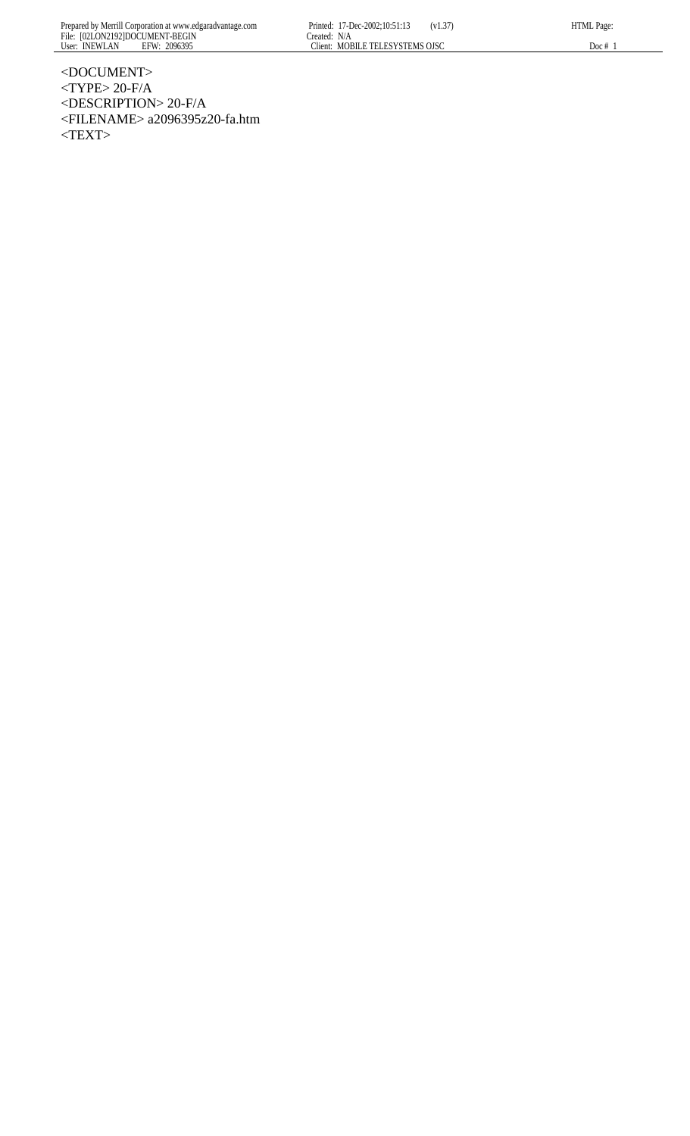HTML Page:

<DOCUMENT>  $<$ TYPE> 20-F/A <DESCRIPTION> 20-F/A <FILENAME> a2096395z20-fa.htm  $<$ TEXT>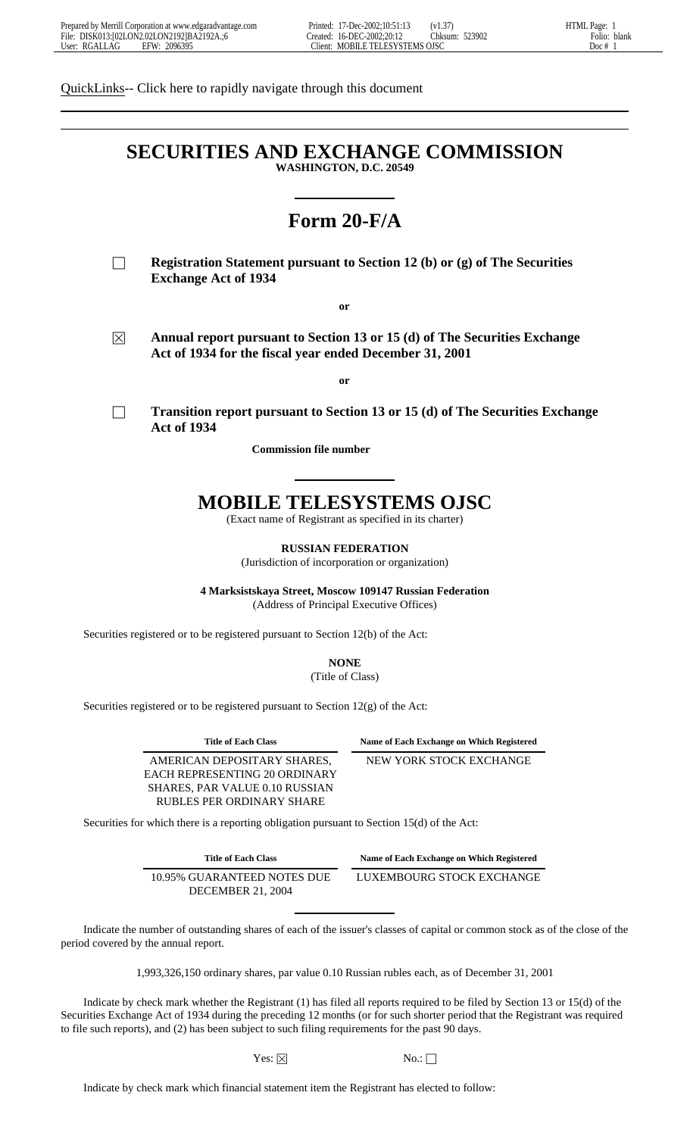QuickLinks-- Click here to rapidly navigate through this document

# **SECURITIES AND EXCHANGE COMMISSION WASHINGTON, D.C. 20549**

# **Form 20-F/A**

**Registration Statement pursuant to Section 12 (b) or (g) of The Securities Exchange Act of 1934**

**or**

 $\boxtimes$  **Annual report pursuant to Section 13 or 15 (d) of The Securities Exchange Act of 1934 for the fiscal year ended December 31, 2001**

**or**

! **Transition report pursuant to Section 13 or 15 (d) of The Securities Exchange Act of 1934**

**Commission file number** 

# **MOBILE TELESYSTEMS OJSC**

(Exact name of Registrant as specified in its charter)

**RUSSIAN FEDERATION**

(Jurisdiction of incorporation or organization)

**4 Marksistskaya Street, Moscow 109147 Russian Federation** (Address of Principal Executive Offices)

Securities registered or to be registered pursuant to Section 12(b) of the Act:

**NONE** (Title of Class)

Securities registered or to be registered pursuant to Section 12(g) of the Act:

AMERICAN DEPOSITARY SHARES, EACH REPRESENTING 20 ORDINARY SHARES, PAR VALUE 0.10 RUSSIAN RUBLES PER ORDINARY SHARE

**Title of Each Class Name of Each Exchange on Which Registered**

NEW YORK STOCK EXCHANGE

Securities for which there is a reporting obligation pursuant to Section 15(d) of the Act:

**Title of Each Class Name of Each Exchange on Which Registered**

10.95% GUARANTEED NOTES DUE DECEMBER 21, 2004

LUXEMBOURG STOCK EXCHANGE

 Indicate the number of outstanding shares of each of the issuer's classes of capital or common stock as of the close of the period covered by the annual report.

1,993,326,150 ordinary shares, par value 0.10 Russian rubles each, as of December 31, 2001

 Indicate by check mark whether the Registrant (1) has filed all reports required to be filed by Section 13 or 15(d) of the Securities Exchange Act of 1934 during the preceding 12 months (or for such shorter period that the Registrant was required to file such reports), and (2) has been subject to such filing requirements for the past 90 days.

Yes:  $\boxtimes$  No.:  $\Box$ 

Indicate by check mark which financial statement item the Registrant has elected to follow: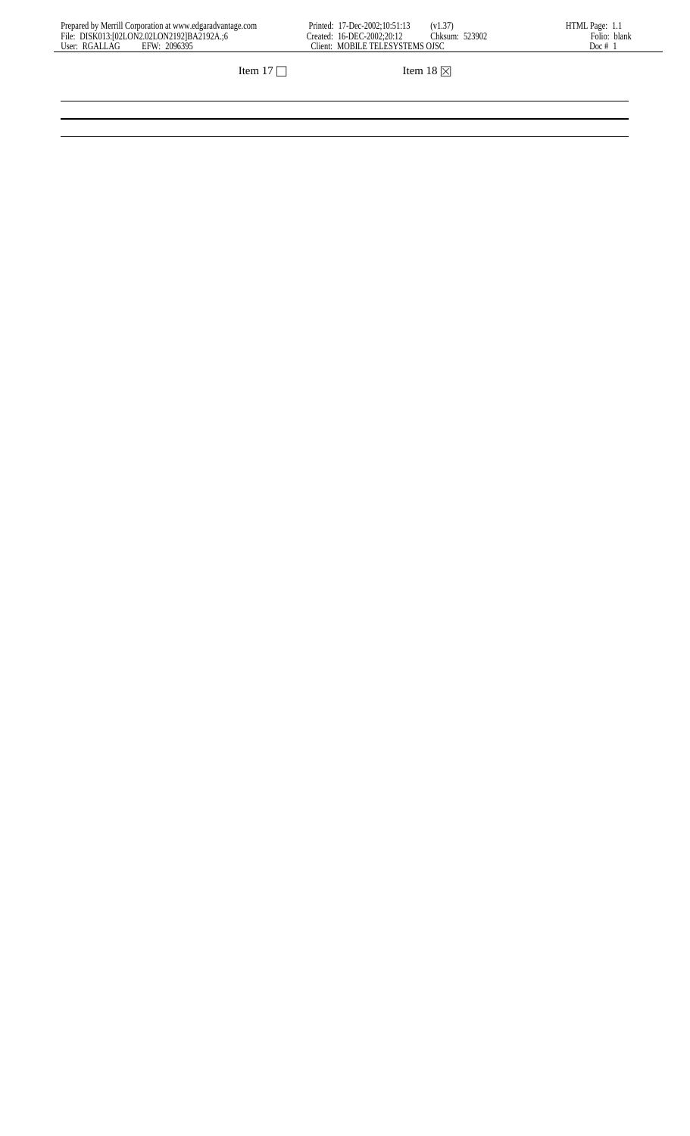| Prepared by Merrill Corporation at www.edgaradvantage.com | 7-Dec-2002:10:51:13<br>(v1.37)<br>Printed:      | HTML Page:      |
|-----------------------------------------------------------|-------------------------------------------------|-----------------|
| File: DISK013:102LON2.02LON21921BA2192A.:6                | Thksum:<br>523902<br>Created: 16-DEC-2002:20:12 | blank<br>Folio: |
| 2096395<br>User: RGALLAG<br>EFW:                          | MOBILE TELESYSTEMS OJSC<br>Client:              | Doc#            |
|                                                           |                                                 |                 |

Item 17  $\Box$  Item 18  $\boxtimes$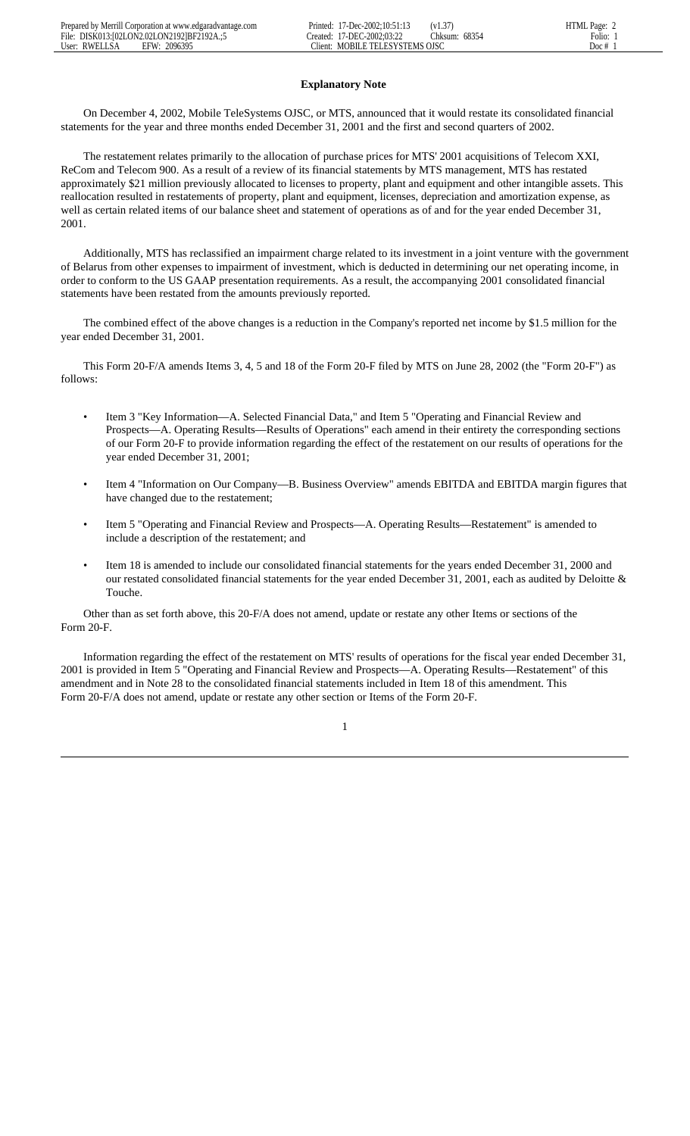# **Explanatory Note**

 On December 4, 2002, Mobile TeleSystems OJSC, or MTS, announced that it would restate its consolidated financial statements for the year and three months ended December 31, 2001 and the first and second quarters of 2002.

 The restatement relates primarily to the allocation of purchase prices for MTS' 2001 acquisitions of Telecom XXI, ReCom and Telecom 900. As a result of a review of its financial statements by MTS management, MTS has restated approximately \$21 million previously allocated to licenses to property, plant and equipment and other intangible assets. This reallocation resulted in restatements of property, plant and equipment, licenses, depreciation and amortization expense, as well as certain related items of our balance sheet and statement of operations as of and for the year ended December 31, 2001.

 Additionally, MTS has reclassified an impairment charge related to its investment in a joint venture with the government of Belarus from other expenses to impairment of investment, which is deducted in determining our net operating income, in order to conform to the US GAAP presentation requirements. As a result, the accompanying 2001 consolidated financial statements have been restated from the amounts previously reported.

 The combined effect of the above changes is a reduction in the Company's reported net income by \$1.5 million for the year ended December 31, 2001.

 This Form 20-F/A amends Items 3, 4, 5 and 18 of the Form 20-F filed by MTS on June 28, 2002 (the "Form 20-F") as follows:

- Item 3 "Key Information—A. Selected Financial Data," and Item 5 "Operating and Financial Review and Prospects—A. Operating Results—Results of Operations" each amend in their entirety the corresponding sections of our Form 20-F to provide information regarding the effect of the restatement on our results of operations for the year ended December 31, 2001;
- Item 4 "Information on Our Company—B. Business Overview" amends EBITDA and EBITDA margin figures that have changed due to the restatement;
- Item 5 "Operating and Financial Review and Prospects—A. Operating Results—Restatement" is amended to include a description of the restatement; and
- Item 18 is amended to include our consolidated financial statements for the years ended December 31, 2000 and our restated consolidated financial statements for the year ended December 31, 2001, each as audited by Deloitte & Touche.

 Other than as set forth above, this 20-F/A does not amend, update or restate any other Items or sections of the Form 20-F.

 Information regarding the effect of the restatement on MTS' results of operations for the fiscal year ended December 31, 2001 is provided in Item 5 "Operating and Financial Review and Prospects—A. Operating Results—Restatement" of this amendment and in Note 28 to the consolidated financial statements included in Item 18 of this amendment. This Form 20-F/A does not amend, update or restate any other section or Items of the Form 20-F.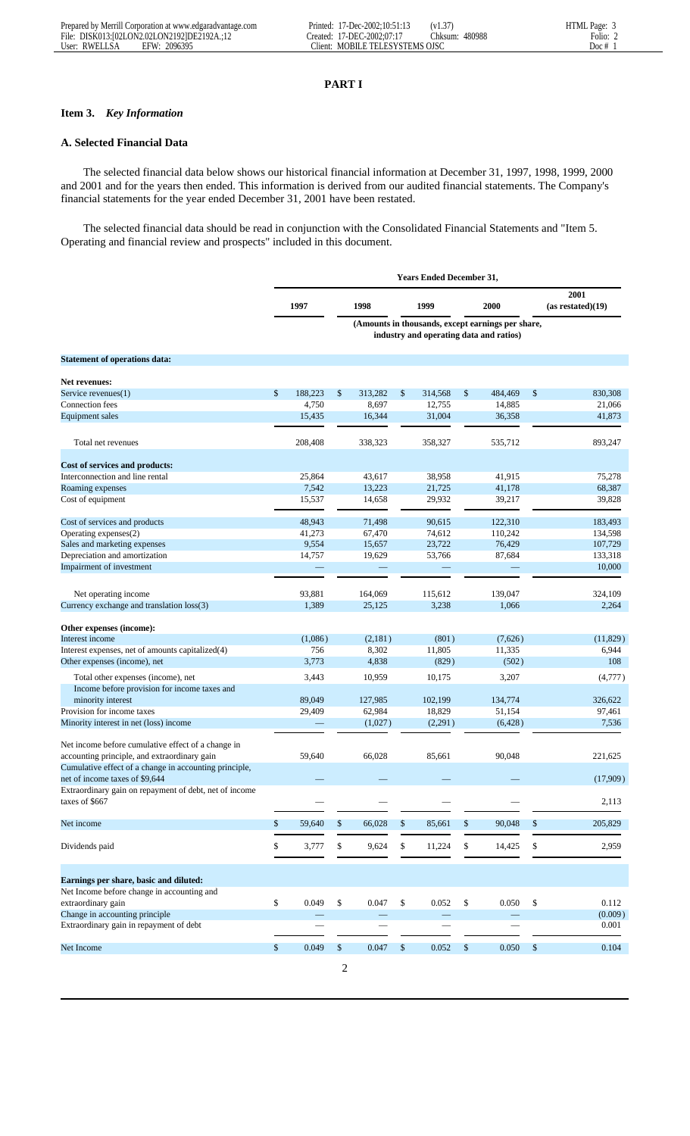# **PART I**

# **Item 3.** *Key Information*

# **A. Selected Financial Data**

 The selected financial data below shows our historical financial information at December 31, 1997, 1998, 1999, 2000 and 2001 and for the years then ended. This information is derived from our audited financial statements. The Company's financial statements for the year ended December 31, 2001 have been restated.

 The selected financial data should be read in conjunction with the Consolidated Financial Statements and "Item 5. Operating and financial review and prospects" included in this document.

|                                                                          | <b>Years Ended December 31,</b> |         |                |         |    |                                         |    |                                                   |                           |
|--------------------------------------------------------------------------|---------------------------------|---------|----------------|---------|----|-----------------------------------------|----|---------------------------------------------------|---------------------------|
|                                                                          |                                 | 1997    |                | 1998    |    | 1999                                    |    | 2000                                              | 2001<br>(as restated)(19) |
|                                                                          |                                 |         |                |         |    | industry and operating data and ratios) |    | (Amounts in thousands, except earnings per share, |                           |
| <b>Statement of operations data:</b>                                     |                                 |         |                |         |    |                                         |    |                                                   |                           |
| Net revenues:                                                            |                                 |         |                |         |    |                                         |    |                                                   |                           |
| Service revenues(1)                                                      | \$                              | 188,223 | \$             | 313,282 | \$ | 314,568                                 | \$ | 484,469                                           | \$<br>830,308             |
| Connection fees                                                          |                                 | 4,750   |                | 8,697   |    | 12,755                                  |    | 14,885                                            | 21,066                    |
| Equipment sales                                                          |                                 | 15,435  |                | 16,344  |    | 31,004                                  |    | 36,358                                            | 41,873                    |
|                                                                          |                                 |         |                |         |    |                                         |    |                                                   |                           |
| Total net revenues                                                       |                                 | 208,408 |                | 338,323 |    | 358,327                                 |    | 535,712                                           | 893,247                   |
| Cost of services and products:                                           |                                 |         |                |         |    |                                         |    |                                                   |                           |
| Interconnection and line rental                                          |                                 | 25,864  |                | 43,617  |    | 38,958                                  |    | 41,915                                            | 75,278                    |
| Roaming expenses                                                         |                                 | 7,542   |                | 13,223  |    | 21,725                                  |    | 41,178                                            | 68,387                    |
| Cost of equipment                                                        |                                 | 15,537  |                | 14,658  |    | 29,932                                  |    | 39,217                                            | 39,828                    |
| Cost of services and products                                            |                                 | 48,943  |                | 71,498  |    | 90.615                                  |    | 122,310                                           | 183,493                   |
| Operating expenses(2)                                                    |                                 | 41,273  |                | 67,470  |    | 74,612                                  |    | 110,242                                           | 134,598                   |
| Sales and marketing expenses                                             |                                 | 9,554   |                | 15,657  |    | 23,722                                  |    | 76,429                                            | 107,729                   |
| Depreciation and amortization                                            |                                 | 14,757  |                | 19,629  |    | 53,766                                  |    | 87,684                                            | 133,318                   |
| Impairment of investment                                                 |                                 |         |                |         |    |                                         |    |                                                   | 10,000                    |
|                                                                          |                                 |         |                |         |    |                                         |    |                                                   |                           |
| Net operating income                                                     |                                 | 93,881  |                | 164,069 |    | 115,612                                 |    | 139,047                                           | 324,109                   |
| Currency exchange and translation loss(3)                                |                                 | 1,389   |                | 25,125  |    | 3,238                                   |    | 1,066                                             | 2,264                     |
|                                                                          |                                 |         |                |         |    |                                         |    |                                                   |                           |
| Other expenses (income):<br>Interest income                              |                                 | (1,086) |                | (2,181) |    | (801)                                   |    | (7,626)                                           | (11, 829)                 |
| Interest expenses, net of amounts capitalized(4)                         |                                 | 756     |                | 8,302   |    | 11,805                                  |    | 11,335                                            | 6,944                     |
| Other expenses (income), net                                             |                                 | 3,773   |                | 4,838   |    | (829)                                   |    | (502)                                             | 108                       |
|                                                                          |                                 |         |                |         |    |                                         |    |                                                   |                           |
| Total other expenses (income), net                                       |                                 | 3,443   |                | 10,959  |    | 10,175                                  |    | 3,207                                             | (4,777)                   |
| Income before provision for income taxes and                             |                                 |         |                |         |    |                                         |    |                                                   |                           |
| minority interest                                                        |                                 | 89,049  |                | 127,985 |    | 102,199                                 |    | 134,774                                           | 326,622                   |
| Provision for income taxes                                               |                                 | 29,409  |                | 62,984  |    | 18,829                                  |    | 51,154                                            | 97,461                    |
| Minority interest in net (loss) income                                   |                                 |         |                | (1,027) |    | (2,291)                                 |    | (6, 428)                                          | 7,536                     |
| Net income before cumulative effect of a change in                       |                                 |         |                |         |    |                                         |    |                                                   |                           |
| accounting principle, and extraordinary gain                             |                                 | 59,640  |                | 66,028  |    | 85,661                                  |    | 90,048                                            | 221,625                   |
| Cumulative effect of a change in accounting principle,                   |                                 |         |                |         |    |                                         |    |                                                   |                           |
| net of income taxes of \$9,644                                           |                                 |         |                |         |    |                                         |    |                                                   | (17,909)                  |
| Extraordinary gain on repayment of debt, net of income<br>taxes of \$667 |                                 |         |                |         |    |                                         |    |                                                   | 2,113                     |
|                                                                          |                                 |         |                |         |    |                                         |    |                                                   |                           |
| Net income                                                               | \$                              | 59,640  | \$             | 66,028  | \$ | 85,661                                  | \$ | 90,048                                            | \$<br>205,829             |
| Dividends paid                                                           | \$                              | 3,777   | \$             | 9,624   | \$ | 11,224                                  | \$ | 14,425                                            | \$<br>2,959               |
|                                                                          |                                 |         |                |         |    |                                         |    |                                                   |                           |
| Earnings per share, basic and diluted:                                   |                                 |         |                |         |    |                                         |    |                                                   |                           |
| Net Income before change in accounting and                               |                                 |         |                |         |    |                                         |    |                                                   |                           |
| extraordinary gain                                                       | \$                              | 0.049   | \$             | 0.047   | \$ | 0.052                                   | \$ | 0.050                                             | \$<br>0.112               |
| Change in accounting principle                                           |                                 |         |                |         |    |                                         |    |                                                   | (0.009)                   |
| Extraordinary gain in repayment of debt                                  |                                 |         |                |         |    |                                         |    |                                                   | 0.001                     |
| Net Income                                                               | $\mathsf{\$}$                   | 0.049   | \$             | 0.047   | \$ | 0.052                                   | \$ | 0.050                                             | \$<br>0.104               |
|                                                                          |                                 |         | $\overline{c}$ |         |    |                                         |    |                                                   |                           |
|                                                                          |                                 |         |                |         |    |                                         |    |                                                   |                           |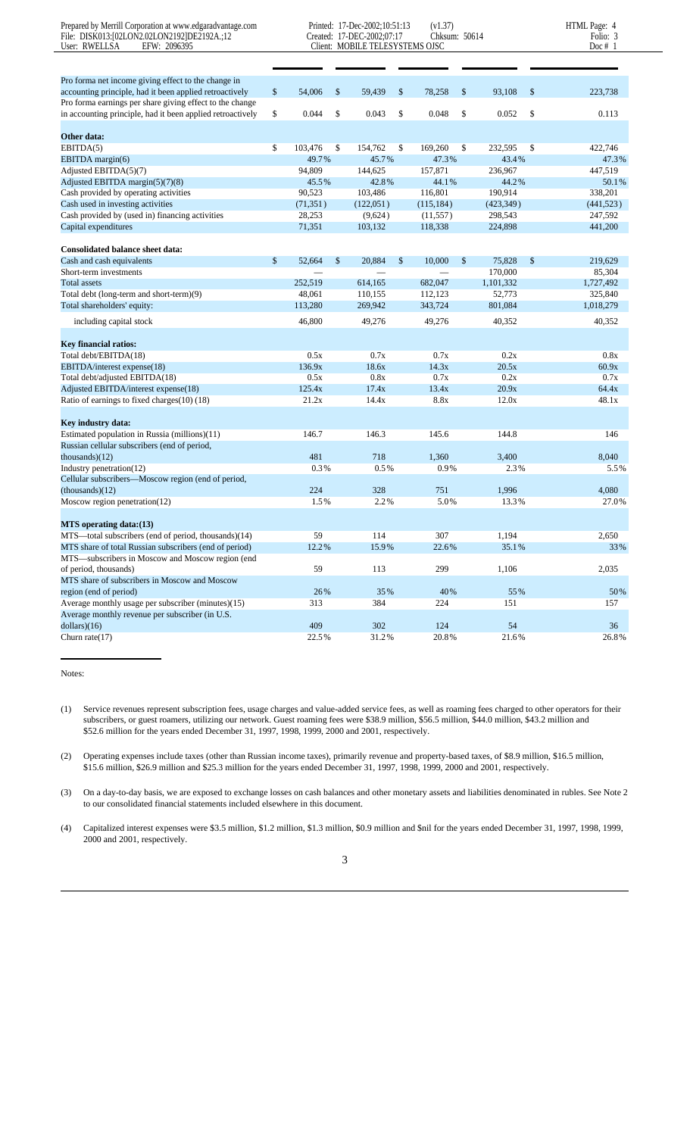| Prepared by Merrill Corporation at www.edgaradvantage.com<br>File: DISK013:[02LON2.02LON2192]DE2192A.;12<br>User: RWELLSA<br>EFW: 2096395 |               | Printed: 17-Dec-2002;10:51:13<br>Created: 17-DEC-2002;07:17<br>Client: MOBILE TELESYSTEMS OJSC | (v1.37)<br>Chksum: 50614 |               |               | HTML Page: 4<br>Folio: 3<br>Doc $# 1$ |
|-------------------------------------------------------------------------------------------------------------------------------------------|---------------|------------------------------------------------------------------------------------------------|--------------------------|---------------|---------------|---------------------------------------|
|                                                                                                                                           |               |                                                                                                |                          |               |               |                                       |
|                                                                                                                                           |               |                                                                                                |                          |               |               |                                       |
| Pro forma net income giving effect to the change in                                                                                       |               |                                                                                                |                          |               |               |                                       |
| accounting principle, had it been applied retroactively                                                                                   | \$<br>54,006  | \$<br>59,439                                                                                   | \$<br>78,258             | \$<br>93,108  | \$            | 223,738                               |
| Pro forma earnings per share giving effect to the change                                                                                  | \$<br>0.044   | \$<br>0.043                                                                                    | \$<br>0.048              | \$<br>0.052   | \$            | 0.113                                 |
| in accounting principle, had it been applied retroactively                                                                                |               |                                                                                                |                          |               |               |                                       |
| Other data:                                                                                                                               |               |                                                                                                |                          |               |               |                                       |
| EBITDA(5)                                                                                                                                 | \$<br>103,476 | \$<br>154,762                                                                                  | \$<br>169,260            | \$<br>232,595 | \$            | 422,746                               |
| EBITDA margin(6)                                                                                                                          | 49.7%         | 45.7%                                                                                          | 47.3%                    | 43.4%         |               | 47.3%                                 |
| Adjusted EBITDA $(5)(7)$                                                                                                                  | 94,809        | 144,625                                                                                        | 157,871                  | 236,967       |               | 447,519                               |
| Adjusted EBITDA margin(5)(7)(8)                                                                                                           | 45.5%         | 42.8%                                                                                          | 44.1%                    | 44.2%         |               | 50.1%                                 |
| Cash provided by operating activities                                                                                                     | 90,523        | 103,486                                                                                        | 116,801                  | 190,914       |               | 338,201                               |
| Cash used in investing activities                                                                                                         | (71, 351)     | (122, 051)                                                                                     | (115, 184)               | (423, 349)    |               | (441, 523)                            |
| Cash provided by (used in) financing activities                                                                                           | 28,253        | (9,624)                                                                                        | (11, 557)                | 298,543       |               | 247,592                               |
| Capital expenditures                                                                                                                      | 71,351        | 103,132                                                                                        | 118,338                  | 224,898       |               | 441,200                               |
|                                                                                                                                           |               |                                                                                                |                          |               |               |                                       |
| <b>Consolidated balance sheet data:</b>                                                                                                   |               |                                                                                                |                          |               |               |                                       |
| Cash and cash equivalents                                                                                                                 | \$<br>52,664  | \$<br>20.884                                                                                   | \$<br>10,000             | \$<br>75.828  | $\mathcal{S}$ | 219,629                               |
| Short-term investments                                                                                                                    |               |                                                                                                |                          | 170,000       |               | 85,304                                |
| <b>Total assets</b>                                                                                                                       | 252,519       | 614,165                                                                                        | 682,047                  | 1,101,332     |               | 1,727,492                             |
| Total debt (long-term and short-term)(9)                                                                                                  | 48.061        | 110,155                                                                                        | 112,123                  | 52,773        |               | 325,840                               |
| Total shareholders' equity:                                                                                                               | 113,280       | 269,942                                                                                        | 343,724                  | 801,084       |               | 1,018,279                             |
| including capital stock                                                                                                                   | 46,800        | 49,276                                                                                         | 49,276                   | 40,352        |               | 40,352                                |
|                                                                                                                                           |               |                                                                                                |                          |               |               |                                       |
| <b>Key financial ratios:</b>                                                                                                              |               |                                                                                                |                          |               |               |                                       |
| Total debt/EBITDA(18)                                                                                                                     | 0.5x          | 0.7x                                                                                           | 0.7x                     | 0.2x          |               | 0.8x                                  |
| EBITDA/interest expense(18)                                                                                                               | 136.9x        | 18.6x                                                                                          | 14.3x                    | 20.5x         |               | 60.9x                                 |
| Total debt/adjusted EBITDA(18)                                                                                                            | 0.5x          | 0.8x                                                                                           | 0.7x                     | 0.2x          |               | 0.7x                                  |
| Adjusted EBITDA/interest expense(18)                                                                                                      | 125.4x        | 17.4x                                                                                          | 13.4x                    | 20.9x         |               | 64.4x                                 |
| Ratio of earnings to fixed charges(10) (18)                                                                                               | 21.2x         | 14.4x                                                                                          | 8.8x                     | 12.0x         |               | 48.1x                                 |
| Key industry data:                                                                                                                        |               |                                                                                                |                          |               |               |                                       |
| Estimated population in Russia (millions)(11)                                                                                             | 146.7         | 146.3                                                                                          | 145.6                    | 144.8         |               | 146                                   |
| Russian cellular subscribers (end of period,                                                                                              |               |                                                                                                |                          |               |               |                                       |
| thousands $(12)$                                                                                                                          | 481           | 718                                                                                            | 1,360                    | 3,400         |               | 8,040                                 |
| Industry penetration(12)                                                                                                                  | 0.3%          | 0.5%                                                                                           | 0.9%                     | 2.3%          |               | 5.5%                                  |
| Cellular subscribers-Moscow region (end of period,                                                                                        |               |                                                                                                |                          |               |               |                                       |
| $-thousands)(12)$                                                                                                                         | 224           | 328                                                                                            | 751                      | 1,996         |               | 4,080                                 |
| Moscow region penetration(12)                                                                                                             | 1.5%          | 2.2%                                                                                           | 5.0%                     | 13.3%         |               | 27.0%                                 |
|                                                                                                                                           |               |                                                                                                |                          |               |               |                                       |
| MTS operating data: (13)                                                                                                                  |               |                                                                                                |                          |               |               |                                       |
| MTS-total subscribers (end of period, thousands)(14)                                                                                      | 59            | 114                                                                                            | 307                      | 1,194         |               | 2,650                                 |
| MTS share of total Russian subscribers (end of period)                                                                                    | 12.2%         | 15.9%                                                                                          | 22.6%                    | 35.1%         |               | 33%                                   |
| MTS-subscribers in Moscow and Moscow region (end                                                                                          |               |                                                                                                |                          |               |               |                                       |
| of period, thousands)                                                                                                                     | 59            | 113                                                                                            | 299                      | 1,106         |               | 2,035                                 |
| MTS share of subscribers in Moscow and Moscow                                                                                             |               |                                                                                                |                          |               |               |                                       |
| region (end of period)                                                                                                                    | 26%           | 35%                                                                                            | 40%                      | 55%           |               | 50%                                   |
| Average monthly usage per subscriber (minutes)(15)                                                                                        | 313           | 384                                                                                            | 224                      | 151           |               | 157                                   |
| Average monthly revenue per subscriber (in U.S.                                                                                           |               |                                                                                                |                          |               |               |                                       |
| dollars)(16)                                                                                                                              | 409           | 302                                                                                            | 124                      | 54            |               | 36                                    |
| Churn rate $(17)$                                                                                                                         | 22.5%         | 31.2%                                                                                          | $20.8\,\%$               | 21.6%         |               | 26.8%                                 |

Notes:

(1) Service revenues represent subscription fees, usage charges and value-added service fees, as well as roaming fees charged to other operators for their subscribers, or guest roamers, utilizing our network. Guest roaming fees were \$38.9 million, \$56.5 million, \$44.0 million, \$43.2 million and \$52.6 million for the years ended December 31, 1997, 1998, 1999, 2000 and 2001, respectively.

(2) Operating expenses include taxes (other than Russian income taxes), primarily revenue and property-based taxes, of \$8.9 million, \$16.5 million, \$15.6 million, \$26.9 million and \$25.3 million for the years ended December 31, 1997, 1998, 1999, 2000 and 2001, respectively.

(3) On a day-to-day basis, we are exposed to exchange losses on cash balances and other monetary assets and liabilities denominated in rubles. See Note 2 to our consolidated financial statements included elsewhere in this document.

(4) Capitalized interest expenses were \$3.5 million, \$1.2 million, \$1.3 million, \$0.9 million and \$nil for the years ended December 31, 1997, 1998, 1999, 2000 and 2001, respectively.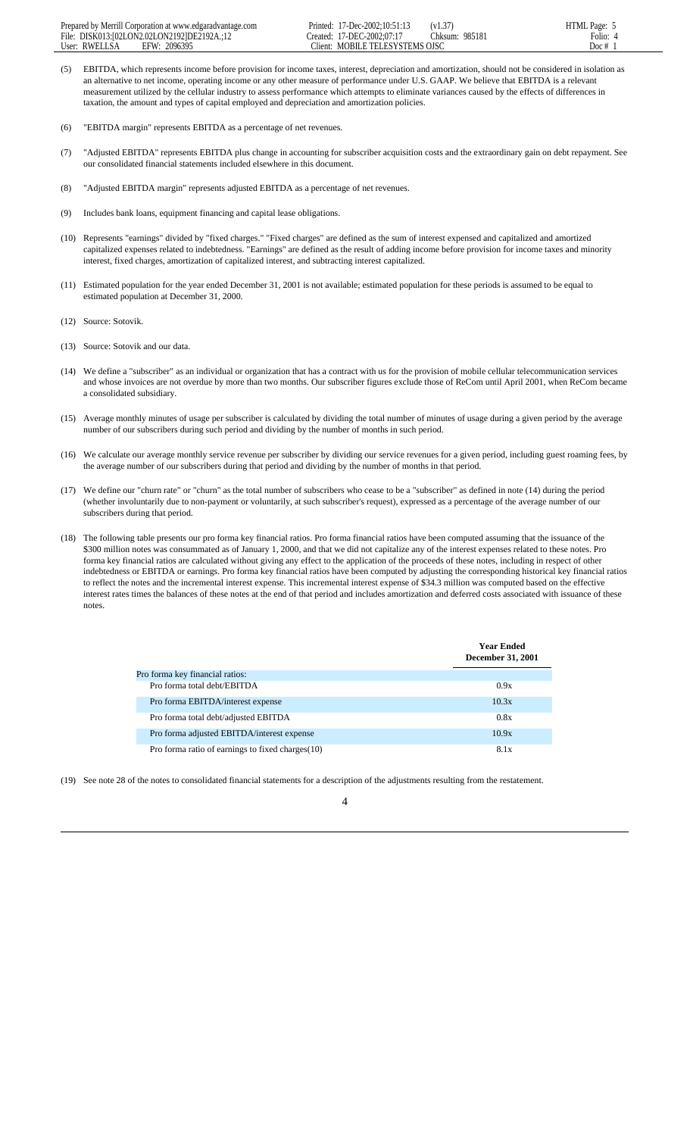- (5) EBITDA, which represents income before provision for income taxes, interest, depreciation and amortization, should not be considered in isolation as an alternative to net income, operating income or any other measure of performance under U.S. GAAP. We believe that EBITDA is a relevant measurement utilized by the cellular industry to assess performance which attempts to eliminate variances caused by the effects of differences in taxation, the amount and types of capital employed and depreciation and amortization policies.
- (6) "EBITDA margin" represents EBITDA as a percentage of net revenues.
- (7) "Adjusted EBITDA" represents EBITDA plus change in accounting for subscriber acquisition costs and the extraordinary gain on debt repayment. See our consolidated financial statements included elsewhere in this document.
- (8) "Adjusted EBITDA margin" represents adjusted EBITDA as a percentage of net revenues.
- (9) Includes bank loans, equipment financing and capital lease obligations.
- (10) Represents "earnings" divided by "fixed charges." "Fixed charges" are defined as the sum of interest expensed and capitalized and amortized capitalized expenses related to indebtedness. "Earnings" are defined as the result of adding income before provision for income taxes and minority interest, fixed charges, amortization of capitalized interest, and subtracting interest capitalized.
- (11) Estimated population for the year ended December 31, 2001 is not available; estimated population for these periods is assumed to be equal to estimated population at December 31, 2000.
- (12) Source: Sotovik.
- (13) Source: Sotovik and our data.
- (14) We define a "subscriber" as an individual or organization that has a contract with us for the provision of mobile cellular telecommunication services and whose invoices are not overdue by more than two months. Our subscriber figures exclude those of ReCom until April 2001, when ReCom became a consolidated subsidiary.
- (15) Average monthly minutes of usage per subscriber is calculated by dividing the total number of minutes of usage during a given period by the average number of our subscribers during such period and dividing by the number of months in such period.
- (16) We calculate our average monthly service revenue per subscriber by dividing our service revenues for a given period, including guest roaming fees, by the average number of our subscribers during that period and dividing by the number of months in that period.
- (17) We define our "churn rate" or "churn" as the total number of subscribers who cease to be a "subscriber" as defined in note (14) during the period (whether involuntarily due to non-payment or voluntarily, at such subscriber's request), expressed as a percentage of the average number of our subscribers during that period.
- (18) The following table presents our pro forma key financial ratios. Pro forma financial ratios have been computed assuming that the issuance of the \$300 million notes was consummated as of January 1, 2000, and that we did not capitalize any of the interest expenses related to these notes. Pro forma key financial ratios are calculated without giving any effect to the application of the proceeds of these notes, including in respect of other indebtedness or EBITDA or earnings. Pro forma key financial ratios have been computed by adjusting the corresponding historical key financial ratios to reflect the notes and the incremental interest expense. This incremental interest expense of \$34.3 million was computed based on the effective interest rates times the balances of these notes at the end of that period and includes amortization and deferred costs associated with issuance of these notes.

|                                                  | <b>Year Ended</b><br><b>December 31, 2001</b> |
|--------------------------------------------------|-----------------------------------------------|
| Pro forma key financial ratios:                  |                                               |
| Pro forma total debt/EBITDA                      | 0.9x                                          |
| Pro forma EBITDA/interest expense                | 10.3x                                         |
| Pro forma total debt/adjusted EBITDA             | 0.8x                                          |
| Pro forma adjusted EBITDA/interest expense       | 10.9x                                         |
| Pro forma ratio of earnings to fixed charges(10) | 8.1x                                          |

(19) See note 28 of the notes to consolidated financial statements for a description of the adjustments resulting from the restatement.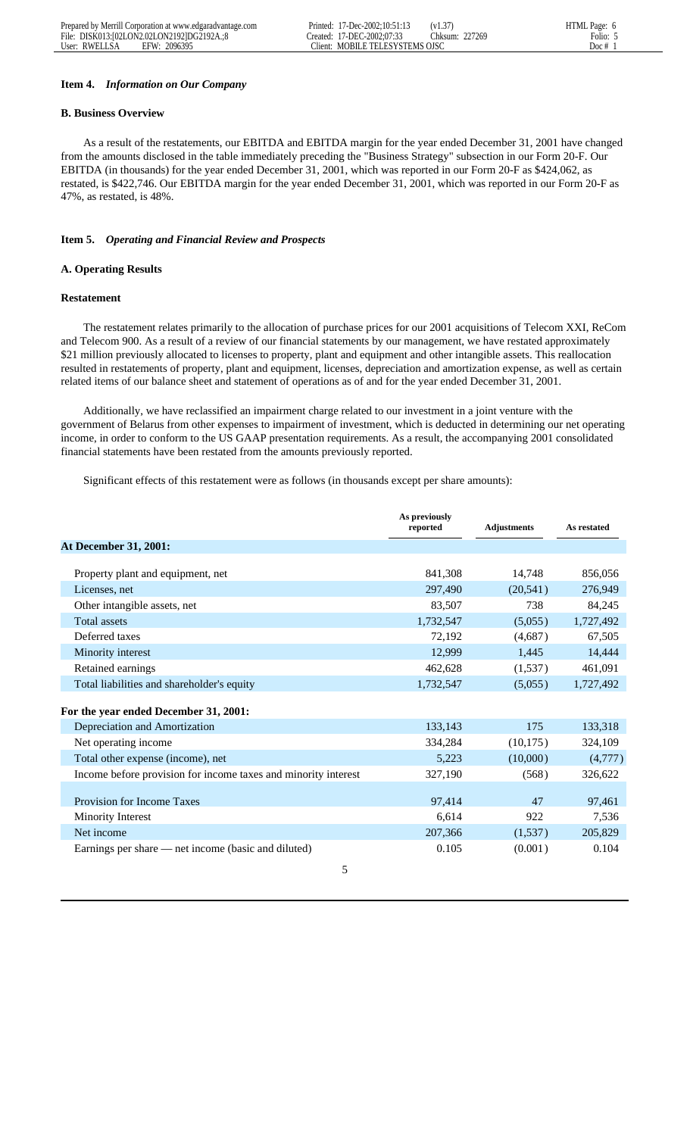# **Item 4.** *Information on Our Company*

# **B. Business Overview**

 As a result of the restatements, our EBITDA and EBITDA margin for the year ended December 31, 2001 have changed from the amounts disclosed in the table immediately preceding the "Business Strategy" subsection in our Form 20-F. Our EBITDA (in thousands) for the year ended December 31, 2001, which was reported in our Form 20-F as \$424,062, as restated, is \$422,746. Our EBITDA margin for the year ended December 31, 2001, which was reported in our Form 20-F as 47%, as restated, is 48%.

# **Item 5.** *Operating and Financial Review and Prospects*

# **A. Operating Results**

# **Restatement**

 The restatement relates primarily to the allocation of purchase prices for our 2001 acquisitions of Telecom XXI, ReCom and Telecom 900. As a result of a review of our financial statements by our management, we have restated approximately \$21 million previously allocated to licenses to property, plant and equipment and other intangible assets. This reallocation resulted in restatements of property, plant and equipment, licenses, depreciation and amortization expense, as well as certain related items of our balance sheet and statement of operations as of and for the year ended December 31, 2001.

 Additionally, we have reclassified an impairment charge related to our investment in a joint venture with the government of Belarus from other expenses to impairment of investment, which is deducted in determining our net operating income, in order to conform to the US GAAP presentation requirements. As a result, the accompanying 2001 consolidated financial statements have been restated from the amounts previously reported.

Significant effects of this restatement were as follows (in thousands except per share amounts):

|                                                                | As previously<br>reported | <b>Adjustments</b> | As restated |
|----------------------------------------------------------------|---------------------------|--------------------|-------------|
| <b>At December 31, 2001:</b>                                   |                           |                    |             |
|                                                                |                           |                    |             |
| Property plant and equipment, net                              | 841,308                   | 14,748             | 856,056     |
| Licenses, net                                                  | 297,490                   | (20, 541)          | 276,949     |
| Other intangible assets, net                                   | 83,507                    | 738                | 84,245      |
| <b>Total assets</b>                                            | 1,732,547                 | (5,055)            | 1,727,492   |
| Deferred taxes                                                 | 72,192                    | (4,687)            | 67,505      |
| Minority interest                                              | 12,999                    | 1,445              | 14,444      |
| Retained earnings                                              | 462,628                   | (1,537)            | 461,091     |
| Total liabilities and shareholder's equity                     | 1,732,547                 | (5,055)            | 1,727,492   |
|                                                                |                           |                    |             |
| For the year ended December 31, 2001:                          |                           |                    |             |
| Depreciation and Amortization                                  | 133,143                   | 175                | 133,318     |
| Net operating income                                           | 334,284                   | (10, 175)          | 324,109     |
| Total other expense (income), net                              | 5,223                     | (10,000)           | (4,777)     |
| Income before provision for income taxes and minority interest | 327,190                   | (568)              | 326,622     |
|                                                                |                           |                    |             |
| <b>Provision for Income Taxes</b>                              | 97,414                    | 47                 | 97,461      |
| Minority Interest                                              | 6,614                     | 922                | 7,536       |
| Net income                                                     | 207,366                   | (1,537)            | 205,829     |
| Earnings per share — net income (basic and diluted)            | 0.105                     | (0.001)            | 0.104       |
| 5                                                              |                           |                    |             |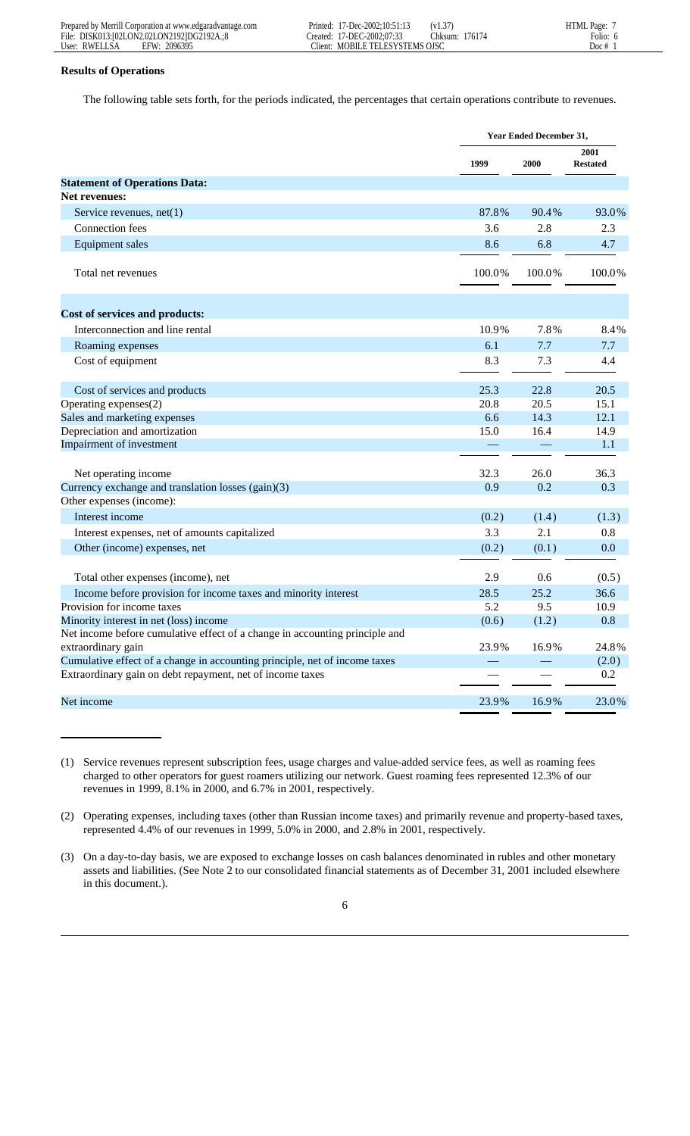| Prepared by Merrill Corporation at www.edgaradvantage.com | $17$ -Dec-2002:10:51:1.<br>.<br>Printed: | $\sim$<br>$\sqrt{1}$<br>. د.1 ۷ | <b>HTML</b> Page:        |
|-----------------------------------------------------------|------------------------------------------|---------------------------------|--------------------------|
| File:<br>DISK013:102LON2.02LON21921DG2192A.:8             | C-2002:07:33<br>7-DEC<br>reated:         | 7617<br>.:hksum                 | ÷.<br>$\cdots$<br>-olio: |
| User:<br>2096395<br>RWEL J<br>EFW                         | <b>MOBILE TELESYSTEMS</b><br>lient:      | OJS <sub>I</sub>                | $_{\text{DOC}}$          |

# **Results of Operations**

The following table sets forth, for the periods indicated, the percentages that certain operations contribute to revenues.

|                                                                             | <b>Year Ended December 31,</b> |        |                                |  |  |
|-----------------------------------------------------------------------------|--------------------------------|--------|--------------------------------|--|--|
|                                                                             | 1999                           | 2000   | <b>2001</b><br><b>Restated</b> |  |  |
| <b>Statement of Operations Data:</b>                                        |                                |        |                                |  |  |
| <b>Net revenues:</b>                                                        |                                |        |                                |  |  |
| Service revenues, $net(1)$                                                  | 87.8%                          | 90.4%  | 93.0%                          |  |  |
| Connection fees                                                             | 3.6                            | 2.8    | 2.3                            |  |  |
| Equipment sales                                                             | 8.6                            | 6.8    | 4.7                            |  |  |
| Total net revenues                                                          | 100.0%                         | 100.0% | 100.0%                         |  |  |
| Cost of services and products:                                              |                                |        |                                |  |  |
| Interconnection and line rental                                             | 10.9%                          | 7.8%   | 8.4%                           |  |  |
| Roaming expenses                                                            | 6.1                            | 7.7    | 7.7                            |  |  |
| Cost of equipment                                                           | 8.3                            | 7.3    | 4.4                            |  |  |
| Cost of services and products                                               | 25.3                           | 22.8   | 20.5                           |  |  |
| Operating expenses(2)                                                       | 20.8                           | 20.5   | 15.1                           |  |  |
| Sales and marketing expenses                                                | 6.6                            | 14.3   | 12.1                           |  |  |
| Depreciation and amortization                                               | 15.0                           | 16.4   | 14.9                           |  |  |
| Impairment of investment                                                    |                                |        | 1.1                            |  |  |
| Net operating income                                                        | 32.3                           | 26.0   | 36.3                           |  |  |
| Currency exchange and translation losses (gain)(3)                          | 0.9                            | 0.2    | 0.3                            |  |  |
| Other expenses (income):                                                    |                                |        |                                |  |  |
| Interest income                                                             | (0.2)                          | (1.4)  | (1.3)                          |  |  |
| Interest expenses, net of amounts capitalized                               | 3.3                            | 2.1    | 0.8                            |  |  |
| Other (income) expenses, net                                                | (0.2)                          | (0.1)  | 0.0                            |  |  |
| Total other expenses (income), net                                          | 2.9                            | 0.6    | (0.5)                          |  |  |
| Income before provision for income taxes and minority interest              | 28.5                           | 25.2   | 36.6                           |  |  |
| Provision for income taxes                                                  | 5.2                            | 9.5    | 10.9                           |  |  |
| Minority interest in net (loss) income                                      | (0.6)                          | (1.2)  | 0.8                            |  |  |
| Net income before cumulative effect of a change in accounting principle and |                                |        |                                |  |  |
| extraordinary gain                                                          | 23.9%                          | 16.9%  | 24.8%                          |  |  |
| Cumulative effect of a change in accounting principle, net of income taxes  |                                |        | (2.0)                          |  |  |
| Extraordinary gain on debt repayment, net of income taxes                   |                                |        | 0.2                            |  |  |
| Net income                                                                  | 23.9%                          | 16.9%  | 23.0%                          |  |  |

(1) Service revenues represent subscription fees, usage charges and value-added service fees, as well as roaming fees charged to other operators for guest roamers utilizing our network. Guest roaming fees represented 12.3% of our revenues in 1999, 8.1% in 2000, and 6.7% in 2001, respectively.

(2) Operating expenses, including taxes (other than Russian income taxes) and primarily revenue and property-based taxes, represented 4.4% of our revenues in 1999, 5.0% in 2000, and 2.8% in 2001, respectively.

(3) On a day-to-day basis, we are exposed to exchange losses on cash balances denominated in rubles and other monetary assets and liabilities. (See Note 2 to our consolidated financial statements as of December 31, 2001 included elsewhere in this document.).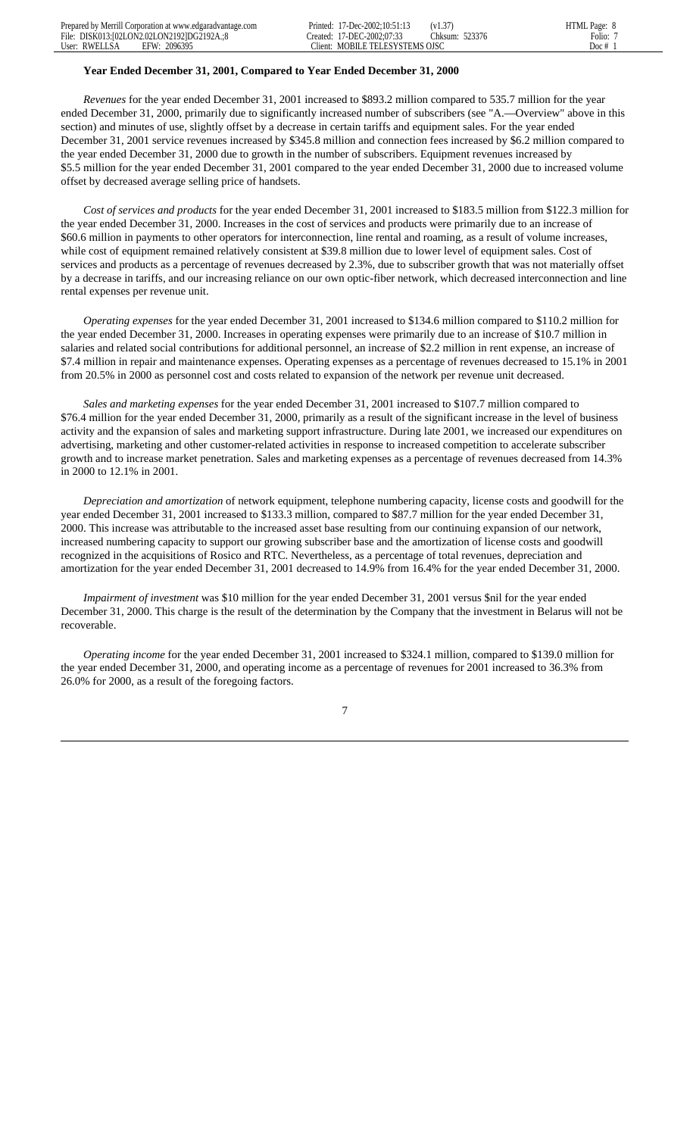## **Year Ended December 31, 2001, Compared to Year Ended December 31, 2000**

 *Revenues* for the year ended December 31, 2001 increased to \$893.2 million compared to 535.7 million for the year ended December 31, 2000, primarily due to significantly increased number of subscribers (see "A.—Overview" above in this section) and minutes of use, slightly offset by a decrease in certain tariffs and equipment sales. For the year ended December 31, 2001 service revenues increased by \$345.8 million and connection fees increased by \$6.2 million compared to the year ended December 31, 2000 due to growth in the number of subscribers. Equipment revenues increased by \$5.5 million for the year ended December 31, 2001 compared to the year ended December 31, 2000 due to increased volume offset by decreased average selling price of handsets.

 *Cost of services and products* for the year ended December 31, 2001 increased to \$183.5 million from \$122.3 million for the year ended December 31, 2000. Increases in the cost of services and products were primarily due to an increase of \$60.6 million in payments to other operators for interconnection, line rental and roaming, as a result of volume increases, while cost of equipment remained relatively consistent at \$39.8 million due to lower level of equipment sales. Cost of services and products as a percentage of revenues decreased by 2.3%, due to subscriber growth that was not materially offset by a decrease in tariffs, and our increasing reliance on our own optic-fiber network, which decreased interconnection and line rental expenses per revenue unit.

 *Operating expenses* for the year ended December 31, 2001 increased to \$134.6 million compared to \$110.2 million for the year ended December 31, 2000. Increases in operating expenses were primarily due to an increase of \$10.7 million in salaries and related social contributions for additional personnel, an increase of \$2.2 million in rent expense, an increase of \$7.4 million in repair and maintenance expenses. Operating expenses as a percentage of revenues decreased to 15.1% in 2001 from 20.5% in 2000 as personnel cost and costs related to expansion of the network per revenue unit decreased.

 *Sales and marketing expenses* for the year ended December 31, 2001 increased to \$107.7 million compared to \$76.4 million for the year ended December 31, 2000, primarily as a result of the significant increase in the level of business activity and the expansion of sales and marketing support infrastructure. During late 2001, we increased our expenditures on advertising, marketing and other customer-related activities in response to increased competition to accelerate subscriber growth and to increase market penetration. Sales and marketing expenses as a percentage of revenues decreased from 14.3% in 2000 to 12.1% in 2001.

 *Depreciation and amortization* of network equipment, telephone numbering capacity, license costs and goodwill for the year ended December 31, 2001 increased to \$133.3 million, compared to \$87.7 million for the year ended December 31, 2000. This increase was attributable to the increased asset base resulting from our continuing expansion of our network, increased numbering capacity to support our growing subscriber base and the amortization of license costs and goodwill recognized in the acquisitions of Rosico and RTC. Nevertheless, as a percentage of total revenues, depreciation and amortization for the year ended December 31, 2001 decreased to 14.9% from 16.4% for the year ended December 31, 2000.

 *Impairment of investment* was \$10 million for the year ended December 31, 2001 versus \$nil for the year ended December 31, 2000. This charge is the result of the determination by the Company that the investment in Belarus will not be recoverable.

 *Operating income* for the year ended December 31, 2001 increased to \$324.1 million, compared to \$139.0 million for the year ended December 31, 2000, and operating income as a percentage of revenues for 2001 increased to 36.3% from 26.0% for 2000, as a result of the foregoing factors.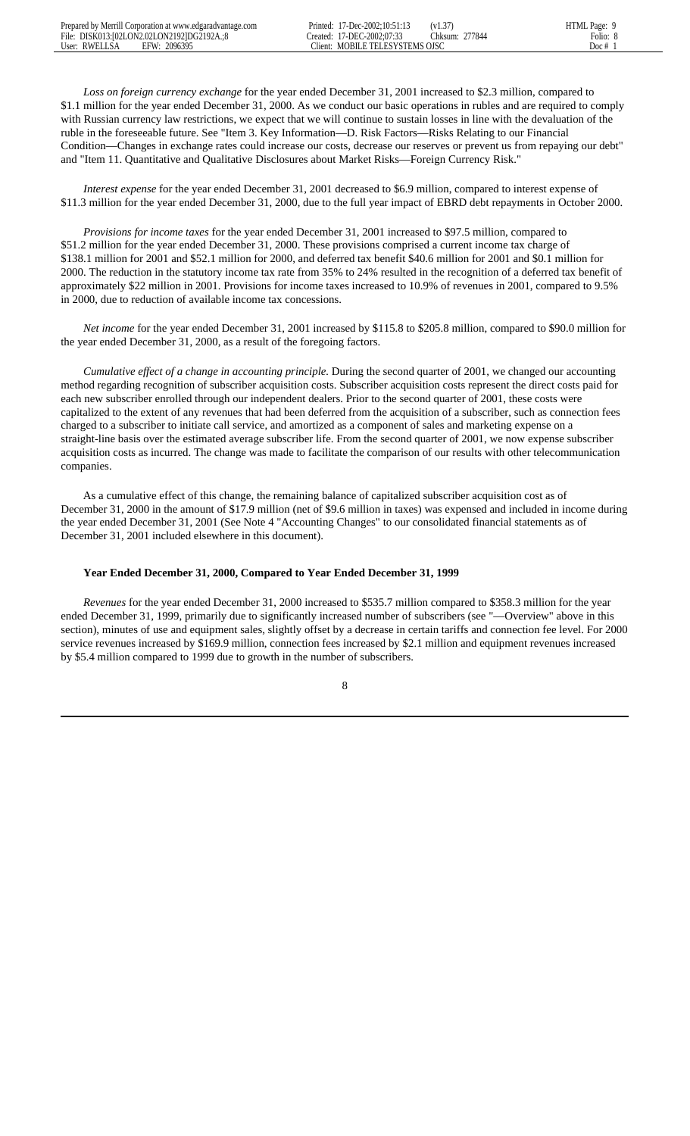*Loss on foreign currency exchange* for the year ended December 31, 2001 increased to \$2.3 million, compared to \$1.1 million for the year ended December 31, 2000. As we conduct our basic operations in rubles and are required to comply with Russian currency law restrictions, we expect that we will continue to sustain losses in line with the devaluation of the ruble in the foreseeable future. See "Item 3. Key Information—D. Risk Factors—Risks Relating to our Financial Condition—Changes in exchange rates could increase our costs, decrease our reserves or prevent us from repaying our debt" and "Item 11. Quantitative and Qualitative Disclosures about Market Risks—Foreign Currency Risk."

 *Interest expense* for the year ended December 31, 2001 decreased to \$6.9 million, compared to interest expense of \$11.3 million for the year ended December 31, 2000, due to the full year impact of EBRD debt repayments in October 2000.

 *Provisions for income taxes* for the year ended December 31, 2001 increased to \$97.5 million, compared to \$51.2 million for the year ended December 31, 2000. These provisions comprised a current income tax charge of \$138.1 million for 2001 and \$52.1 million for 2000, and deferred tax benefit \$40.6 million for 2001 and \$0.1 million for 2000. The reduction in the statutory income tax rate from 35% to 24% resulted in the recognition of a deferred tax benefit of approximately \$22 million in 2001. Provisions for income taxes increased to 10.9% of revenues in 2001, compared to 9.5% in 2000, due to reduction of available income tax concessions.

 *Net income* for the year ended December 31, 2001 increased by \$115.8 to \$205.8 million, compared to \$90.0 million for the year ended December 31, 2000, as a result of the foregoing factors.

 *Cumulative effect of a change in accounting principle.* During the second quarter of 2001, we changed our accounting method regarding recognition of subscriber acquisition costs. Subscriber acquisition costs represent the direct costs paid for each new subscriber enrolled through our independent dealers. Prior to the second quarter of 2001, these costs were capitalized to the extent of any revenues that had been deferred from the acquisition of a subscriber, such as connection fees charged to a subscriber to initiate call service, and amortized as a component of sales and marketing expense on a straight-line basis over the estimated average subscriber life. From the second quarter of 2001, we now expense subscriber acquisition costs as incurred. The change was made to facilitate the comparison of our results with other telecommunication companies.

 As a cumulative effect of this change, the remaining balance of capitalized subscriber acquisition cost as of December 31, 2000 in the amount of \$17.9 million (net of \$9.6 million in taxes) was expensed and included in income during the year ended December 31, 2001 (See Note 4 "Accounting Changes" to our consolidated financial statements as of December 31, 2001 included elsewhere in this document).

## **Year Ended December 31, 2000, Compared to Year Ended December 31, 1999**

 *Revenues* for the year ended December 31, 2000 increased to \$535.7 million compared to \$358.3 million for the year ended December 31, 1999, primarily due to significantly increased number of subscribers (see "—Overview" above in this section), minutes of use and equipment sales, slightly offset by a decrease in certain tariffs and connection fee level. For 2000 service revenues increased by \$169.9 million, connection fees increased by \$2.1 million and equipment revenues increased by \$5.4 million compared to 1999 due to growth in the number of subscribers.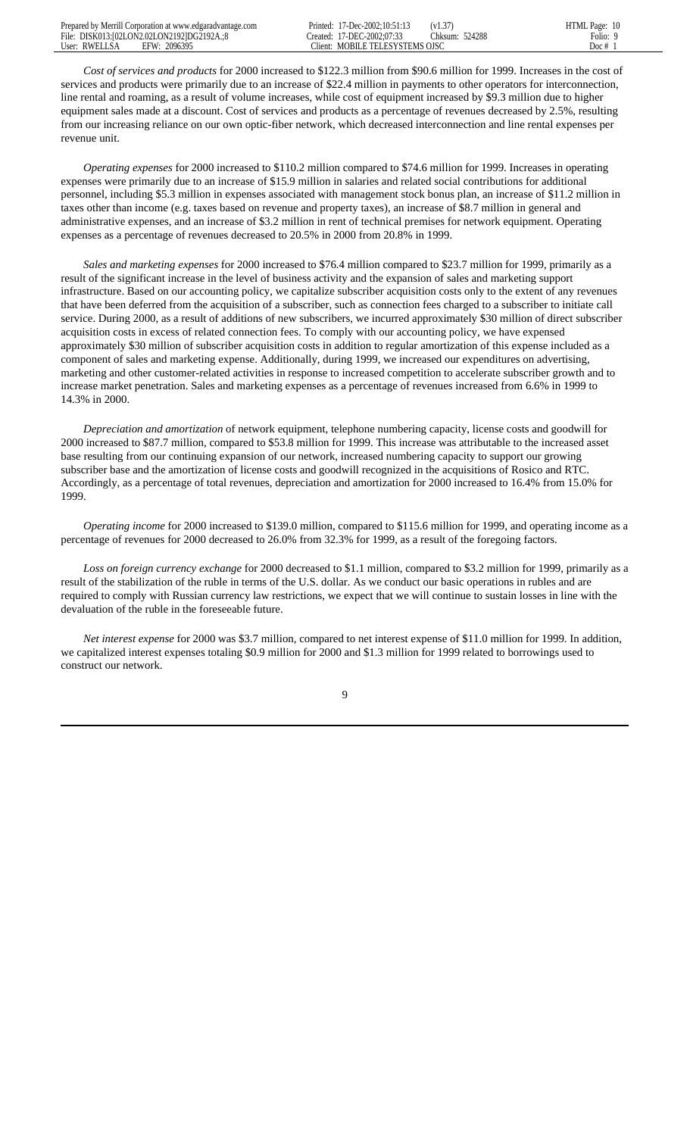*Cost of services and products* for 2000 increased to \$122.3 million from \$90.6 million for 1999. Increases in the cost of services and products were primarily due to an increase of \$22.4 million in payments to other operators for interconnection, line rental and roaming, as a result of volume increases, while cost of equipment increased by \$9.3 million due to higher equipment sales made at a discount. Cost of services and products as a percentage of revenues decreased by 2.5%, resulting from our increasing reliance on our own optic-fiber network, which decreased interconnection and line rental expenses per revenue unit.

 *Operating expenses* for 2000 increased to \$110.2 million compared to \$74.6 million for 1999. Increases in operating expenses were primarily due to an increase of \$15.9 million in salaries and related social contributions for additional personnel, including \$5.3 million in expenses associated with management stock bonus plan, an increase of \$11.2 million in taxes other than income (e.g. taxes based on revenue and property taxes), an increase of \$8.7 million in general and administrative expenses, and an increase of \$3.2 million in rent of technical premises for network equipment. Operating expenses as a percentage of revenues decreased to 20.5% in 2000 from 20.8% in 1999.

 *Sales and marketing expenses* for 2000 increased to \$76.4 million compared to \$23.7 million for 1999, primarily as a result of the significant increase in the level of business activity and the expansion of sales and marketing support infrastructure. Based on our accounting policy, we capitalize subscriber acquisition costs only to the extent of any revenues that have been deferred from the acquisition of a subscriber, such as connection fees charged to a subscriber to initiate call service. During 2000, as a result of additions of new subscribers, we incurred approximately \$30 million of direct subscriber acquisition costs in excess of related connection fees. To comply with our accounting policy, we have expensed approximately \$30 million of subscriber acquisition costs in addition to regular amortization of this expense included as a component of sales and marketing expense. Additionally, during 1999, we increased our expenditures on advertising, marketing and other customer-related activities in response to increased competition to accelerate subscriber growth and to increase market penetration. Sales and marketing expenses as a percentage of revenues increased from 6.6% in 1999 to 14.3% in 2000.

 *Depreciation and amortization* of network equipment, telephone numbering capacity, license costs and goodwill for 2000 increased to \$87.7 million, compared to \$53.8 million for 1999. This increase was attributable to the increased asset base resulting from our continuing expansion of our network, increased numbering capacity to support our growing subscriber base and the amortization of license costs and goodwill recognized in the acquisitions of Rosico and RTC. Accordingly, as a percentage of total revenues, depreciation and amortization for 2000 increased to 16.4% from 15.0% for 1999.

 *Operating income* for 2000 increased to \$139.0 million, compared to \$115.6 million for 1999, and operating income as a percentage of revenues for 2000 decreased to 26.0% from 32.3% for 1999, as a result of the foregoing factors.

 *Loss on foreign currency exchange* for 2000 decreased to \$1.1 million, compared to \$3.2 million for 1999, primarily as a result of the stabilization of the ruble in terms of the U.S. dollar. As we conduct our basic operations in rubles and are required to comply with Russian currency law restrictions, we expect that we will continue to sustain losses in line with the devaluation of the ruble in the foreseeable future.

 *Net interest expense* for 2000 was \$3.7 million, compared to net interest expense of \$11.0 million for 1999. In addition, we capitalized interest expenses totaling \$0.9 million for 2000 and \$1.3 million for 1999 related to borrowings used to construct our network.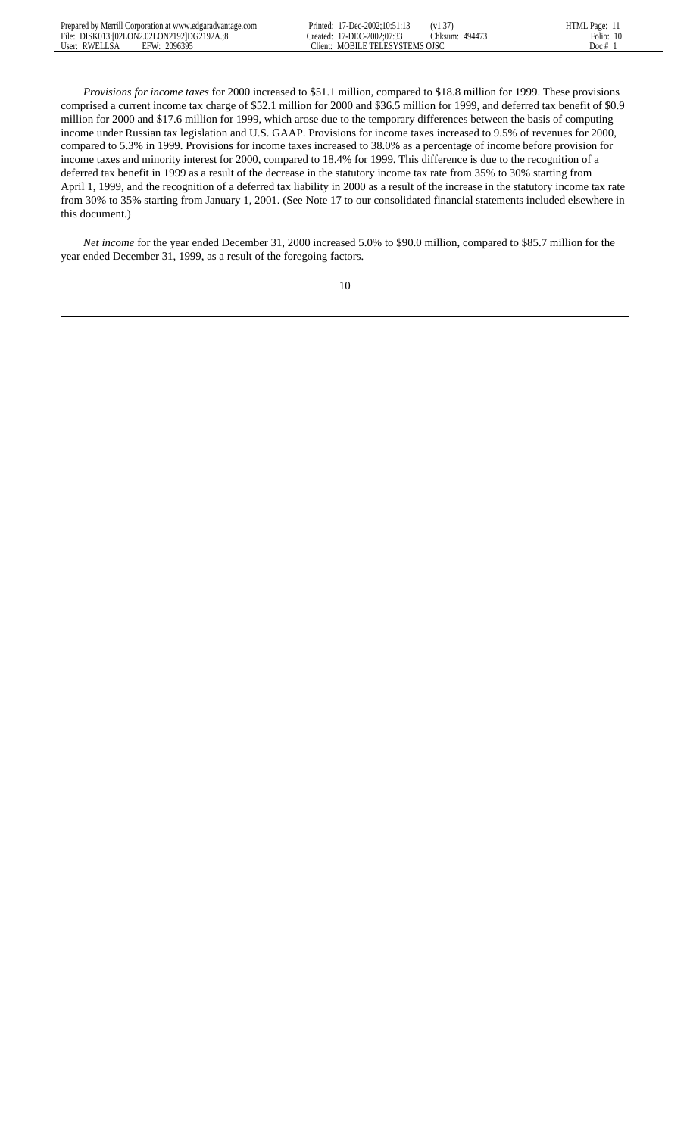| Prepared by Merrill Corporation at www.edgaradvantage.com | $1/$ -Dec-2002:10:51:1 <sup>2</sup><br>'rınted: | $'$ VI. $\sigma$ . | HTMI<br>Page: |
|-----------------------------------------------------------|-------------------------------------------------|--------------------|---------------|
| File: DISK013:102LON2.02LON21921DG2192A.:8                | 17-DEC-2002:07:33<br>reated:                    | Thksum:<br>49447   | 10<br>:0110   |
| User: RWELLSA<br>2096395<br><b>FFW·</b>                   | MOBILE TELESYSTEMS OISC<br>lient:               |                    | Doc #         |

 *Provisions for income taxes* for 2000 increased to \$51.1 million, compared to \$18.8 million for 1999. These provisions comprised a current income tax charge of \$52.1 million for 2000 and \$36.5 million for 1999, and deferred tax benefit of \$0.9 million for 2000 and \$17.6 million for 1999, which arose due to the temporary differences between the basis of computing income under Russian tax legislation and U.S. GAAP. Provisions for income taxes increased to 9.5% of revenues for 2000, compared to 5.3% in 1999. Provisions for income taxes increased to 38.0% as a percentage of income before provision for income taxes and minority interest for 2000, compared to 18.4% for 1999. This difference is due to the recognition of a deferred tax benefit in 1999 as a result of the decrease in the statutory income tax rate from 35% to 30% starting from April 1, 1999, and the recognition of a deferred tax liability in 2000 as a result of the increase in the statutory income tax rate from 30% to 35% starting from January 1, 2001. (See Note 17 to our consolidated financial statements included elsewhere in this document.)

 *Net income* for the year ended December 31, 2000 increased 5.0% to \$90.0 million, compared to \$85.7 million for the year ended December 31, 1999, as a result of the foregoing factors.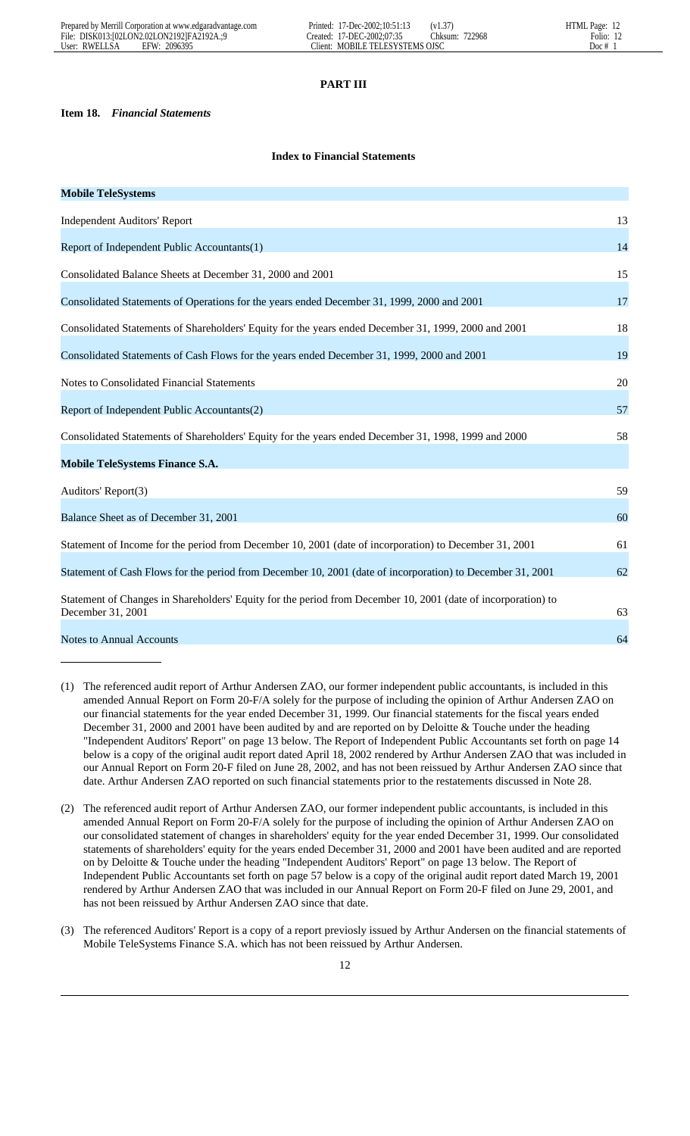# **PART III**

# **Item 18.** *Financial Statements*

# **Index to Financial Statements**

| <b>Mobile TeleSystems</b>                                                                                                          |    |
|------------------------------------------------------------------------------------------------------------------------------------|----|
| <b>Independent Auditors' Report</b>                                                                                                | 13 |
| Report of Independent Public Accountants(1)                                                                                        | 14 |
| Consolidated Balance Sheets at December 31, 2000 and 2001                                                                          | 15 |
| Consolidated Statements of Operations for the years ended December 31, 1999, 2000 and 2001                                         | 17 |
| Consolidated Statements of Shareholders' Equity for the years ended December 31, 1999, 2000 and 2001                               | 18 |
| Consolidated Statements of Cash Flows for the years ended December 31, 1999, 2000 and 2001                                         | 19 |
| Notes to Consolidated Financial Statements                                                                                         | 20 |
| Report of Independent Public Accountants(2)                                                                                        | 57 |
| Consolidated Statements of Shareholders' Equity for the years ended December 31, 1998, 1999 and 2000                               | 58 |
| <b>Mobile TeleSystems Finance S.A.</b>                                                                                             |    |
| Auditors' Report(3)                                                                                                                | 59 |
| Balance Sheet as of December 31, 2001                                                                                              | 60 |
| Statement of Income for the period from December 10, 2001 (date of incorporation) to December 31, 2001                             | 61 |
| Statement of Cash Flows for the period from December 10, 2001 (date of incorporation) to December 31, 2001                         | 62 |
| Statement of Changes in Shareholders' Equity for the period from December 10, 2001 (date of incorporation) to<br>December 31, 2001 | 63 |
| <b>Notes to Annual Accounts</b>                                                                                                    | 64 |

- (1) The referenced audit report of Arthur Andersen ZAO, our former independent public accountants, is included in this amended Annual Report on Form 20-F/A solely for the purpose of including the opinion of Arthur Andersen ZAO on our financial statements for the year ended December 31, 1999. Our financial statements for the fiscal years ended December 31, 2000 and 2001 have been audited by and are reported on by Deloitte & Touche under the heading "Independent Auditors' Report" on page 13 below. The Report of Independent Public Accountants set forth on page 14 below is a copy of the original audit report dated April 18, 2002 rendered by Arthur Andersen ZAO that was included in our Annual Report on Form 20-F filed on June 28, 2002, and has not been reissued by Arthur Andersen ZAO since that date. Arthur Andersen ZAO reported on such financial statements prior to the restatements discussed in Note 28.
- (2) The referenced audit report of Arthur Andersen ZAO, our former independent public accountants, is included in this amended Annual Report on Form 20-F/A solely for the purpose of including the opinion of Arthur Andersen ZAO on our consolidated statement of changes in shareholders' equity for the year ended December 31, 1999. Our consolidated statements of shareholders' equity for the years ended December 31, 2000 and 2001 have been audited and are reported on by Deloitte & Touche under the heading "Independent Auditors' Report" on page 13 below. The Report of Independent Public Accountants set forth on page 57 below is a copy of the original audit report dated March 19, 2001 rendered by Arthur Andersen ZAO that was included in our Annual Report on Form 20-F filed on June 29, 2001, and has not been reissued by Arthur Andersen ZAO since that date.
- (3) The referenced Auditors' Report is a copy of a report previosly issued by Arthur Andersen on the financial statements of Mobile TeleSystems Finance S.A. which has not been reissued by Arthur Andersen.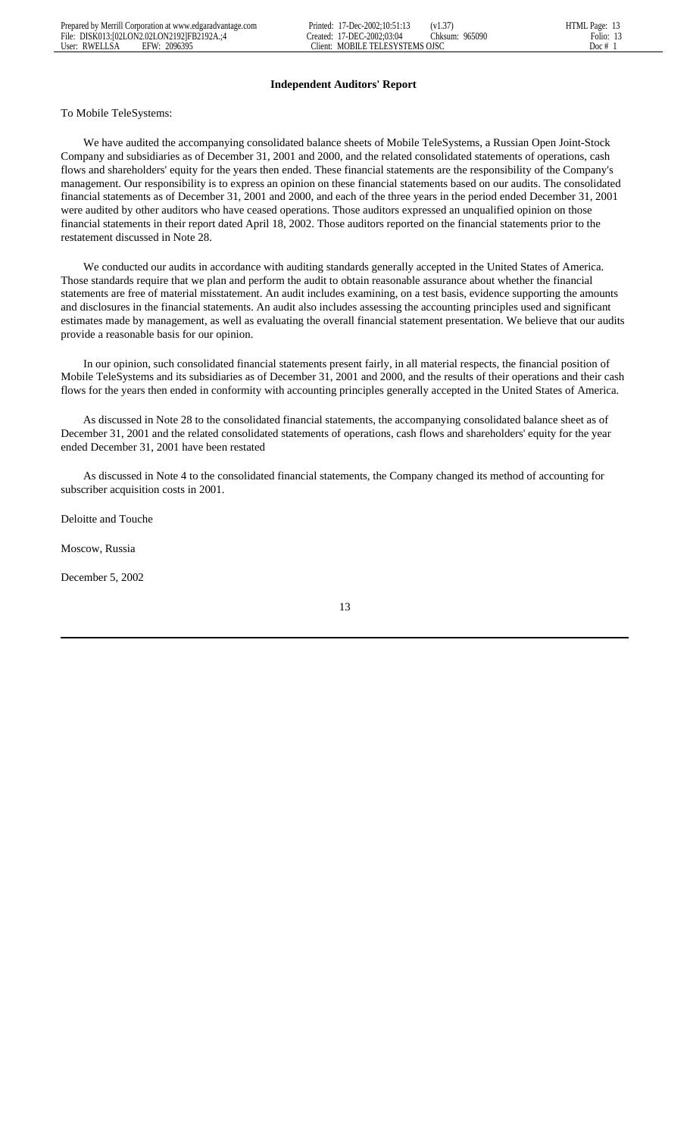# **Independent Auditors' Report**

# To Mobile TeleSystems:

 We have audited the accompanying consolidated balance sheets of Mobile TeleSystems, a Russian Open Joint-Stock Company and subsidiaries as of December 31, 2001 and 2000, and the related consolidated statements of operations, cash flows and shareholders' equity for the years then ended. These financial statements are the responsibility of the Company's management. Our responsibility is to express an opinion on these financial statements based on our audits. The consolidated financial statements as of December 31, 2001 and 2000, and each of the three years in the period ended December 31, 2001 were audited by other auditors who have ceased operations. Those auditors expressed an unqualified opinion on those financial statements in their report dated April 18, 2002. Those auditors reported on the financial statements prior to the restatement discussed in Note 28.

 We conducted our audits in accordance with auditing standards generally accepted in the United States of America. Those standards require that we plan and perform the audit to obtain reasonable assurance about whether the financial statements are free of material misstatement. An audit includes examining, on a test basis, evidence supporting the amounts and disclosures in the financial statements. An audit also includes assessing the accounting principles used and significant estimates made by management, as well as evaluating the overall financial statement presentation. We believe that our audits provide a reasonable basis for our opinion.

 In our opinion, such consolidated financial statements present fairly, in all material respects, the financial position of Mobile TeleSystems and its subsidiaries as of December 31, 2001 and 2000, and the results of their operations and their cash flows for the years then ended in conformity with accounting principles generally accepted in the United States of America.

 As discussed in Note 28 to the consolidated financial statements, the accompanying consolidated balance sheet as of December 31, 2001 and the related consolidated statements of operations, cash flows and shareholders' equity for the year ended December 31, 2001 have been restated

 As discussed in Note 4 to the consolidated financial statements, the Company changed its method of accounting for subscriber acquisition costs in 2001.

Deloitte and Touche

Moscow, Russia

December 5, 2002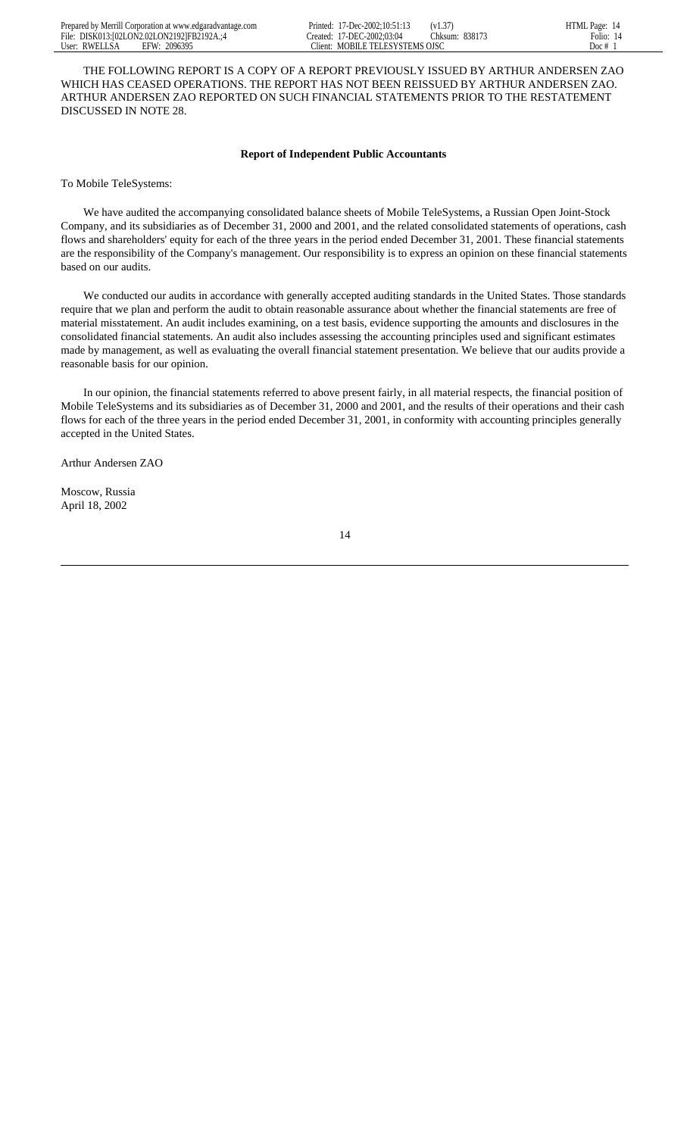THE FOLLOWING REPORT IS A COPY OF A REPORT PREVIOUSLY ISSUED BY ARTHUR ANDERSEN ZAO WHICH HAS CEASED OPERATIONS. THE REPORT HAS NOT BEEN REISSUED BY ARTHUR ANDERSEN ZAO. ARTHUR ANDERSEN ZAO REPORTED ON SUCH FINANCIAL STATEMENTS PRIOR TO THE RESTATEMENT DISCUSSED IN NOTE 28.

# **Report of Independent Public Accountants**

To Mobile TeleSystems:

 We have audited the accompanying consolidated balance sheets of Mobile TeleSystems, a Russian Open Joint-Stock Company, and its subsidiaries as of December 31, 2000 and 2001, and the related consolidated statements of operations, cash flows and shareholders' equity for each of the three years in the period ended December 31, 2001. These financial statements are the responsibility of the Company's management. Our responsibility is to express an opinion on these financial statements based on our audits.

 We conducted our audits in accordance with generally accepted auditing standards in the United States. Those standards require that we plan and perform the audit to obtain reasonable assurance about whether the financial statements are free of material misstatement. An audit includes examining, on a test basis, evidence supporting the amounts and disclosures in the consolidated financial statements. An audit also includes assessing the accounting principles used and significant estimates made by management, as well as evaluating the overall financial statement presentation. We believe that our audits provide a reasonable basis for our opinion.

 In our opinion, the financial statements referred to above present fairly, in all material respects, the financial position of Mobile TeleSystems and its subsidiaries as of December 31, 2000 and 2001, and the results of their operations and their cash flows for each of the three years in the period ended December 31, 2001, in conformity with accounting principles generally accepted in the United States.

Arthur Andersen ZAO

Moscow, Russia April 18, 2002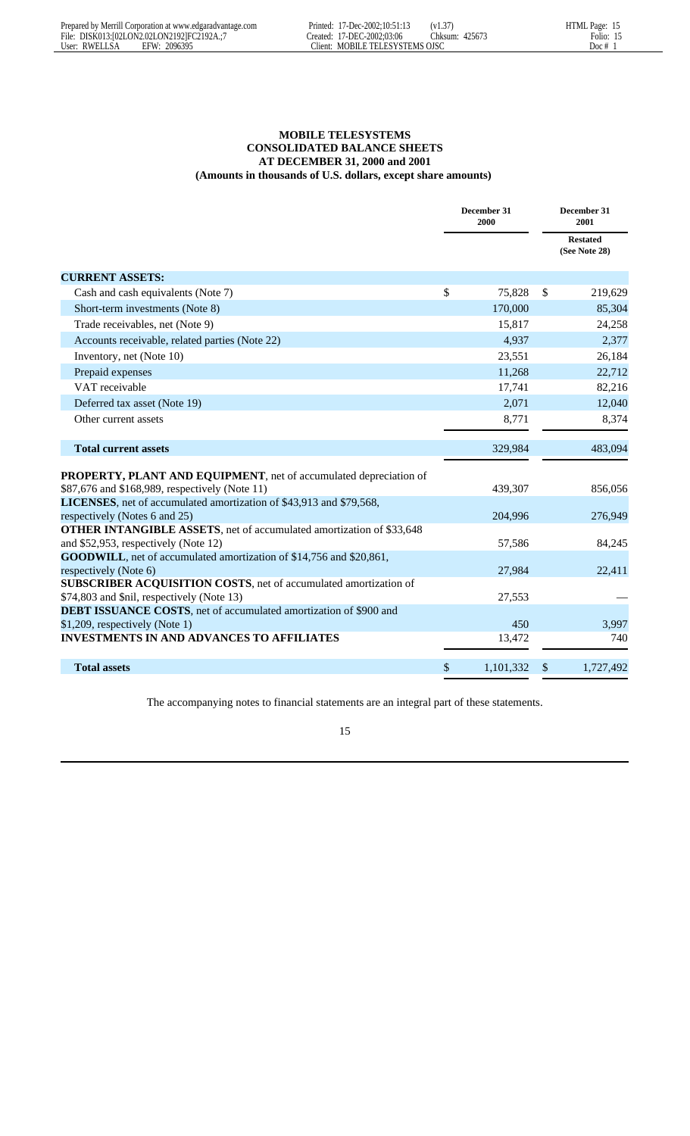# **MOBILE TELESYSTEMS CONSOLIDATED BALANCE SHEETS AT DECEMBER 31, 2000 and 2001**

| (Amounts in thousands of U.S. dollars, except share amounts)                                                        |    |                     |    |                                  |  |  |  |
|---------------------------------------------------------------------------------------------------------------------|----|---------------------|----|----------------------------------|--|--|--|
|                                                                                                                     |    | December 31<br>2000 |    | December 31<br>2001              |  |  |  |
|                                                                                                                     |    |                     |    | <b>Restated</b><br>(See Note 28) |  |  |  |
| <b>CURRENT ASSETS:</b>                                                                                              |    |                     |    |                                  |  |  |  |
| Cash and cash equivalents (Note 7)                                                                                  | \$ | 75,828              | \$ | 219,629                          |  |  |  |
| Short-term investments (Note 8)                                                                                     |    | 170,000             |    | 85,304                           |  |  |  |
| Trade receivables, net (Note 9)                                                                                     |    | 15,817              |    | 24,258                           |  |  |  |
| Accounts receivable, related parties (Note 22)                                                                      |    | 4,937               |    | 2,377                            |  |  |  |
| Inventory, net (Note 10)                                                                                            |    | 23,551              |    | 26,184                           |  |  |  |
| Prepaid expenses                                                                                                    |    | 11,268              |    | 22,712                           |  |  |  |
| VAT receivable                                                                                                      |    | 17,741              |    | 82,216                           |  |  |  |
| Deferred tax asset (Note 19)                                                                                        |    | 2,071               |    | 12,040                           |  |  |  |
| Other current assets                                                                                                |    | 8,771               |    | 8,374                            |  |  |  |
| <b>Total current assets</b>                                                                                         |    | 329,984             |    | 483,094                          |  |  |  |
|                                                                                                                     |    |                     |    |                                  |  |  |  |
| PROPERTY, PLANT AND EQUIPMENT, net of accumulated depreciation of<br>\$87,676 and \$168,989, respectively (Note 11) |    | 439,307             |    | 856,056                          |  |  |  |
| LICENSES, net of accumulated amortization of \$43,913 and \$79,568,                                                 |    |                     |    |                                  |  |  |  |
| respectively (Notes 6 and 25)                                                                                       |    | 204,996             |    | 276,949                          |  |  |  |
| <b>OTHER INTANGIBLE ASSETS</b> , net of accumulated amortization of \$33,648                                        |    |                     |    |                                  |  |  |  |
| and \$52,953, respectively (Note 12)                                                                                |    | 57,586              |    | 84,245                           |  |  |  |
| GOODWILL, net of accumulated amortization of \$14,756 and \$20,861,                                                 |    |                     |    |                                  |  |  |  |
| respectively (Note 6)                                                                                               |    | 27,984              |    | 22,411                           |  |  |  |
| SUBSCRIBER ACQUISITION COSTS, net of accumulated amortization of<br>\$74,803 and \$nil, respectively (Note 13)      |    | 27,553              |    |                                  |  |  |  |
| DEBT ISSUANCE COSTS, net of accumulated amortization of \$900 and                                                   |    |                     |    |                                  |  |  |  |
| \$1,209, respectively (Note 1)                                                                                      |    | 450                 |    | 3,997                            |  |  |  |
| <b>INVESTMENTS IN AND ADVANCES TO AFFILIATES</b>                                                                    |    | 13,472              |    | 740                              |  |  |  |
| <b>Total assets</b>                                                                                                 | \$ | 1,101,332           | \$ | 1,727,492                        |  |  |  |

The accompanying notes to financial statements are an integral part of these statements.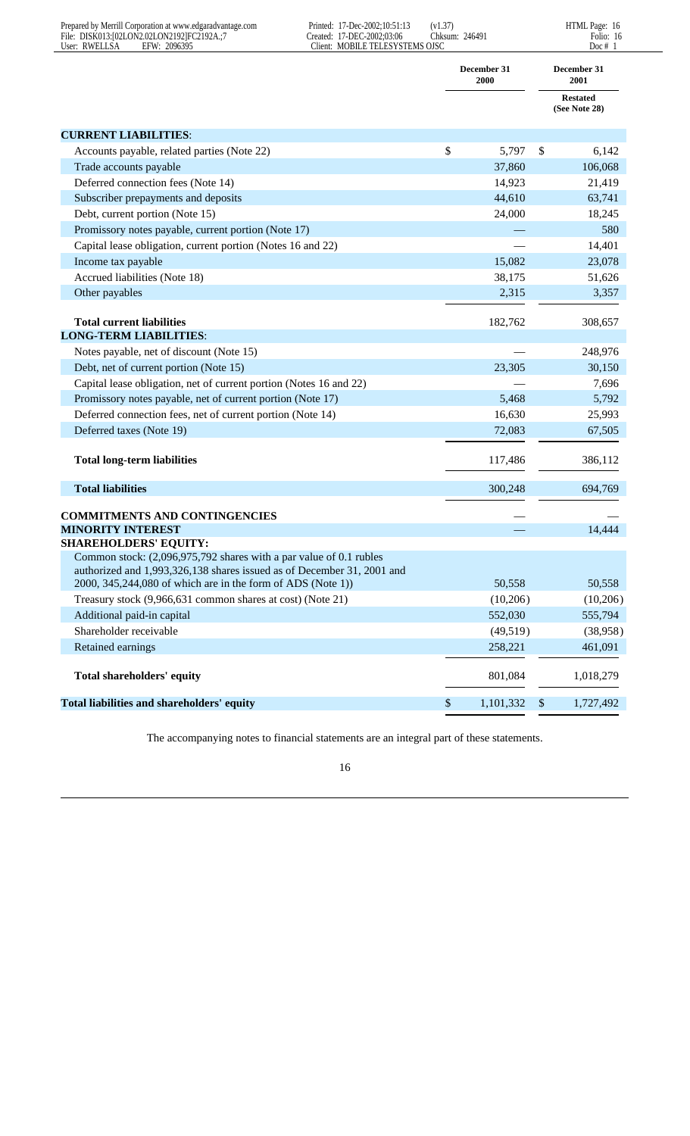| Prepared by Merrill Corporation at www.edgaradvantage.com<br>File: DISK013:[02LON2.02LON2192]FC2192A.;7<br>User: RWELLSA<br>EFW: 2096395     | Printed: 17-Dec-2002;10:51:13<br>Created: 17-DEC-2002;03:06<br>Client: MOBILE TELESYSTEMS OJSC | (v1.37)<br>Chksum: 246491 |                     |                           | HTML Page: 16<br>Folio: 16<br>Doc # $1$ |
|----------------------------------------------------------------------------------------------------------------------------------------------|------------------------------------------------------------------------------------------------|---------------------------|---------------------|---------------------------|-----------------------------------------|
|                                                                                                                                              |                                                                                                |                           | December 31<br>2000 |                           | December 31<br>2001                     |
|                                                                                                                                              |                                                                                                |                           |                     |                           | <b>Restated</b><br>(See Note 28)        |
| <b>CURRENT LIABILITIES:</b>                                                                                                                  |                                                                                                |                           |                     |                           |                                         |
| Accounts payable, related parties (Note 22)                                                                                                  |                                                                                                | \$                        | 5,797               | \$                        | 6,142                                   |
| Trade accounts payable                                                                                                                       |                                                                                                |                           | 37,860              |                           | 106,068                                 |
| Deferred connection fees (Note 14)                                                                                                           |                                                                                                |                           | 14,923              |                           | 21,419                                  |
| Subscriber prepayments and deposits                                                                                                          |                                                                                                |                           | 44,610              |                           | 63,741                                  |
| Debt, current portion (Note 15)                                                                                                              |                                                                                                |                           | 24,000              |                           | 18,245                                  |
| Promissory notes payable, current portion (Note 17)                                                                                          |                                                                                                |                           |                     |                           | 580                                     |
| Capital lease obligation, current portion (Notes 16 and 22)                                                                                  |                                                                                                |                           |                     |                           | 14,401                                  |
| Income tax payable                                                                                                                           |                                                                                                |                           | 15,082              |                           | 23,078                                  |
| Accrued liabilities (Note 18)                                                                                                                |                                                                                                |                           | 38,175              |                           | 51,626                                  |
| Other payables                                                                                                                               |                                                                                                |                           | 2,315               |                           | 3,357                                   |
| <b>Total current liabilities</b>                                                                                                             |                                                                                                |                           | 182,762             |                           | 308,657                                 |
| <b>LONG-TERM LIABILITIES:</b>                                                                                                                |                                                                                                |                           |                     |                           |                                         |
| Notes payable, net of discount (Note 15)                                                                                                     |                                                                                                |                           |                     |                           | 248,976                                 |
| Debt, net of current portion (Note 15)                                                                                                       |                                                                                                |                           | 23,305              |                           | 30,150                                  |
| Capital lease obligation, net of current portion (Notes 16 and 22)                                                                           |                                                                                                |                           |                     |                           | 7,696                                   |
| Promissory notes payable, net of current portion (Note 17)                                                                                   |                                                                                                |                           | 5,468               |                           | 5,792                                   |
| Deferred connection fees, net of current portion (Note 14)                                                                                   |                                                                                                |                           | 16,630              |                           | 25,993                                  |
| Deferred taxes (Note 19)                                                                                                                     |                                                                                                |                           | 72,083              |                           | 67,505                                  |
| <b>Total long-term liabilities</b>                                                                                                           |                                                                                                |                           | 117,486             |                           | 386,112                                 |
| <b>Total liabilities</b>                                                                                                                     |                                                                                                |                           | 300,248             |                           | 694,769                                 |
| <b>COMMITMENTS AND CONTINGENCIES</b>                                                                                                         |                                                                                                |                           |                     |                           |                                         |
| <b>MINORITY INTEREST</b>                                                                                                                     |                                                                                                |                           |                     |                           | 14,444                                  |
| <b>SHAREHOLDERS' EQUITY:</b>                                                                                                                 |                                                                                                |                           |                     |                           |                                         |
| Common stock: (2,096,975,792 shares with a par value of 0.1 rubles<br>authorized and 1,993,326,138 shares issued as of December 31, 2001 and |                                                                                                |                           |                     |                           |                                         |
| 2000, 345,244,080 of which are in the form of ADS (Note 1))                                                                                  |                                                                                                |                           | 50,558              |                           | 50,558                                  |
| Treasury stock (9,966,631 common shares at cost) (Note 21)                                                                                   |                                                                                                |                           | (10,206)            |                           | (10,206)                                |
| Additional paid-in capital                                                                                                                   |                                                                                                |                           | 552,030             |                           | 555,794                                 |
| Shareholder receivable                                                                                                                       |                                                                                                |                           | (49,519)            |                           | (38,958)                                |
| Retained earnings                                                                                                                            |                                                                                                |                           | 258,221             |                           | 461,091                                 |
| <b>Total shareholders' equity</b>                                                                                                            |                                                                                                |                           | 801,084             |                           | 1,018,279                               |
| Total liabilities and shareholders' equity                                                                                                   |                                                                                                | $\boldsymbol{\mathsf{S}}$ | 1,101,332           | $\boldsymbol{\mathsf{S}}$ | 1,727,492                               |

The accompanying notes to financial statements are an integral part of these statements.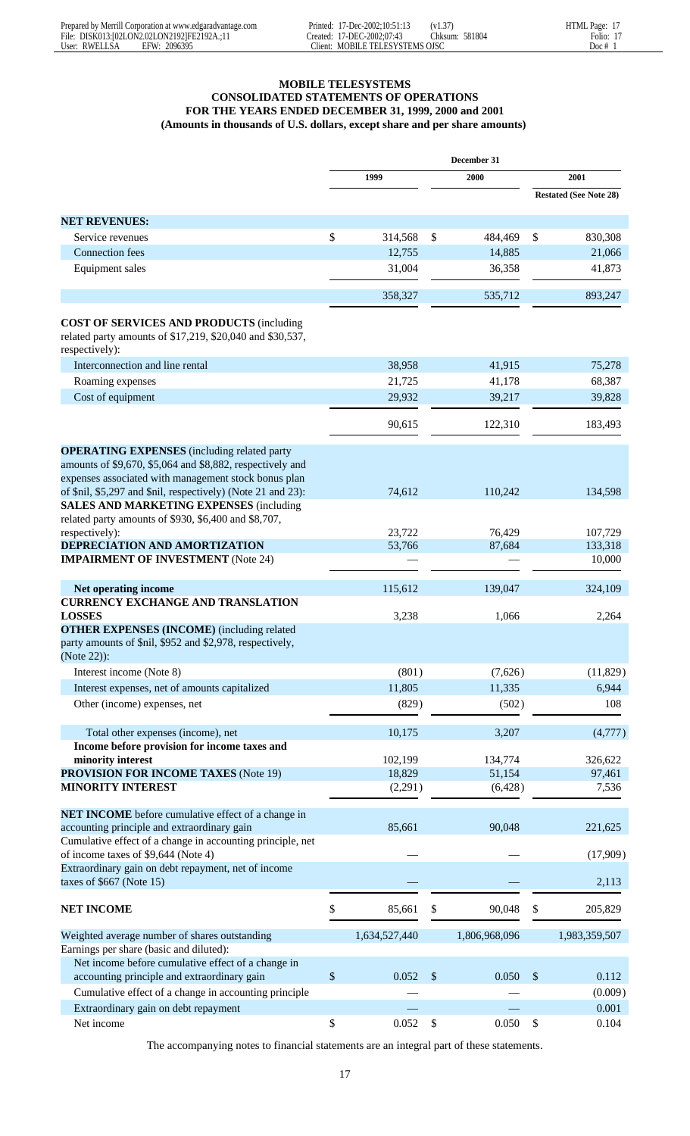# **MOBILE TELESYSTEMS CONSOLIDATED STATEMENTS OF OPERATIONS FOR THE YEARS ENDED DECEMBER 31, 1999, 2000 and 2001 (Amounts in thousands of U.S. dollars, except share and per share amounts)**

|                                                                                                                                                                         | December 31               |               |                           |               |    |                               |
|-------------------------------------------------------------------------------------------------------------------------------------------------------------------------|---------------------------|---------------|---------------------------|---------------|----|-------------------------------|
|                                                                                                                                                                         | 1999                      |               |                           | 2000          |    | 2001                          |
|                                                                                                                                                                         |                           |               |                           |               |    | <b>Restated (See Note 28)</b> |
| <b>NET REVENUES:</b>                                                                                                                                                    |                           |               |                           |               |    |                               |
| Service revenues                                                                                                                                                        | \$                        | 314,568       | \$                        | 484,469       | \$ | 830,308                       |
| <b>Connection</b> fees                                                                                                                                                  |                           | 12,755        |                           | 14,885        |    | 21,066                        |
| Equipment sales                                                                                                                                                         |                           | 31,004        |                           | 36,358        |    | 41,873                        |
|                                                                                                                                                                         |                           |               |                           |               |    |                               |
|                                                                                                                                                                         |                           | 358,327       |                           | 535,712       |    | 893,247                       |
| <b>COST OF SERVICES AND PRODUCTS (including</b><br>related party amounts of \$17,219, \$20,040 and \$30,537,<br>respectively):                                          |                           |               |                           |               |    |                               |
| Interconnection and line rental                                                                                                                                         |                           | 38,958        |                           | 41,915        |    | 75,278                        |
| Roaming expenses                                                                                                                                                        |                           | 21,725        |                           | 41,178        |    | 68,387                        |
| Cost of equipment                                                                                                                                                       |                           | 29,932        |                           | 39,217        |    | 39,828                        |
|                                                                                                                                                                         |                           | 90,615        |                           | 122,310       |    | 183,493                       |
| <b>OPERATING EXPENSES</b> (including related party<br>amounts of \$9,670, \$5,064 and \$8,882, respectively and<br>expenses associated with management stock bonus plan |                           |               |                           |               |    |                               |
| of \$nil, \$5,297 and \$nil, respectively) (Note 21 and 23):<br><b>SALES AND MARKETING EXPENSES (including</b><br>related party amounts of \$930, \$6,400 and \$8,707,  |                           | 74,612        |                           | 110,242       |    | 134,598                       |
| respectively):                                                                                                                                                          |                           | 23,722        |                           | 76,429        |    | 107,729                       |
| DEPRECIATION AND AMORTIZATION                                                                                                                                           |                           | 53,766        |                           | 87,684        |    | 133,318                       |
| <b>IMPAIRMENT OF INVESTMENT</b> (Note 24)                                                                                                                               |                           |               |                           |               |    | 10,000                        |
| Net operating income                                                                                                                                                    |                           | 115,612       |                           | 139,047       |    | 324,109                       |
| <b>CURRENCY EXCHANGE AND TRANSLATION</b><br><b>LOSSES</b>                                                                                                               |                           | 3,238         |                           | 1,066         |    | 2,264                         |
| <b>OTHER EXPENSES (INCOME)</b> (including related<br>party amounts of \$nil, \$952 and \$2,978, respectively,<br>(Note 22)):                                            |                           |               |                           |               |    |                               |
| Interest income (Note 8)                                                                                                                                                |                           | (801)         |                           | (7,626)       |    | (11, 829)                     |
| Interest expenses, net of amounts capitalized                                                                                                                           |                           | 11,805        |                           | 11,335        |    | 6,944                         |
| Other (income) expenses, net                                                                                                                                            |                           | (829)         |                           | (502)         |    | 108                           |
|                                                                                                                                                                         |                           |               |                           |               |    |                               |
| Total other expenses (income), net<br>Income before provision for income taxes and                                                                                      |                           | 10,175        |                           | 3,207         |    | (4,777)                       |
| minority interest                                                                                                                                                       |                           | 102,199       |                           | 134,774       |    | 326,622                       |
| <b>PROVISION FOR INCOME TAXES (Note 19)</b>                                                                                                                             |                           | 18,829        |                           | 51,154        |    | 97,461                        |
| <b>MINORITY INTEREST</b>                                                                                                                                                |                           | (2,291)       |                           | (6,428)       |    | 7,536                         |
| <b>NET INCOME</b> before cumulative effect of a change in                                                                                                               |                           |               |                           |               |    |                               |
| accounting principle and extraordinary gain                                                                                                                             |                           | 85,661        |                           | 90,048        |    | 221,625                       |
| Cumulative effect of a change in accounting principle, net<br>of income taxes of \$9,644 (Note 4)                                                                       |                           |               |                           |               |    | (17,909)                      |
| Extraordinary gain on debt repayment, net of income<br>taxes of $$667$ (Note 15)                                                                                        |                           |               |                           |               |    | 2,113                         |
| <b>NET INCOME</b>                                                                                                                                                       | \$                        | 85,661        | \$                        | 90,048        | \$ | 205,829                       |
| Weighted average number of shares outstanding<br>Earnings per share (basic and diluted):                                                                                |                           | 1,634,527,440 |                           | 1,806,968,096 |    | 1,983,359,507                 |
| Net income before cumulative effect of a change in<br>accounting principle and extraordinary gain                                                                       | $\boldsymbol{\mathsf{S}}$ | 0.052         | $\boldsymbol{\mathsf{S}}$ | 0.050         | \$ | 0.112                         |
| Cumulative effect of a change in accounting principle                                                                                                                   |                           |               |                           |               |    | (0.009)                       |
| Extraordinary gain on debt repayment                                                                                                                                    |                           |               |                           |               |    | 0.001                         |
| Net income                                                                                                                                                              | \$                        | 0.052         | $\boldsymbol{\mathsf{S}}$ | 0.050         | \$ | 0.104                         |

The accompanying notes to financial statements are an integral part of these statements.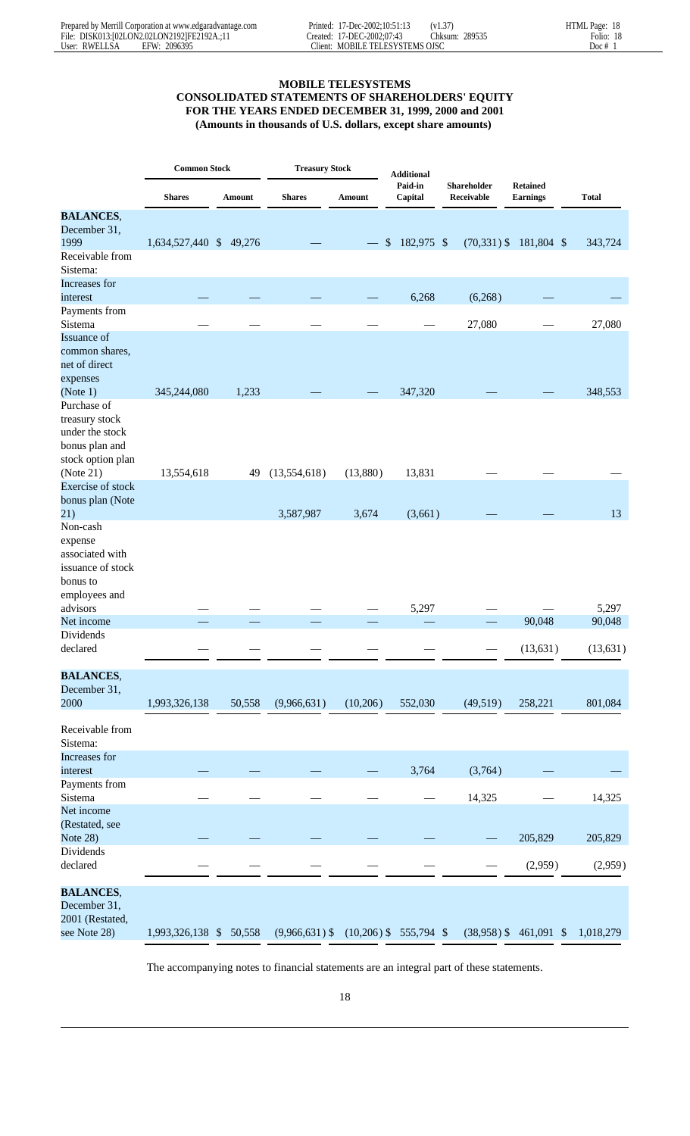# **MOBILE TELESYSTEMS**

# **CONSOLIDATED STATEMENTS OF SHAREHOLDERS' EQUITY FOR THE YEARS ENDED DECEMBER 31, 1999, 2000 and 2001 (Amounts in thousands of U.S. dollars, except share amounts)**

|                                                                                          | <b>Common Stock</b>     |        | <b>Treasury Stock</b> |          | <b>Additional</b>        |                           |                                    |              |
|------------------------------------------------------------------------------------------|-------------------------|--------|-----------------------|----------|--------------------------|---------------------------|------------------------------------|--------------|
|                                                                                          | <b>Shares</b>           | Amount | <b>Shares</b>         | Amount   | Paid-in<br>Capital       | Shareholder<br>Receivable | <b>Retained</b><br><b>Earnings</b> | <b>Total</b> |
| <b>BALANCES,</b>                                                                         |                         |        |                       |          |                          |                           |                                    |              |
| December 31,                                                                             |                         |        |                       |          |                          |                           |                                    |              |
| 1999                                                                                     | 1,634,527,440 \$ 49,276 |        |                       |          | \$<br>182,975 \$         | $(70, 331)$ \$            | 181,804 \$                         | 343,724      |
| Receivable from<br>Sistema:                                                              |                         |        |                       |          |                          |                           |                                    |              |
| Increases for                                                                            |                         |        |                       |          |                          |                           |                                    |              |
| interest                                                                                 |                         |        |                       |          | 6,268                    | (6,268)                   |                                    |              |
| Payments from                                                                            |                         |        |                       |          |                          |                           |                                    |              |
| Sistema<br>Issuance of                                                                   |                         |        |                       |          |                          | 27,080                    |                                    | 27,080       |
| common shares,<br>net of direct<br>expenses                                              |                         |        |                       |          |                          |                           |                                    |              |
| (Note 1)                                                                                 | 345,244,080             | 1,233  |                       |          | 347,320                  |                           |                                    | 348,553      |
| Purchase of<br>treasury stock<br>under the stock<br>bonus plan and<br>stock option plan  |                         |        |                       |          |                          |                           |                                    |              |
| (Note 21)                                                                                | 13,554,618              | 49     | (13,554,618)          | (13,880) | 13,831                   |                           |                                    |              |
| Exercise of stock<br>bonus plan (Note                                                    |                         |        |                       |          |                          |                           |                                    |              |
| 21)                                                                                      |                         |        | 3,587,987             | 3,674    | (3,661)                  |                           |                                    | 13           |
| Non-cash<br>expense<br>associated with<br>issuance of stock<br>bonus to<br>employees and |                         |        |                       |          |                          |                           |                                    |              |
| advisors                                                                                 |                         |        |                       |          | 5,297                    |                           |                                    | 5,297        |
| Net income                                                                               |                         |        |                       |          |                          |                           | 90,048                             | 90,048       |
| Dividends<br>declared                                                                    |                         |        |                       |          |                          |                           | (13, 631)                          | (13, 631)    |
| <b>BALANCES,</b>                                                                         |                         |        |                       |          |                          |                           |                                    |              |
| December 31,                                                                             |                         |        |                       |          |                          |                           |                                    |              |
| 2000                                                                                     | 1,993,326,138           | 50,558 | (9,966,631)           | (10,206) | 552,030                  | (49,519)                  | 258,221                            | 801,084      |
| Receivable from<br>Sistema:                                                              |                         |        |                       |          |                          |                           |                                    |              |
| Increases for<br>interest                                                                |                         |        |                       |          | 3,764                    | (3,764)                   |                                    |              |
| Payments from<br>Sistema                                                                 |                         |        |                       |          |                          | 14,325                    |                                    | 14,325       |
| Net income<br>(Restated, see<br>Note 28)                                                 |                         |        |                       |          |                          |                           | 205,829                            | 205,829      |
| Dividends<br>declared                                                                    |                         |        |                       |          |                          |                           | (2,959)                            | (2,959)      |
|                                                                                          |                         |        |                       |          |                          |                           |                                    |              |
| <b>BALANCES,</b><br>December 31,<br>2001 (Restated,                                      |                         |        |                       |          |                          |                           |                                    |              |
| see Note 28)                                                                             | 1,993,326,138 \$ 50,558 |        | $(9,966,631)$ \$      |          | $(10,206)$ \$ 555,794 \$ | $(38,958)$ \$             | 461,091 \$                         | 1,018,279    |

The accompanying notes to financial statements are an integral part of these statements.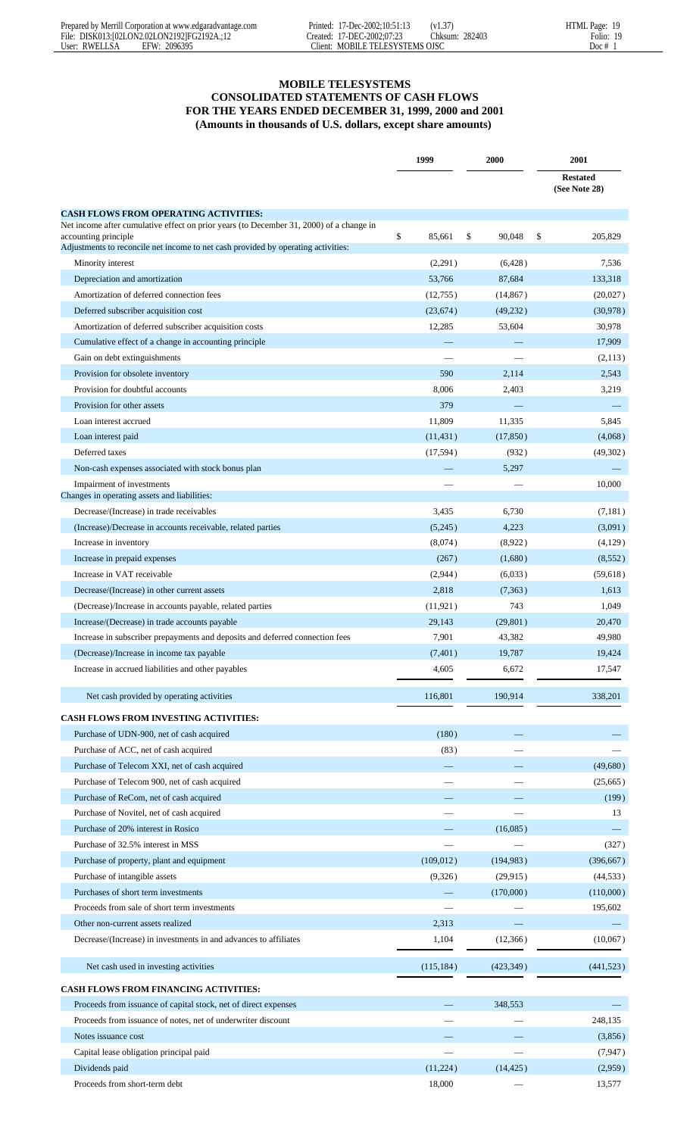# **MOBILE TELESYSTEMS**

# **CONSOLIDATED STATEMENTS OF CASH FLOWS FOR THE YEARS ENDED DECEMBER 31, 1999, 2000 and 2001 (Amounts in thousands of U.S. dollars, except share amounts)**

|                                                                                                           | 1999         | 2000         | 2001                             |
|-----------------------------------------------------------------------------------------------------------|--------------|--------------|----------------------------------|
|                                                                                                           |              |              | <b>Restated</b><br>(See Note 28) |
| <b>CASH FLOWS FROM OPERATING ACTIVITIES:</b>                                                              |              |              |                                  |
| Net income after cumulative effect on prior years (to December 31, 2000) of a change in                   |              |              |                                  |
| accounting principle<br>Adjustments to reconcile net income to net cash provided by operating activities: | \$<br>85,661 | 90,048<br>\$ | \$<br>205,829                    |
| Minority interest                                                                                         | (2,291)      | (6,428)      | 7,536                            |
| Depreciation and amortization                                                                             | 53,766       | 87,684       | 133,318                          |
| Amortization of deferred connection fees                                                                  | (12,755)     | (14, 867)    | (20,027)                         |
| Deferred subscriber acquisition cost                                                                      | (23, 674)    | (49, 232)    | (30,978)                         |
| Amortization of deferred subscriber acquisition costs                                                     | 12,285       | 53,604       | 30,978                           |
| Cumulative effect of a change in accounting principle                                                     |              |              | 17,909                           |
| Gain on debt extinguishments                                                                              |              |              | (2,113)                          |
| Provision for obsolete inventory                                                                          | 590          | 2,114        | 2,543                            |
| Provision for doubtful accounts                                                                           | 8,006        | 2,403        | 3,219                            |
| Provision for other assets                                                                                | 379          |              |                                  |
| Loan interest accrued                                                                                     | 11,809       | 11,335       | 5,845                            |
| Loan interest paid                                                                                        | (11, 431)    | (17, 850)    | (4,068)                          |
| Deferred taxes                                                                                            | (17,594)     | (932)        | (49,302)                         |
| Non-cash expenses associated with stock bonus plan                                                        |              | 5,297        |                                  |
| Impairment of investments                                                                                 |              |              | 10,000                           |
| Changes in operating assets and liabilities:                                                              |              |              |                                  |
| Decrease/(Increase) in trade receivables                                                                  | 3,435        | 6,730        | (7,181)                          |
| (Increase)/Decrease in accounts receivable, related parties                                               | (5,245)      | 4,223        | (3,091)                          |
| Increase in inventory                                                                                     | (8,074)      | (8,922)      | (4,129)                          |
| Increase in prepaid expenses                                                                              | (267)        | (1,680)      | (8, 552)                         |
| Increase in VAT receivable                                                                                | (2,944)      | (6,033)      | (59, 618)                        |
| Decrease/(Increase) in other current assets                                                               | 2,818        | (7,363)      | 1,613                            |
| (Decrease)/Increase in accounts payable, related parties                                                  | (11, 921)    | 743          | 1,049                            |
| Increase/(Decrease) in trade accounts payable                                                             | 29,143       | (29, 801)    | 20,470                           |
| Increase in subscriber prepayments and deposits and deferred connection fees                              | 7,901        | 43,382       | 49,980                           |
| (Decrease)/Increase in income tax payable                                                                 | (7, 401)     | 19,787       | 19,424                           |
| Increase in accrued liabilities and other payables                                                        | 4,605        | 6,672        | 17,547                           |
|                                                                                                           |              |              |                                  |
| Net cash provided by operating activities                                                                 | 116,801      | 190,914      | 338,201                          |
| <b>CASH FLOWS FROM INVESTING ACTIVITIES:</b>                                                              |              |              |                                  |
| Purchase of UDN-900, net of cash acquired                                                                 | (180)        |              |                                  |
| Purchase of ACC, net of cash acquired                                                                     | (83)         |              |                                  |
| Purchase of Telecom XXI, net of cash acquired                                                             |              |              | (49,680)                         |
| Purchase of Telecom 900, net of cash acquired                                                             |              |              | (25,665)                         |
| Purchase of ReCom, net of cash acquired                                                                   |              |              | (199)                            |
| Purchase of Novitel, net of cash acquired                                                                 |              |              | 13                               |
| Purchase of 20% interest in Rosico                                                                        |              | (16,085)     |                                  |
| Purchase of 32.5% interest in MSS                                                                         |              |              | (327)                            |
| Purchase of property, plant and equipment                                                                 | (109, 012)   | (194, 983)   | (396, 667)                       |
| Purchase of intangible assets                                                                             | (9,326)      | (29,915)     | (44, 533)                        |
| Purchases of short term investments                                                                       |              | (170,000)    | (110,000)                        |
| Proceeds from sale of short term investments                                                              |              |              | 195,602                          |
| Other non-current assets realized                                                                         | 2,313        |              |                                  |
| Decrease/(Increase) in investments in and advances to affiliates                                          | 1,104        | (12,366)     | (10,067)                         |
|                                                                                                           |              |              |                                  |
| Net cash used in investing activities                                                                     | (115, 184)   | (423, 349)   | (441, 523)                       |
| <b>CASH FLOWS FROM FINANCING ACTIVITIES:</b>                                                              |              |              |                                  |
| Proceeds from issuance of capital stock, net of direct expenses                                           |              | 348,553      |                                  |
| Proceeds from issuance of notes, net of underwriter discount                                              |              |              | 248,135                          |
| Notes issuance cost                                                                                       |              |              | (3,856)                          |
| Capital lease obligation principal paid                                                                   |              |              | (7, 947)                         |
| Dividends paid                                                                                            | (11,224)     | (14, 425)    | (2,959)                          |
| Proceeds from short-term debt                                                                             | 18,000       |              | 13,577                           |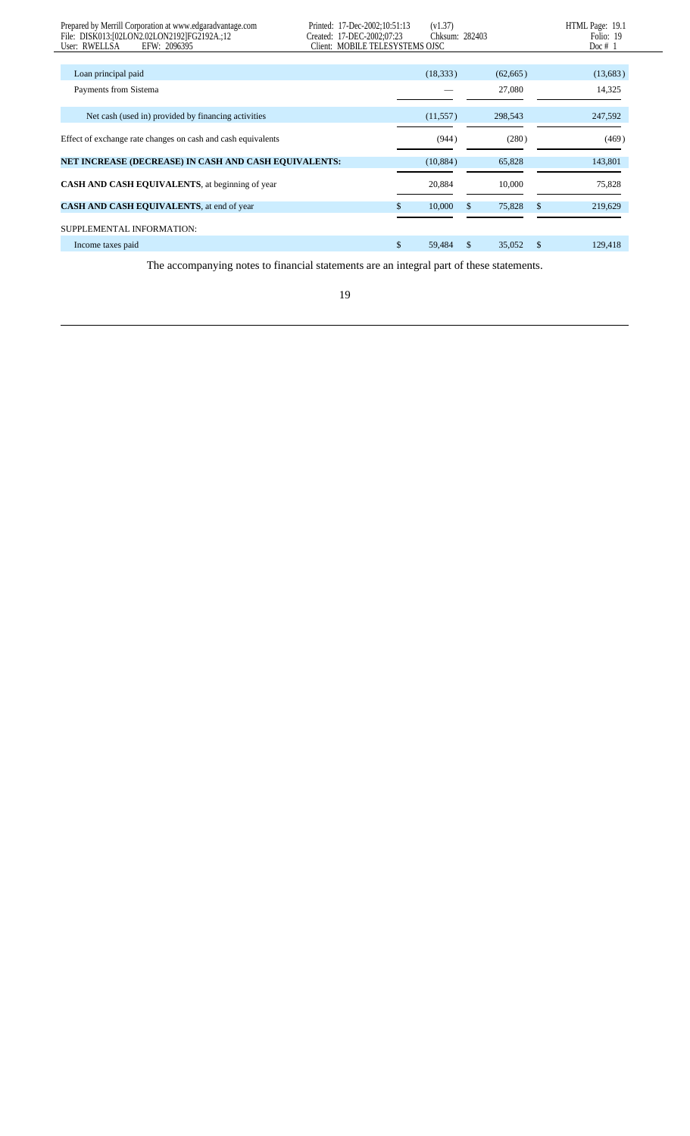| Prepared by Merrill Corporation at www.edgaradvantage.com<br>File: DISK013:[02LON2.02LON2192]FG2192A.;12<br>EFW: 2096395<br>User: RWELLSA | Printed: 17-Dec-2002:10:51:13<br>Created: 17-DEC-2002:07:23<br>Client: MOBILE TELESYSTEMS OJSC |     | (v1.37)<br>Chksum: 282403 |              |               | HTML Page: 19.1<br>Folio: 19<br>Doc $# 1$ |
|-------------------------------------------------------------------------------------------------------------------------------------------|------------------------------------------------------------------------------------------------|-----|---------------------------|--------------|---------------|-------------------------------------------|
|                                                                                                                                           |                                                                                                |     |                           |              |               |                                           |
| Loan principal paid                                                                                                                       |                                                                                                |     | (18, 333)                 | (62,665)     |               | (13,683)                                  |
| Payments from Sistema                                                                                                                     |                                                                                                |     |                           | 27,080       |               | 14,325                                    |
| Net cash (used in) provided by financing activities                                                                                       |                                                                                                |     | (11,557)                  | 298,543      |               | 247,592                                   |
| Effect of exchange rate changes on cash and cash equivalents                                                                              |                                                                                                |     | (944)                     | (280)        |               | (469)                                     |
| NET INCREASE (DECREASE) IN CASH AND CASH EQUIVALENTS:                                                                                     |                                                                                                |     | (10, 884)                 | 65,828       |               | 143,801                                   |
| <b>CASH AND CASH EQUIVALENTS, at beginning of year</b>                                                                                    |                                                                                                |     | 20,884                    | 10,000       |               | 75,828                                    |
| CASH AND CASH EQUIVALENTS, at end of year                                                                                                 |                                                                                                | \$. | 10,000                    | \$<br>75,828 | <sup>\$</sup> | 219,629                                   |
| SUPPLEMENTAL INFORMATION:                                                                                                                 |                                                                                                |     |                           |              |               |                                           |
| Income taxes paid                                                                                                                         |                                                                                                | \$  | 59,484                    | \$<br>35,052 | \$            | 129,418                                   |

The accompanying notes to financial statements are an integral part of these statements.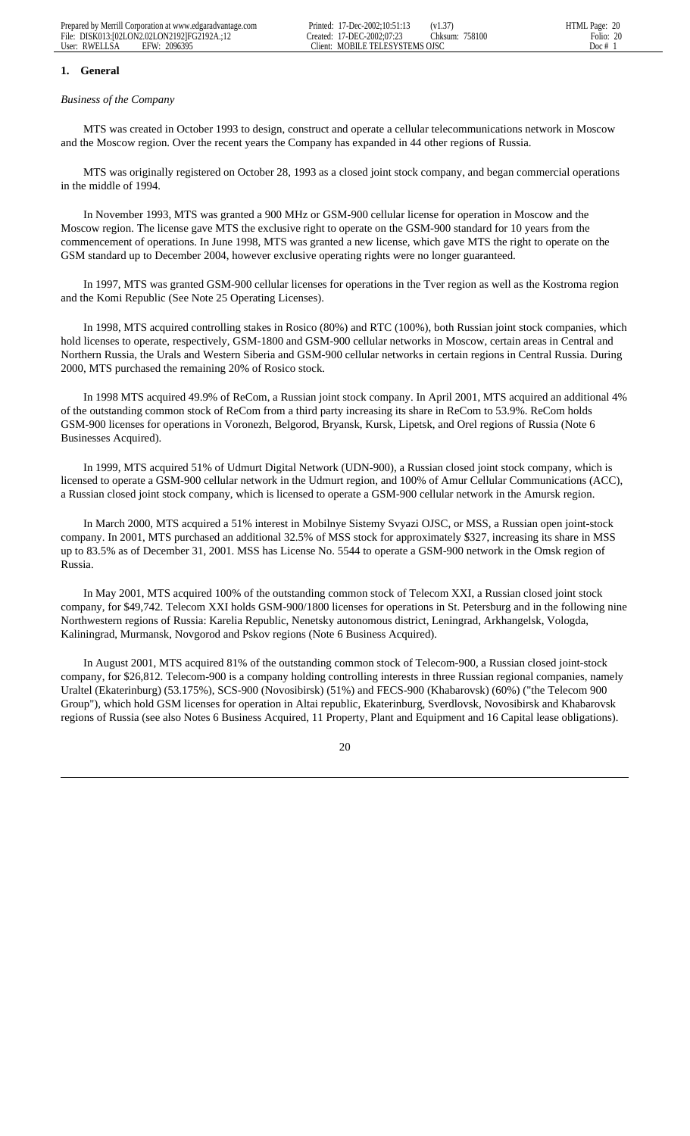## **1. General**

#### *Business of the Company*

 MTS was created in October 1993 to design, construct and operate a cellular telecommunications network in Moscow and the Moscow region. Over the recent years the Company has expanded in 44 other regions of Russia.

 MTS was originally registered on October 28, 1993 as a closed joint stock company, and began commercial operations in the middle of 1994.

 In November 1993, MTS was granted a 900 MHz or GSM-900 cellular license for operation in Moscow and the Moscow region. The license gave MTS the exclusive right to operate on the GSM-900 standard for 10 years from the commencement of operations. In June 1998, MTS was granted a new license, which gave MTS the right to operate on the GSM standard up to December 2004, however exclusive operating rights were no longer guaranteed.

 In 1997, MTS was granted GSM-900 cellular licenses for operations in the Tver region as well as the Kostroma region and the Komi Republic (See Note 25 Operating Licenses).

 In 1998, MTS acquired controlling stakes in Rosico (80%) and RTC (100%), both Russian joint stock companies, which hold licenses to operate, respectively, GSM-1800 and GSM-900 cellular networks in Moscow, certain areas in Central and Northern Russia, the Urals and Western Siberia and GSM-900 cellular networks in certain regions in Central Russia. During 2000, MTS purchased the remaining 20% of Rosico stock.

 In 1998 MTS acquired 49.9% of ReCom, a Russian joint stock company. In April 2001, MTS acquired an additional 4% of the outstanding common stock of ReCom from a third party increasing its share in ReCom to 53.9%. ReCom holds GSM-900 licenses for operations in Voronezh, Belgorod, Bryansk, Kursk, Lipetsk, and Orel regions of Russia (Note 6 Businesses Acquired).

 In 1999, MTS acquired 51% of Udmurt Digital Network (UDN-900), a Russian closed joint stock company, which is licensed to operate a GSM-900 cellular network in the Udmurt region, and 100% of Amur Cellular Communications (ACC), a Russian closed joint stock company, which is licensed to operate a GSM-900 cellular network in the Amursk region.

 In March 2000, MTS acquired a 51% interest in Mobilnye Sistemy Svyazi OJSC, or MSS, a Russian open joint-stock company. In 2001, MTS purchased an additional 32.5% of MSS stock for approximately \$327, increasing its share in MSS up to 83.5% as of December 31, 2001. MSS has License No. 5544 to operate a GSM-900 network in the Omsk region of Russia.

 In May 2001, MTS acquired 100% of the outstanding common stock of Telecom XXI, a Russian closed joint stock company, for \$49,742. Telecom XXI holds GSM-900/1800 licenses for operations in St. Petersburg and in the following nine Northwestern regions of Russia: Karelia Republic, Nenetsky autonomous district, Leningrad, Arkhangelsk, Vologda, Kaliningrad, Murmansk, Novgorod and Pskov regions (Note 6 Business Acquired).

 In August 2001, MTS acquired 81% of the outstanding common stock of Telecom-900, a Russian closed joint-stock company, for \$26,812. Telecom-900 is a company holding controlling interests in three Russian regional companies, namely Uraltel (Ekaterinburg) (53.175%), SCS-900 (Novosibirsk) (51%) and FECS-900 (Khabarovsk) (60%) ("the Telecom 900 Group"), which hold GSM licenses for operation in Altai republic, Ekaterinburg, Sverdlovsk, Novosibirsk and Khabarovsk regions of Russia (see also Notes 6 Business Acquired, 11 Property, Plant and Equipment and 16 Capital lease obligations).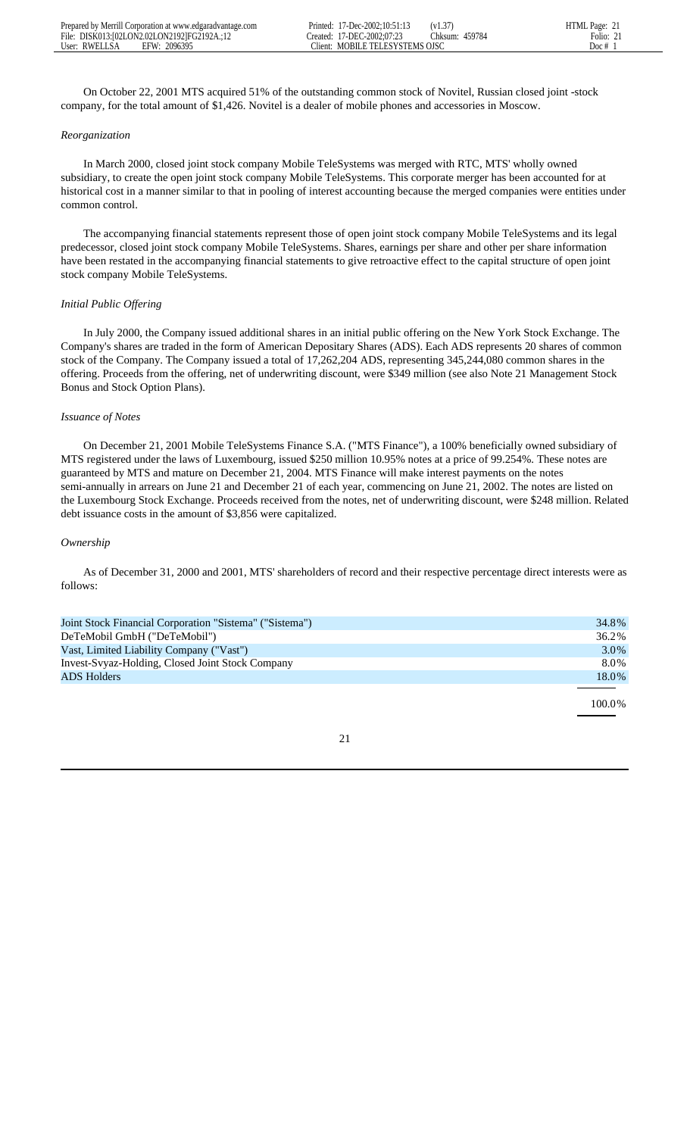On October 22, 2001 MTS acquired 51% of the outstanding common stock of Novitel, Russian closed joint -stock company, for the total amount of \$1,426. Novitel is a dealer of mobile phones and accessories in Moscow.

## *Reorganization*

 In March 2000, closed joint stock company Mobile TeleSystems was merged with RTC, MTS' wholly owned subsidiary, to create the open joint stock company Mobile TeleSystems. This corporate merger has been accounted for at historical cost in a manner similar to that in pooling of interest accounting because the merged companies were entities under common control.

 The accompanying financial statements represent those of open joint stock company Mobile TeleSystems and its legal predecessor, closed joint stock company Mobile TeleSystems. Shares, earnings per share and other per share information have been restated in the accompanying financial statements to give retroactive effect to the capital structure of open joint stock company Mobile TeleSystems.

# *Initial Public Offering*

 In July 2000, the Company issued additional shares in an initial public offering on the New York Stock Exchange. The Company's shares are traded in the form of American Depositary Shares (ADS). Each ADS represents 20 shares of common stock of the Company. The Company issued a total of 17,262,204 ADS, representing 345,244,080 common shares in the offering. Proceeds from the offering, net of underwriting discount, were \$349 million (see also Note 21 Management Stock Bonus and Stock Option Plans).

# *Issuance of Notes*

 On December 21, 2001 Mobile TeleSystems Finance S.A. ("MTS Finance"), a 100% beneficially owned subsidiary of MTS registered under the laws of Luxembourg, issued \$250 million 10.95% notes at a price of 99.254%. These notes are guaranteed by MTS and mature on December 21, 2004. MTS Finance will make interest payments on the notes semi-annually in arrears on June 21 and December 21 of each year, commencing on June 21, 2002. The notes are listed on the Luxembourg Stock Exchange. Proceeds received from the notes, net of underwriting discount, were \$248 million. Related debt issuance costs in the amount of \$3,856 were capitalized.

# *Ownership*

 As of December 31, 2000 and 2001, MTS' shareholders of record and their respective percentage direct interests were as follows:

| 34.8%  |
|--------|
| 36.2%  |
| 3.0%   |
| 8.0%   |
| 18.0%  |
|        |
| 100.0% |
|        |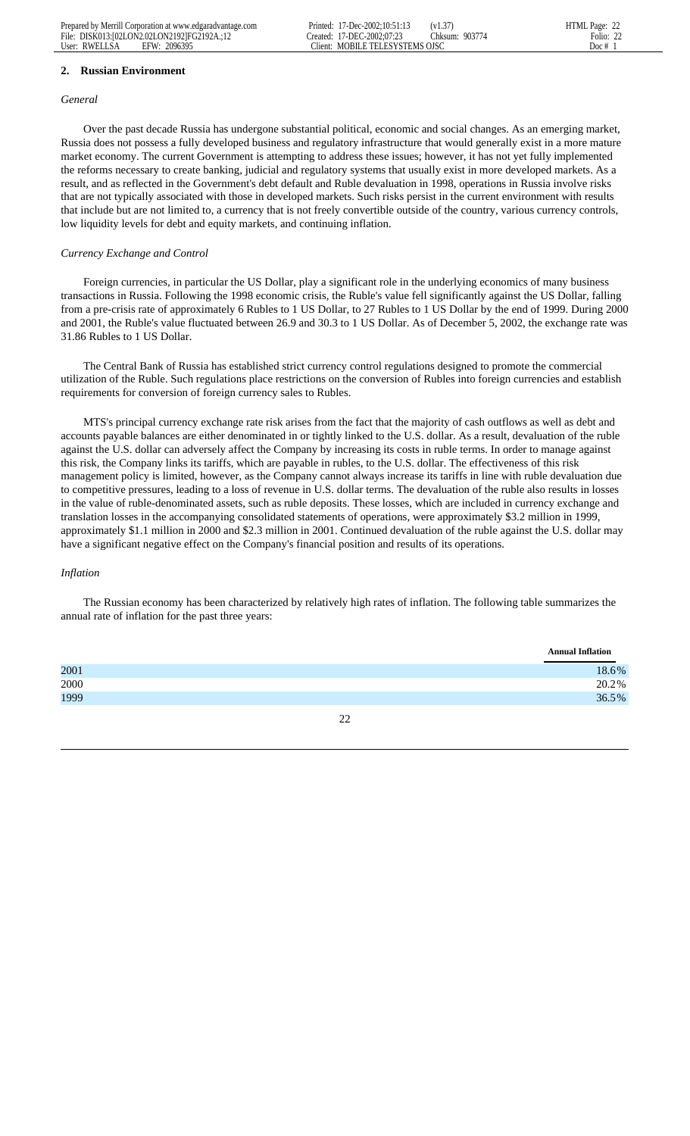#### **2. Russian Environment**

#### *General*

 Over the past decade Russia has undergone substantial political, economic and social changes. As an emerging market, Russia does not possess a fully developed business and regulatory infrastructure that would generally exist in a more mature market economy. The current Government is attempting to address these issues; however, it has not yet fully implemented the reforms necessary to create banking, judicial and regulatory systems that usually exist in more developed markets. As a result, and as reflected in the Government's debt default and Ruble devaluation in 1998, operations in Russia involve risks that are not typically associated with those in developed markets. Such risks persist in the current environment with results that include but are not limited to, a currency that is not freely convertible outside of the country, various currency controls, low liquidity levels for debt and equity markets, and continuing inflation.

## *Currency Exchange and Control*

 Foreign currencies, in particular the US Dollar, play a significant role in the underlying economics of many business transactions in Russia. Following the 1998 economic crisis, the Ruble's value fell significantly against the US Dollar, falling from a pre-crisis rate of approximately 6 Rubles to 1 US Dollar, to 27 Rubles to 1 US Dollar by the end of 1999. During 2000 and 2001, the Ruble's value fluctuated between 26.9 and 30.3 to 1 US Dollar. As of December 5, 2002, the exchange rate was 31.86 Rubles to 1 US Dollar.

 The Central Bank of Russia has established strict currency control regulations designed to promote the commercial utilization of the Ruble. Such regulations place restrictions on the conversion of Rubles into foreign currencies and establish requirements for conversion of foreign currency sales to Rubles.

 MTS's principal currency exchange rate risk arises from the fact that the majority of cash outflows as well as debt and accounts payable balances are either denominated in or tightly linked to the U.S. dollar. As a result, devaluation of the ruble against the U.S. dollar can adversely affect the Company by increasing its costs in ruble terms. In order to manage against this risk, the Company links its tariffs, which are payable in rubles, to the U.S. dollar. The effectiveness of this risk management policy is limited, however, as the Company cannot always increase its tariffs in line with ruble devaluation due to competitive pressures, leading to a loss of revenue in U.S. dollar terms. The devaluation of the ruble also results in losses in the value of ruble-denominated assets, such as ruble deposits. These losses, which are included in currency exchange and translation losses in the accompanying consolidated statements of operations, were approximately \$3.2 million in 1999, approximately \$1.1 million in 2000 and \$2.3 million in 2001. Continued devaluation of the ruble against the U.S. dollar may have a significant negative effect on the Company's financial position and results of its operations.

## *Inflation*

 The Russian economy has been characterized by relatively high rates of inflation. The following table summarizes the annual rate of inflation for the past three years:

|      | <b>Annual Inflation</b> |
|------|-------------------------|
| 2001 | 18.6%                   |
| 2000 | 20.2%                   |
| 1999 | 36.5%                   |
|      |                         |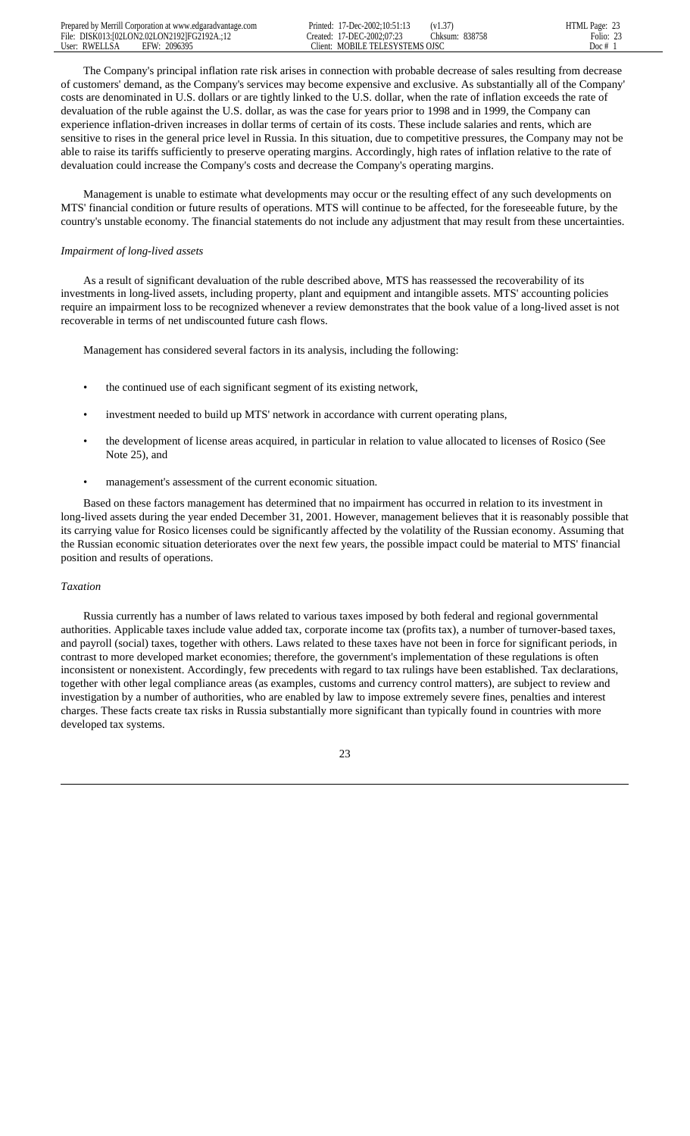| Prepared by Merrill Corporation at www.edgaradvantage.com | 17-Dec-2002:10:51:1?<br>Printed:<br>(v1.37)    | HTML Page: |
|-----------------------------------------------------------|------------------------------------------------|------------|
| File: DISK013:102LON2.02LON21921FG2192A.:12               | Chksum: 838758<br>17-DEC-2002:07:23<br>reated: | Folio:     |
| 2096395<br>User: RWELLSA<br>EFW:                          | MOBILE TELESYSTEMS OISC<br>Tlient:             | Doc #      |

 The Company's principal inflation rate risk arises in connection with probable decrease of sales resulting from decrease of customers' demand, as the Company's services may become expensive and exclusive. As substantially all of the Company' costs are denominated in U.S. dollars or are tightly linked to the U.S. dollar, when the rate of inflation exceeds the rate of devaluation of the ruble against the U.S. dollar, as was the case for years prior to 1998 and in 1999, the Company can experience inflation-driven increases in dollar terms of certain of its costs. These include salaries and rents, which are sensitive to rises in the general price level in Russia. In this situation, due to competitive pressures, the Company may not be able to raise its tariffs sufficiently to preserve operating margins. Accordingly, high rates of inflation relative to the rate of devaluation could increase the Company's costs and decrease the Company's operating margins.

 Management is unable to estimate what developments may occur or the resulting effect of any such developments on MTS' financial condition or future results of operations. MTS will continue to be affected, for the foreseeable future, by the country's unstable economy. The financial statements do not include any adjustment that may result from these uncertainties.

# *Impairment of long-lived assets*

 As a result of significant devaluation of the ruble described above, MTS has reassessed the recoverability of its investments in long-lived assets, including property, plant and equipment and intangible assets. MTS' accounting policies require an impairment loss to be recognized whenever a review demonstrates that the book value of a long-lived asset is not recoverable in terms of net undiscounted future cash flows.

Management has considered several factors in its analysis, including the following:

- the continued use of each significant segment of its existing network,
- investment needed to build up MTS' network in accordance with current operating plans,
- the development of license areas acquired, in particular in relation to value allocated to licenses of Rosico (See Note 25), and
- management's assessment of the current economic situation.

 Based on these factors management has determined that no impairment has occurred in relation to its investment in long-lived assets during the year ended December 31, 2001. However, management believes that it is reasonably possible that its carrying value for Rosico licenses could be significantly affected by the volatility of the Russian economy. Assuming that the Russian economic situation deteriorates over the next few years, the possible impact could be material to MTS' financial position and results of operations.

## *Taxation*

 Russia currently has a number of laws related to various taxes imposed by both federal and regional governmental authorities. Applicable taxes include value added tax, corporate income tax (profits tax), a number of turnover-based taxes, and payroll (social) taxes, together with others. Laws related to these taxes have not been in force for significant periods, in contrast to more developed market economies; therefore, the government's implementation of these regulations is often inconsistent or nonexistent. Accordingly, few precedents with regard to tax rulings have been established. Tax declarations, together with other legal compliance areas (as examples, customs and currency control matters), are subject to review and investigation by a number of authorities, who are enabled by law to impose extremely severe fines, penalties and interest charges. These facts create tax risks in Russia substantially more significant than typically found in countries with more developed tax systems.

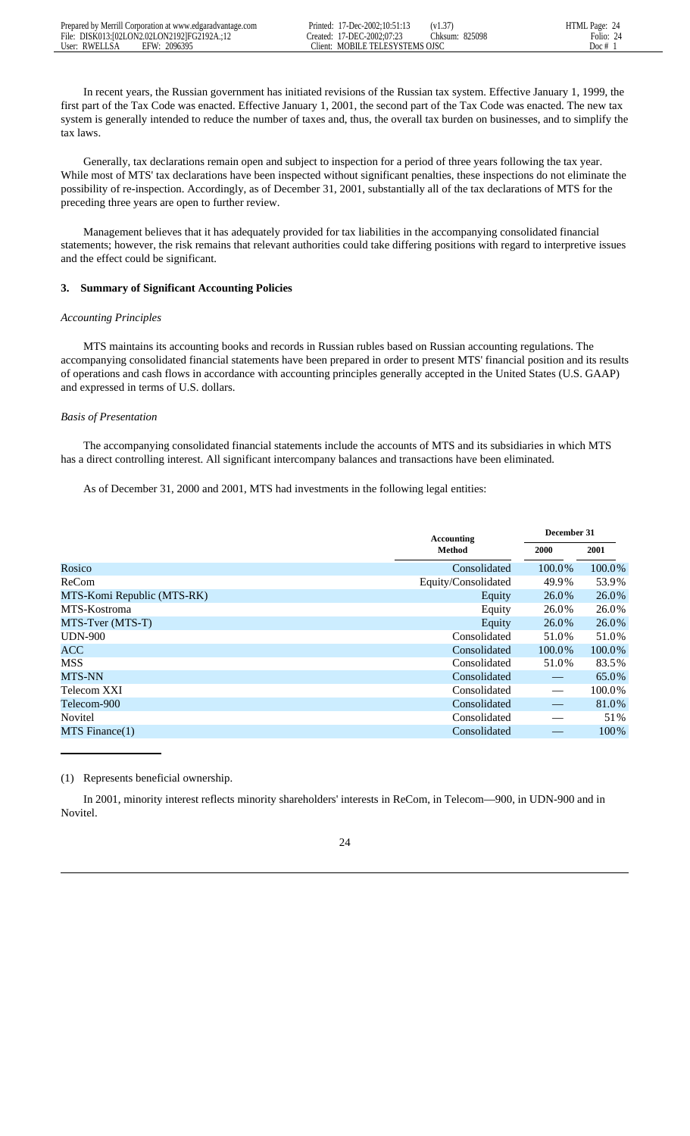In recent years, the Russian government has initiated revisions of the Russian tax system. Effective January 1, 1999, the first part of the Tax Code was enacted. Effective January 1, 2001, the second part of the Tax Code was enacted. The new tax system is generally intended to reduce the number of taxes and, thus, the overall tax burden on businesses, and to simplify the tax laws.

 Generally, tax declarations remain open and subject to inspection for a period of three years following the tax year. While most of MTS' tax declarations have been inspected without significant penalties, these inspections do not eliminate the possibility of re-inspection. Accordingly, as of December 31, 2001, substantially all of the tax declarations of MTS for the preceding three years are open to further review.

 Management believes that it has adequately provided for tax liabilities in the accompanying consolidated financial statements; however, the risk remains that relevant authorities could take differing positions with regard to interpretive issues and the effect could be significant.

# **3. Summary of Significant Accounting Policies**

# *Accounting Principles*

 MTS maintains its accounting books and records in Russian rubles based on Russian accounting regulations. The accompanying consolidated financial statements have been prepared in order to present MTS' financial position and its results of operations and cash flows in accordance with accounting principles generally accepted in the United States (U.S. GAAP) and expressed in terms of U.S. dollars.

#### *Basis of Presentation*

 The accompanying consolidated financial statements include the accounts of MTS and its subsidiaries in which MTS has a direct controlling interest. All significant intercompany balances and transactions have been eliminated.

As of December 31, 2000 and 2001, MTS had investments in the following legal entities:

|                            | <b>Accounting</b>   | December 31              |        |  |
|----------------------------|---------------------|--------------------------|--------|--|
|                            | Method              | <b>2000</b>              | 2001   |  |
| Rosico                     | Consolidated        | 100.0%                   | 100.0% |  |
| ReCom                      | Equity/Consolidated | 49.9%                    | 53.9%  |  |
| MTS-Komi Republic (MTS-RK) | Equity              | 26.0%                    | 26.0%  |  |
| MTS-Kostroma               | Equity              | 26.0%                    | 26.0%  |  |
|                            | Equity              | 26.0%                    | 26.0%  |  |
| <b>UDN-900</b>             | Consolidated        | 51.0%                    | 51.0%  |  |
| <b>ACC</b>                 | Consolidated        | 100.0%                   | 100.0% |  |
| <b>MSS</b>                 | Consolidated        | 51.0%                    | 83.5%  |  |
|                            | Consolidated        |                          | 65.0%  |  |
| Telecom XXI                | Consolidated        | $\overline{\phantom{0}}$ | 100.0% |  |
| Telecom-900                | Consolidated        |                          | 81.0%  |  |
| Novitel                    | Consolidated        |                          | 51%    |  |
| $MTS$ Finance $(1)$        | Consolidated        |                          | 100%   |  |
| MTS-Tver (MTS-T)<br>MTS-NN |                     |                          |        |  |

## (1) Represents beneficial ownership.

 In 2001, minority interest reflects minority shareholders' interests in ReCom, in Telecom—900, in UDN-900 and in Novitel.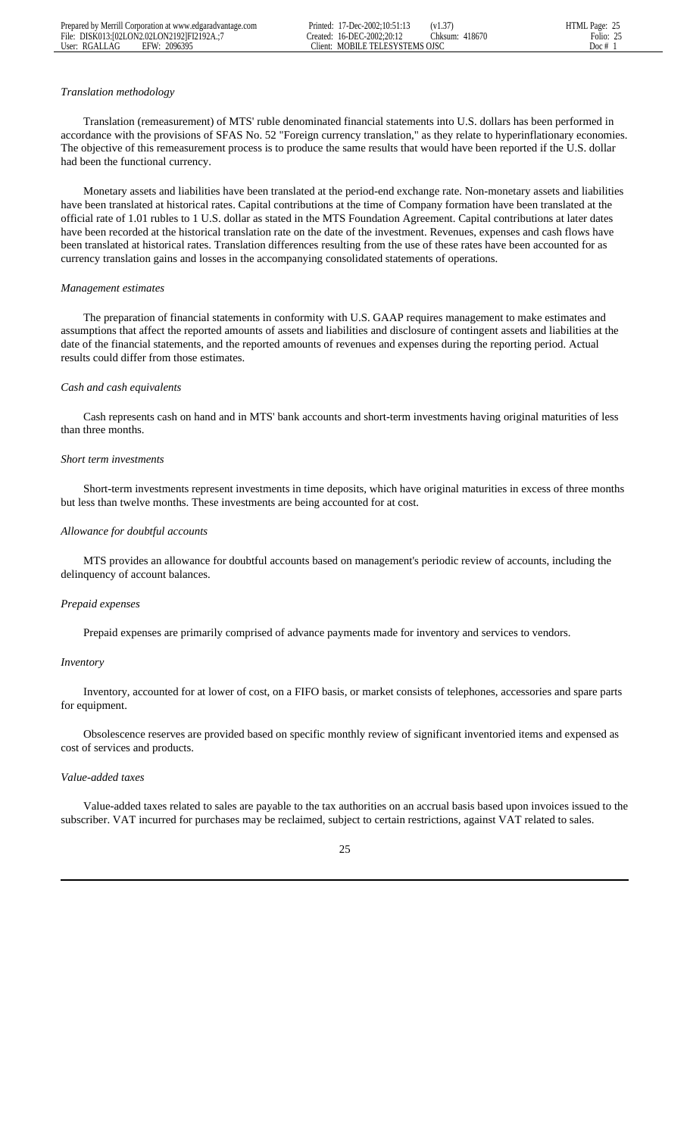## *Translation methodology*

 Translation (remeasurement) of MTS' ruble denominated financial statements into U.S. dollars has been performed in accordance with the provisions of SFAS No. 52 "Foreign currency translation," as they relate to hyperinflationary economies. The objective of this remeasurement process is to produce the same results that would have been reported if the U.S. dollar had been the functional currency.

 Monetary assets and liabilities have been translated at the period-end exchange rate. Non-monetary assets and liabilities have been translated at historical rates. Capital contributions at the time of Company formation have been translated at the official rate of 1.01 rubles to 1 U.S. dollar as stated in the MTS Foundation Agreement. Capital contributions at later dates have been recorded at the historical translation rate on the date of the investment. Revenues, expenses and cash flows have been translated at historical rates. Translation differences resulting from the use of these rates have been accounted for as currency translation gains and losses in the accompanying consolidated statements of operations.

#### *Management estimates*

 The preparation of financial statements in conformity with U.S. GAAP requires management to make estimates and assumptions that affect the reported amounts of assets and liabilities and disclosure of contingent assets and liabilities at the date of the financial statements, and the reported amounts of revenues and expenses during the reporting period. Actual results could differ from those estimates.

## *Cash and cash equivalents*

 Cash represents cash on hand and in MTS' bank accounts and short-term investments having original maturities of less than three months.

#### *Short term investments*

 Short-term investments represent investments in time deposits, which have original maturities in excess of three months but less than twelve months. These investments are being accounted for at cost.

### *Allowance for doubtful accounts*

 MTS provides an allowance for doubtful accounts based on management's periodic review of accounts, including the delinquency of account balances.

## *Prepaid expenses*

Prepaid expenses are primarily comprised of advance payments made for inventory and services to vendors.

#### *Inventory*

 Inventory, accounted for at lower of cost, on a FIFO basis, or market consists of telephones, accessories and spare parts for equipment.

 Obsolescence reserves are provided based on specific monthly review of significant inventoried items and expensed as cost of services and products.

# *Value-added taxes*

 Value-added taxes related to sales are payable to the tax authorities on an accrual basis based upon invoices issued to the subscriber. VAT incurred for purchases may be reclaimed, subject to certain restrictions, against VAT related to sales.

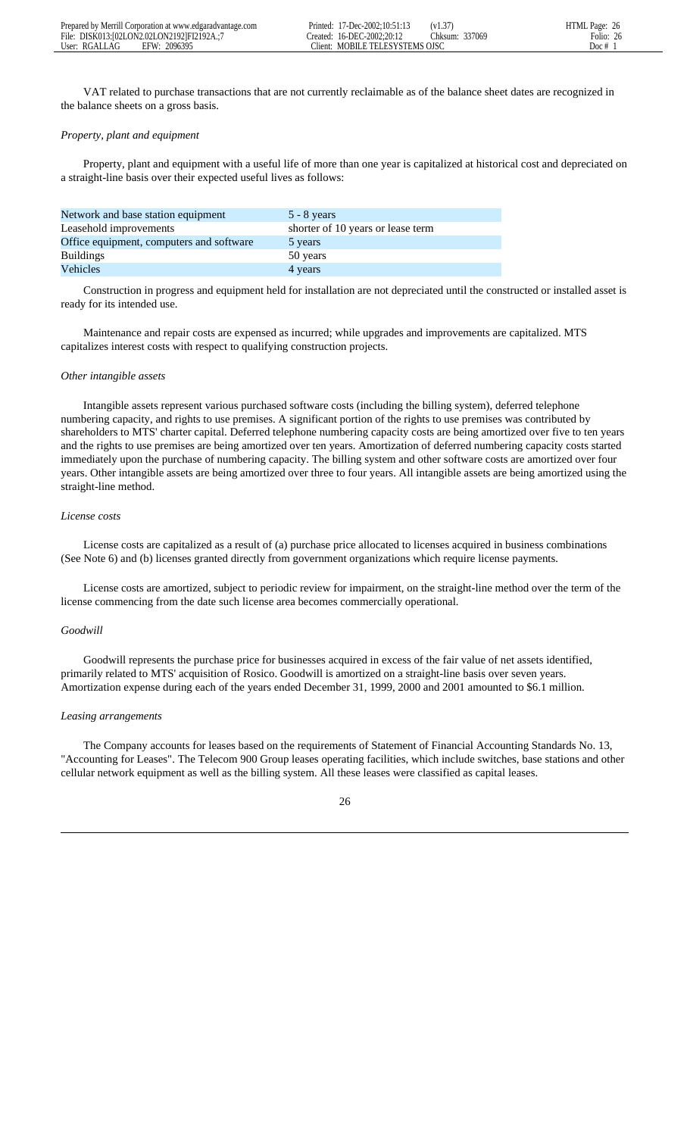|               | Prepared by Merrill Corporation at www.edgaradvantage.com | 17-Dec-2002:10:51:13<br>Printed:   | $\sim$<br>(V1.5)  | $P$ age: 26<br><b>HTML</b> |
|---------------|-----------------------------------------------------------|------------------------------------|-------------------|----------------------------|
| File:         | DISK013:102LON2.02LON21921FI2192A.:7                      | 16-DEC-2002:20:12<br>reated:       | 337069<br>.hksum: | 26<br>Folio:               |
| User: RGALLAG | 2096395<br>FFW                                            | "lient:<br>MOBILE TELESYSTEMS OISC |                   | Doc #                      |

 VAT related to purchase transactions that are not currently reclaimable as of the balance sheet dates are recognized in the balance sheets on a gross basis.

# *Property, plant and equipment*

 Property, plant and equipment with a useful life of more than one year is capitalized at historical cost and depreciated on a straight-line basis over their expected useful lives as follows:

| Network and base station equipment       | $5 - 8$ years                     |
|------------------------------------------|-----------------------------------|
| Leasehold improvements                   | shorter of 10 years or lease term |
| Office equipment, computers and software | 5 years                           |
| <b>Buildings</b>                         | 50 years                          |
| <b>Vehicles</b>                          | 4 years                           |

 Construction in progress and equipment held for installation are not depreciated until the constructed or installed asset is ready for its intended use.

 Maintenance and repair costs are expensed as incurred; while upgrades and improvements are capitalized. MTS capitalizes interest costs with respect to qualifying construction projects.

#### *Other intangible assets*

 Intangible assets represent various purchased software costs (including the billing system), deferred telephone numbering capacity, and rights to use premises. A significant portion of the rights to use premises was contributed by shareholders to MTS' charter capital. Deferred telephone numbering capacity costs are being amortized over five to ten years and the rights to use premises are being amortized over ten years. Amortization of deferred numbering capacity costs started immediately upon the purchase of numbering capacity. The billing system and other software costs are amortized over four years. Other intangible assets are being amortized over three to four years. All intangible assets are being amortized using the straight-line method.

# *License costs*

 License costs are capitalized as a result of (a) purchase price allocated to licenses acquired in business combinations (See Note 6) and (b) licenses granted directly from government organizations which require license payments.

 License costs are amortized, subject to periodic review for impairment, on the straight-line method over the term of the license commencing from the date such license area becomes commercially operational.

#### *Goodwill*

 Goodwill represents the purchase price for businesses acquired in excess of the fair value of net assets identified, primarily related to MTS' acquisition of Rosico. Goodwill is amortized on a straight-line basis over seven years. Amortization expense during each of the years ended December 31, 1999, 2000 and 2001 amounted to \$6.1 million.

#### *Leasing arrangements*

 The Company accounts for leases based on the requirements of Statement of Financial Accounting Standards No. 13, "Accounting for Leases". The Telecom 900 Group leases operating facilities, which include switches, base stations and other cellular network equipment as well as the billing system. All these leases were classified as capital leases.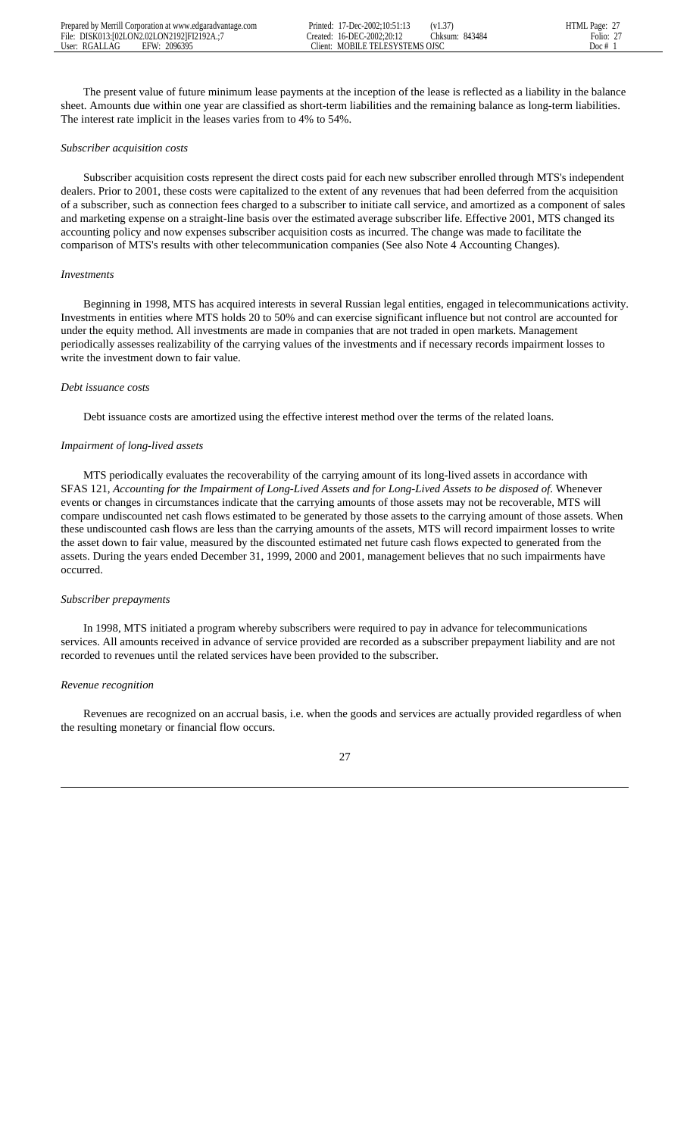The present value of future minimum lease payments at the inception of the lease is reflected as a liability in the balance sheet. Amounts due within one year are classified as short-term liabilities and the remaining balance as long-term liabilities. The interest rate implicit in the leases varies from to 4% to 54%.

## *Subscriber acquisition costs*

 Subscriber acquisition costs represent the direct costs paid for each new subscriber enrolled through MTS's independent dealers. Prior to 2001, these costs were capitalized to the extent of any revenues that had been deferred from the acquisition of a subscriber, such as connection fees charged to a subscriber to initiate call service, and amortized as a component of sales and marketing expense on a straight-line basis over the estimated average subscriber life. Effective 2001, MTS changed its accounting policy and now expenses subscriber acquisition costs as incurred. The change was made to facilitate the comparison of MTS's results with other telecommunication companies (See also Note 4 Accounting Changes).

#### *Investments*

 Beginning in 1998, MTS has acquired interests in several Russian legal entities, engaged in telecommunications activity. Investments in entities where MTS holds 20 to 50% and can exercise significant influence but not control are accounted for under the equity method. All investments are made in companies that are not traded in open markets. Management periodically assesses realizability of the carrying values of the investments and if necessary records impairment losses to write the investment down to fair value.

#### *Debt issuance costs*

Debt issuance costs are amortized using the effective interest method over the terms of the related loans.

### *Impairment of long-lived assets*

 MTS periodically evaluates the recoverability of the carrying amount of its long-lived assets in accordance with SFAS 121, *Accounting for the Impairment of Long-Lived Assets and for Long-Lived Assets to be disposed of*. Whenever events or changes in circumstances indicate that the carrying amounts of those assets may not be recoverable, MTS will compare undiscounted net cash flows estimated to be generated by those assets to the carrying amount of those assets. When these undiscounted cash flows are less than the carrying amounts of the assets, MTS will record impairment losses to write the asset down to fair value, measured by the discounted estimated net future cash flows expected to generated from the assets. During the years ended December 31, 1999, 2000 and 2001, management believes that no such impairments have occurred.

# *Subscriber prepayments*

 In 1998, MTS initiated a program whereby subscribers were required to pay in advance for telecommunications services. All amounts received in advance of service provided are recorded as a subscriber prepayment liability and are not recorded to revenues until the related services have been provided to the subscriber.

## *Revenue recognition*

 Revenues are recognized on an accrual basis, i.e. when the goods and services are actually provided regardless of when the resulting monetary or financial flow occurs.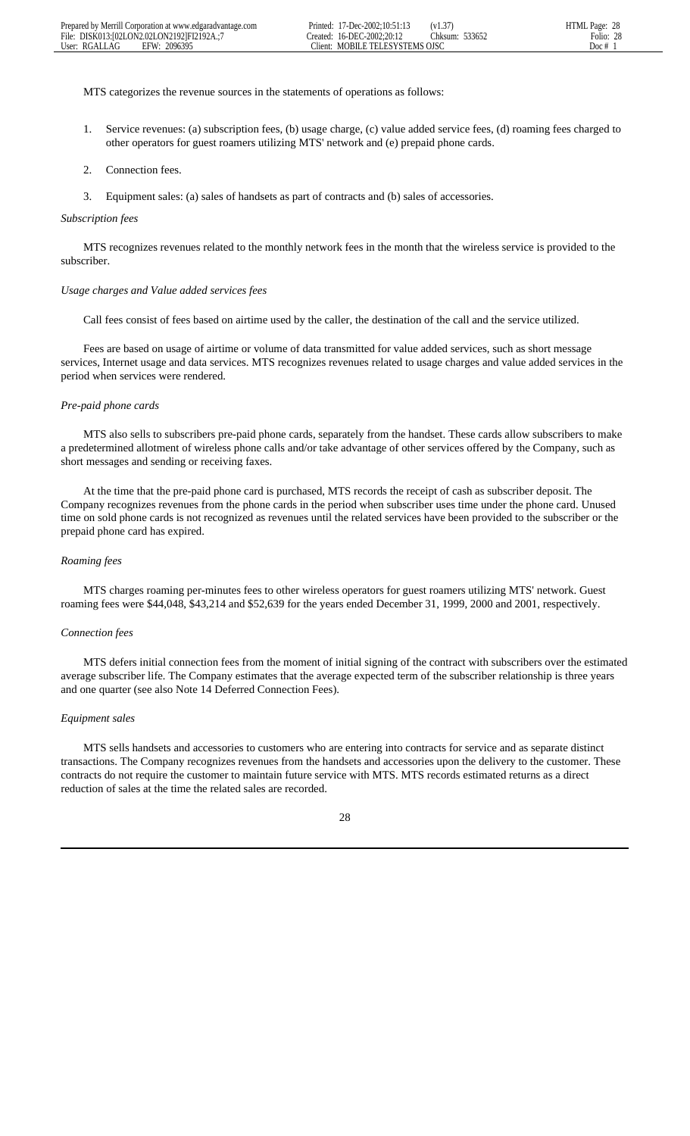MTS categorizes the revenue sources in the statements of operations as follows:

- 1. Service revenues: (a) subscription fees, (b) usage charge, (c) value added service fees, (d) roaming fees charged to other operators for guest roamers utilizing MTS' network and (e) prepaid phone cards.
- 2. Connection fees.
- 3. Equipment sales: (a) sales of handsets as part of contracts and (b) sales of accessories.

#### *Subscription fees*

 MTS recognizes revenues related to the monthly network fees in the month that the wireless service is provided to the subscriber.

#### *Usage charges and Value added services fees*

Call fees consist of fees based on airtime used by the caller, the destination of the call and the service utilized.

 Fees are based on usage of airtime or volume of data transmitted for value added services, such as short message services, Internet usage and data services. MTS recognizes revenues related to usage charges and value added services in the period when services were rendered.

## *Pre-paid phone cards*

 MTS also sells to subscribers pre-paid phone cards, separately from the handset. These cards allow subscribers to make a predetermined allotment of wireless phone calls and/or take advantage of other services offered by the Company, such as short messages and sending or receiving faxes.

 At the time that the pre-paid phone card is purchased, MTS records the receipt of cash as subscriber deposit. The Company recognizes revenues from the phone cards in the period when subscriber uses time under the phone card. Unused time on sold phone cards is not recognized as revenues until the related services have been provided to the subscriber or the prepaid phone card has expired.

#### *Roaming fees*

 MTS charges roaming per-minutes fees to other wireless operators for guest roamers utilizing MTS' network. Guest roaming fees were \$44,048, \$43,214 and \$52,639 for the years ended December 31, 1999, 2000 and 2001, respectively.

#### *Connection fees*

 MTS defers initial connection fees from the moment of initial signing of the contract with subscribers over the estimated average subscriber life*.* The Company estimates that the average expected term of the subscriber relationship is three years and one quarter (see also Note 14 Deferred Connection Fees).

## *Equipment sales*

 MTS sells handsets and accessories to customers who are entering into contracts for service and as separate distinct transactions. The Company recognizes revenues from the handsets and accessories upon the delivery to the customer. These contracts do not require the customer to maintain future service with MTS. MTS records estimated returns as a direct reduction of sales at the time the related sales are recorded.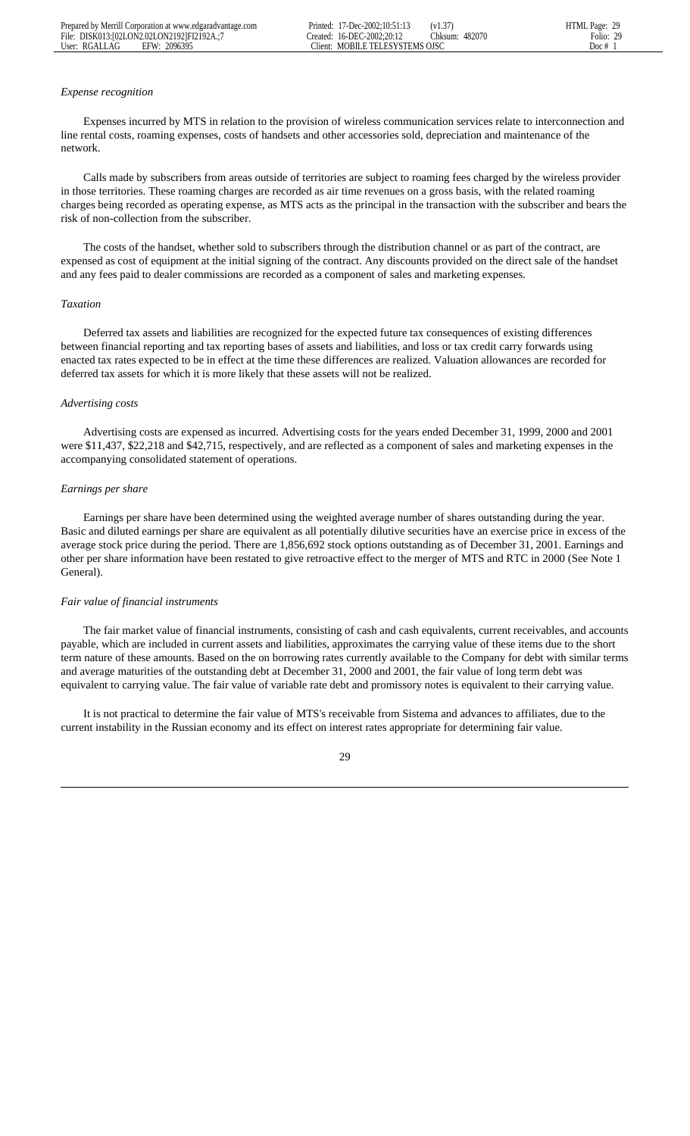#### *Expense recognition*

 Expenses incurred by MTS in relation to the provision of wireless communication services relate to interconnection and line rental costs, roaming expenses, costs of handsets and other accessories sold, depreciation and maintenance of the network.

 Calls made by subscribers from areas outside of territories are subject to roaming fees charged by the wireless provider in those territories. These roaming charges are recorded as air time revenues on a gross basis, with the related roaming charges being recorded as operating expense, as MTS acts as the principal in the transaction with the subscriber and bears the risk of non-collection from the subscriber.

 The costs of the handset, whether sold to subscribers through the distribution channel or as part of the contract, are expensed as cost of equipment at the initial signing of the contract. Any discounts provided on the direct sale of the handset and any fees paid to dealer commissions are recorded as a component of sales and marketing expenses.

#### *Taxation*

 Deferred tax assets and liabilities are recognized for the expected future tax consequences of existing differences between financial reporting and tax reporting bases of assets and liabilities, and loss or tax credit carry forwards using enacted tax rates expected to be in effect at the time these differences are realized. Valuation allowances are recorded for deferred tax assets for which it is more likely that these assets will not be realized.

#### *Advertising costs*

 Advertising costs are expensed as incurred. Advertising costs for the years ended December 31, 1999, 2000 and 2001 were \$11,437, \$22,218 and \$42,715, respectively, and are reflected as a component of sales and marketing expenses in the accompanying consolidated statement of operations.

#### *Earnings per share*

 Earnings per share have been determined using the weighted average number of shares outstanding during the year. Basic and diluted earnings per share are equivalent as all potentially dilutive securities have an exercise price in excess of the average stock price during the period. There are 1,856,692 stock options outstanding as of December 31, 2001. Earnings and other per share information have been restated to give retroactive effect to the merger of MTS and RTC in 2000 (See Note 1 General).

### *Fair value of financial instruments*

 The fair market value of financial instruments, consisting of cash and cash equivalents, current receivables, and accounts payable, which are included in current assets and liabilities, approximates the carrying value of these items due to the short term nature of these amounts. Based on the on borrowing rates currently available to the Company for debt with similar terms and average maturities of the outstanding debt at December 31, 2000 and 2001, the fair value of long term debt was equivalent to carrying value. The fair value of variable rate debt and promissory notes is equivalent to their carrying value.

 It is not practical to determine the fair value of MTS's receivable from Sistema and advances to affiliates, due to the current instability in the Russian economy and its effect on interest rates appropriate for determining fair value.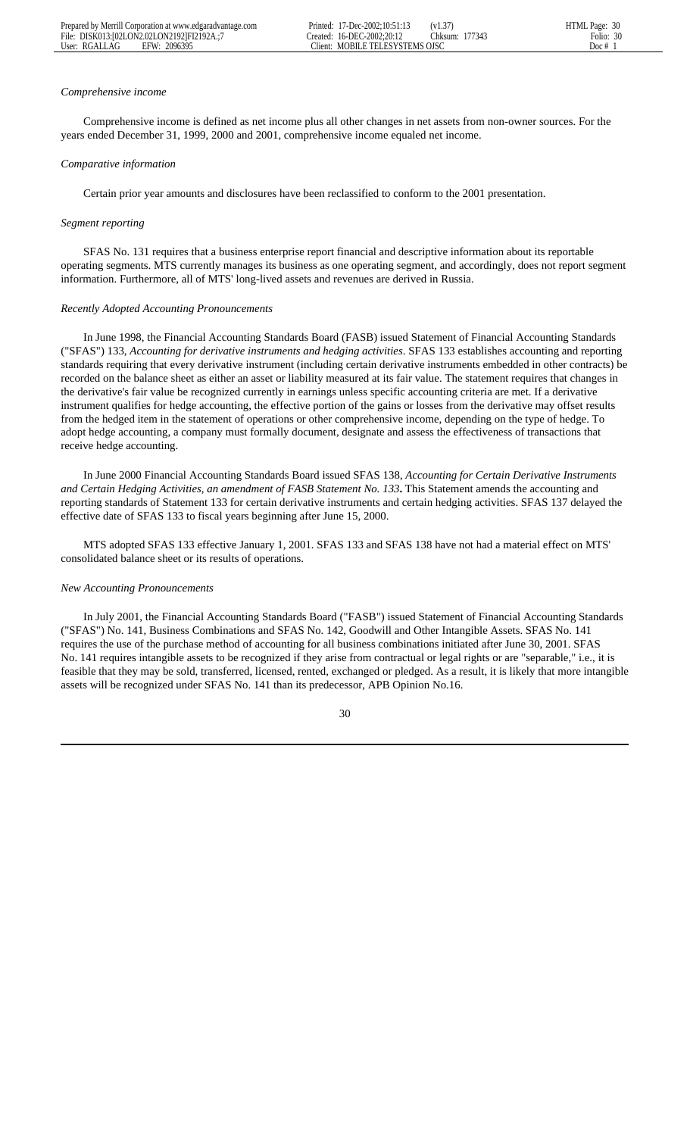#### *Comprehensive income*

 Comprehensive income is defined as net income plus all other changes in net assets from non-owner sources. For the years ended December 31, 1999, 2000 and 2001, comprehensive income equaled net income.

#### *Comparative information*

Certain prior year amounts and disclosures have been reclassified to conform to the 2001 presentation.

#### *Segment reporting*

 SFAS No. 131 requires that a business enterprise report financial and descriptive information about its reportable operating segments. MTS currently manages its business as one operating segment, and accordingly, does not report segment information. Furthermore, all of MTS' long-lived assets and revenues are derived in Russia.

#### *Recently Adopted Accounting Pronouncements*

 In June 1998, the Financial Accounting Standards Board (FASB) issued Statement of Financial Accounting Standards ("SFAS") 133, *Accounting for derivative instruments and hedging activities*. SFAS 133 establishes accounting and reporting standards requiring that every derivative instrument (including certain derivative instruments embedded in other contracts) be recorded on the balance sheet as either an asset or liability measured at its fair value. The statement requires that changes in the derivative's fair value be recognized currently in earnings unless specific accounting criteria are met. If a derivative instrument qualifies for hedge accounting, the effective portion of the gains or losses from the derivative may offset results from the hedged item in the statement of operations or other comprehensive income, depending on the type of hedge. To adopt hedge accounting, a company must formally document, designate and assess the effectiveness of transactions that receive hedge accounting.

 In June 2000 Financial Accounting Standards Board issued SFAS 138, *Accounting for Certain Derivative Instruments and Certain Hedging Activities, an amendment of FASB Statement No. 133***.** This Statement amends the accounting and reporting standards of Statement 133 for certain derivative instruments and certain hedging activities. SFAS 137 delayed the effective date of SFAS 133 to fiscal years beginning after June 15, 2000.

 MTS adopted SFAS 133 effective January 1, 2001. SFAS 133 and SFAS 138 have not had a material effect on MTS' consolidated balance sheet or its results of operations.

#### *New Accounting Pronouncements*

 In July 2001, the Financial Accounting Standards Board ("FASB") issued Statement of Financial Accounting Standards ("SFAS") No. 141, Business Combinations and SFAS No. 142, Goodwill and Other Intangible Assets. SFAS No. 141 requires the use of the purchase method of accounting for all business combinations initiated after June 30, 2001. SFAS No. 141 requires intangible assets to be recognized if they arise from contractual or legal rights or are "separable," i.e., it is feasible that they may be sold, transferred, licensed, rented, exchanged or pledged. As a result, it is likely that more intangible assets will be recognized under SFAS No. 141 than its predecessor, APB Opinion No.16.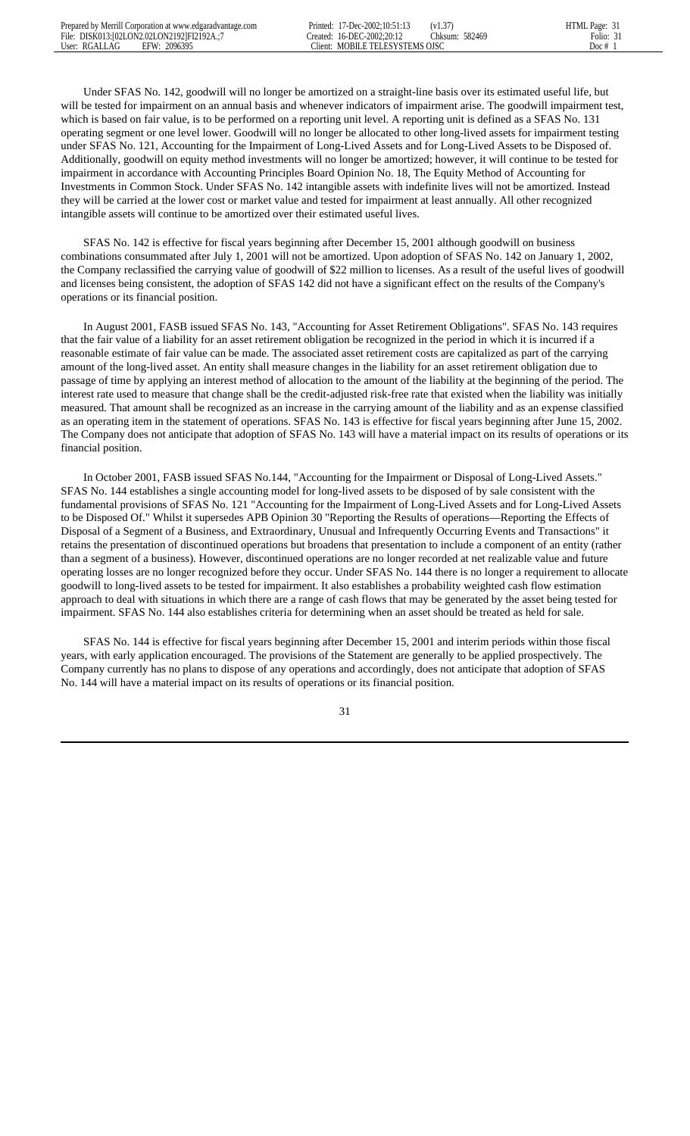Under SFAS No. 142, goodwill will no longer be amortized on a straight-line basis over its estimated useful life, but will be tested for impairment on an annual basis and whenever indicators of impairment arise. The goodwill impairment test, which is based on fair value, is to be performed on a reporting unit level. A reporting unit is defined as a SFAS No. 131 operating segment or one level lower. Goodwill will no longer be allocated to other long-lived assets for impairment testing under SFAS No. 121, Accounting for the Impairment of Long-Lived Assets and for Long-Lived Assets to be Disposed of. Additionally, goodwill on equity method investments will no longer be amortized; however, it will continue to be tested for impairment in accordance with Accounting Principles Board Opinion No. 18, The Equity Method of Accounting for Investments in Common Stock. Under SFAS No. 142 intangible assets with indefinite lives will not be amortized. Instead they will be carried at the lower cost or market value and tested for impairment at least annually. All other recognized intangible assets will continue to be amortized over their estimated useful lives.

 SFAS No. 142 is effective for fiscal years beginning after December 15, 2001 although goodwill on business combinations consummated after July 1, 2001 will not be amortized. Upon adoption of SFAS No. 142 on January 1, 2002, the Company reclassified the carrying value of goodwill of \$22 million to licenses. As a result of the useful lives of goodwill and licenses being consistent, the adoption of SFAS 142 did not have a significant effect on the results of the Company's operations or its financial position.

 In August 2001, FASB issued SFAS No. 143, "Accounting for Asset Retirement Obligations". SFAS No. 143 requires that the fair value of a liability for an asset retirement obligation be recognized in the period in which it is incurred if a reasonable estimate of fair value can be made. The associated asset retirement costs are capitalized as part of the carrying amount of the long-lived asset. An entity shall measure changes in the liability for an asset retirement obligation due to passage of time by applying an interest method of allocation to the amount of the liability at the beginning of the period. The interest rate used to measure that change shall be the credit-adjusted risk-free rate that existed when the liability was initially measured. That amount shall be recognized as an increase in the carrying amount of the liability and as an expense classified as an operating item in the statement of operations. SFAS No. 143 is effective for fiscal years beginning after June 15, 2002. The Company does not anticipate that adoption of SFAS No. 143 will have a material impact on its results of operations or its financial position.

 In October 2001, FASB issued SFAS No.144, "Accounting for the Impairment or Disposal of Long-Lived Assets." SFAS No. 144 establishes a single accounting model for long-lived assets to be disposed of by sale consistent with the fundamental provisions of SFAS No. 121 "Accounting for the Impairment of Long-Lived Assets and for Long-Lived Assets to be Disposed Of." Whilst it supersedes APB Opinion 30 "Reporting the Results of operations—Reporting the Effects of Disposal of a Segment of a Business, and Extraordinary, Unusual and Infrequently Occurring Events and Transactions" it retains the presentation of discontinued operations but broadens that presentation to include a component of an entity (rather than a segment of a business). However, discontinued operations are no longer recorded at net realizable value and future operating losses are no longer recognized before they occur. Under SFAS No. 144 there is no longer a requirement to allocate goodwill to long-lived assets to be tested for impairment. It also establishes a probability weighted cash flow estimation approach to deal with situations in which there are a range of cash flows that may be generated by the asset being tested for impairment. SFAS No. 144 also establishes criteria for determining when an asset should be treated as held for sale.

 SFAS No. 144 is effective for fiscal years beginning after December 15, 2001 and interim periods within those fiscal years, with early application encouraged. The provisions of the Statement are generally to be applied prospectively. The Company currently has no plans to dispose of any operations and accordingly, does not anticipate that adoption of SFAS No. 144 will have a material impact on its results of operations or its financial position.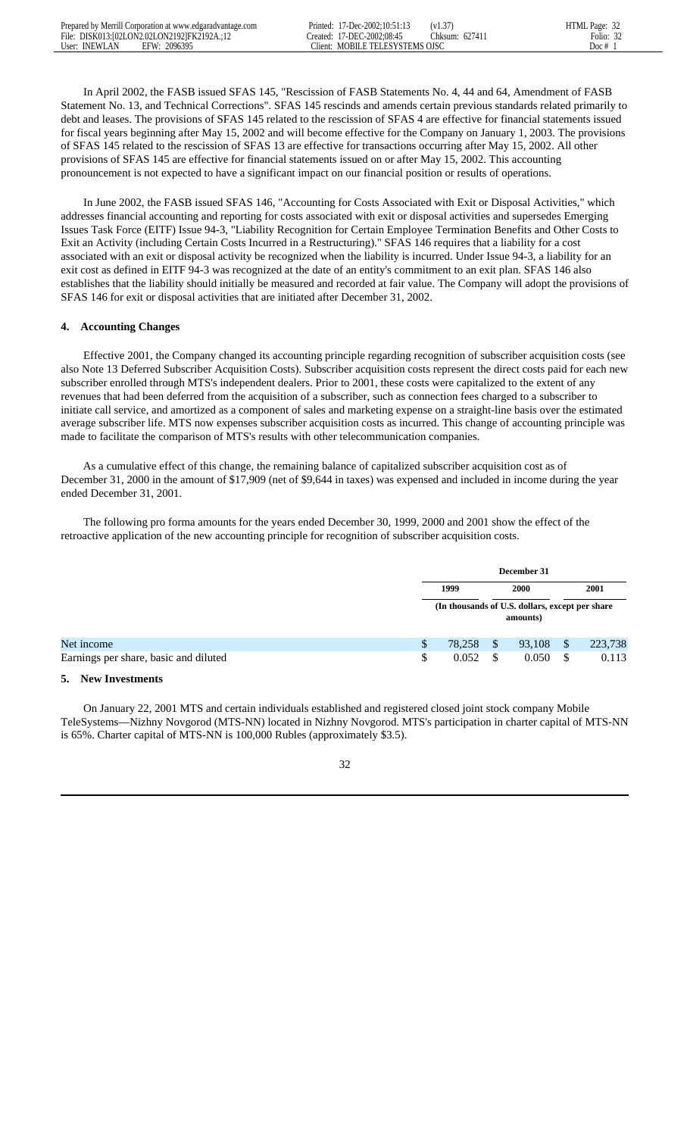In April 2002, the FASB issued SFAS 145, "Rescission of FASB Statements No. 4, 44 and 64, Amendment of FASB Statement No. 13, and Technical Corrections". SFAS 145 rescinds and amends certain previous standards related primarily to debt and leases. The provisions of SFAS 145 related to the rescission of SFAS 4 are effective for financial statements issued for fiscal years beginning after May 15, 2002 and will become effective for the Company on January 1, 2003. The provisions of SFAS 145 related to the rescission of SFAS 13 are effective for transactions occurring after May 15, 2002. All other provisions of SFAS 145 are effective for financial statements issued on or after May 15, 2002. This accounting pronouncement is not expected to have a significant impact on our financial position or results of operations.

 In June 2002, the FASB issued SFAS 146, "Accounting for Costs Associated with Exit or Disposal Activities," which addresses financial accounting and reporting for costs associated with exit or disposal activities and supersedes Emerging Issues Task Force (EITF) Issue 94-3, "Liability Recognition for Certain Employee Termination Benefits and Other Costs to Exit an Activity (including Certain Costs Incurred in a Restructuring)." SFAS 146 requires that a liability for a cost associated with an exit or disposal activity be recognized when the liability is incurred. Under Issue 94-3, a liability for an exit cost as defined in EITF 94-3 was recognized at the date of an entity's commitment to an exit plan. SFAS 146 also establishes that the liability should initially be measured and recorded at fair value. The Company will adopt the provisions of SFAS 146 for exit or disposal activities that are initiated after December 31, 2002.

# **4. Accounting Changes**

 Effective 2001, the Company changed its accounting principle regarding recognition of subscriber acquisition costs (see also Note 13 Deferred Subscriber Acquisition Costs). Subscriber acquisition costs represent the direct costs paid for each new subscriber enrolled through MTS's independent dealers. Prior to 2001, these costs were capitalized to the extent of any revenues that had been deferred from the acquisition of a subscriber, such as connection fees charged to a subscriber to initiate call service, and amortized as a component of sales and marketing expense on a straight-line basis over the estimated average subscriber life. MTS now expenses subscriber acquisition costs as incurred. This change of accounting principle was made to facilitate the comparison of MTS's results with other telecommunication companies.

 As a cumulative effect of this change, the remaining balance of capitalized subscriber acquisition cost as of December 31, 2000 in the amount of \$17,909 (net of \$9,644 in taxes) was expensed and included in income during the year ended December 31, 2001.

 The following pro forma amounts for the years ended December 30, 1999, 2000 and 2001 show the effect of the retroactive application of the new accounting principle for recognition of subscriber acquisition costs.

|                                       |     | December 31 |    |                                                             |   |         |
|---------------------------------------|-----|-------------|----|-------------------------------------------------------------|---|---------|
|                                       |     | 1999        |    | <b>2000</b>                                                 |   | 2001    |
|                                       |     |             |    | (In thousands of U.S. dollars, except per share<br>amounts) |   |         |
| Net income                            | \$. | 78,258      | \$ | 93,108                                                      |   | 223,738 |
| Earnings per share, basic and diluted | \$  | 0.052       | S  | 0.050                                                       | S | 0.113   |

## **5. New Investments**

 On January 22, 2001 MTS and certain individuals established and registered closed joint stock company Mobile TeleSystems—Nizhny Novgorod (MTS-NN) located in Nizhny Novgorod. MTS's participation in charter capital of MTS-NN is 65%. Charter capital of MTS-NN is 100,000 Rubles (approximately \$3.5).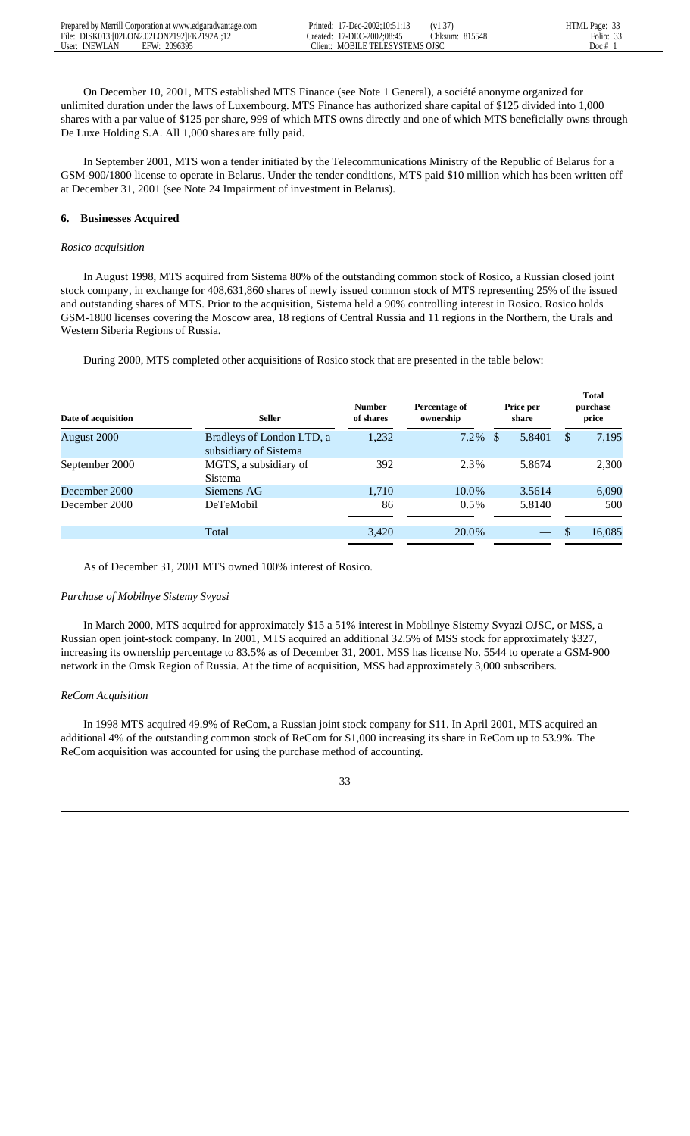On December 10, 2001, MTS established MTS Finance (see Note 1 General), a société anonyme organized for unlimited duration under the laws of Luxembourg. MTS Finance has authorized share capital of \$125 divided into 1,000 shares with a par value of \$125 per share, 999 of which MTS owns directly and one of which MTS beneficially owns through De Luxe Holding S.A. All 1,000 shares are fully paid.

 In September 2001, MTS won a tender initiated by the Telecommunications Ministry of the Republic of Belarus for a GSM-900/1800 license to operate in Belarus. Under the tender conditions, MTS paid \$10 million which has been written off at December 31, 2001 (see Note 24 Impairment of investment in Belarus).

# **6. Businesses Acquired**

## *Rosico acquisition*

 In August 1998, MTS acquired from Sistema 80% of the outstanding common stock of Rosico, a Russian closed joint stock company, in exchange for 408,631,860 shares of newly issued common stock of MTS representing 25% of the issued and outstanding shares of MTS. Prior to the acquisition, Sistema held a 90% controlling interest in Rosico. Rosico holds GSM-1800 licenses covering the Moscow area, 18 regions of Central Russia and 11 regions in the Northern, the Urals and Western Siberia Regions of Russia.

During 2000, MTS completed other acquisitions of Rosico stock that are presented in the table below:

| Date of acquisition | <b>Seller</b>                                      | <b>Number</b><br>of shares | Percentage of<br>ownership | Price per<br>share | <b>Total</b><br>purchase<br>price |
|---------------------|----------------------------------------------------|----------------------------|----------------------------|--------------------|-----------------------------------|
| August 2000         | Bradleys of London LTD, a<br>subsidiary of Sistema | 1,232                      | $7.2\%$ \$                 | 5.8401             | 7,195<br>\$.                      |
| September 2000      | MGTS, a subsidiary of<br>Sistema                   | 392                        | 2.3%                       | 5.8674             | 2,300                             |
| December 2000       | Siemens AG                                         | 1.710                      | 10.0%                      | 3.5614             | 6,090                             |
| December 2000       | DeTeMobil                                          | 86                         | $0.5\%$                    | 5.8140             | 500                               |
|                     | Total                                              | 3,420                      | 20.0%                      |                    | 16,085                            |

As of December 31, 2001 MTS owned 100% interest of Rosico.

## *Purchase of Mobilnye Sistemy Svyasi*

 In March 2000, MTS acquired for approximately \$15 a 51% interest in Mobilnye Sistemy Svyazi OJSC, or MSS, a Russian open joint-stock company. In 2001, MTS acquired an additional 32.5% of MSS stock for approximately \$327, increasing its ownership percentage to 83.5% as of December 31, 2001. MSS has license No. 5544 to operate a GSM-900 network in the Omsk Region of Russia. At the time of acquisition, MSS had approximately 3,000 subscribers.

## *ReCom Acquisition*

 In 1998 MTS acquired 49.9% of ReCom, a Russian joint stock company for \$11. In April 2001, MTS acquired an additional 4% of the outstanding common stock of ReCom for \$1,000 increasing its share in ReCom up to 53.9%. The ReCom acquisition was accounted for using the purchase method of accounting.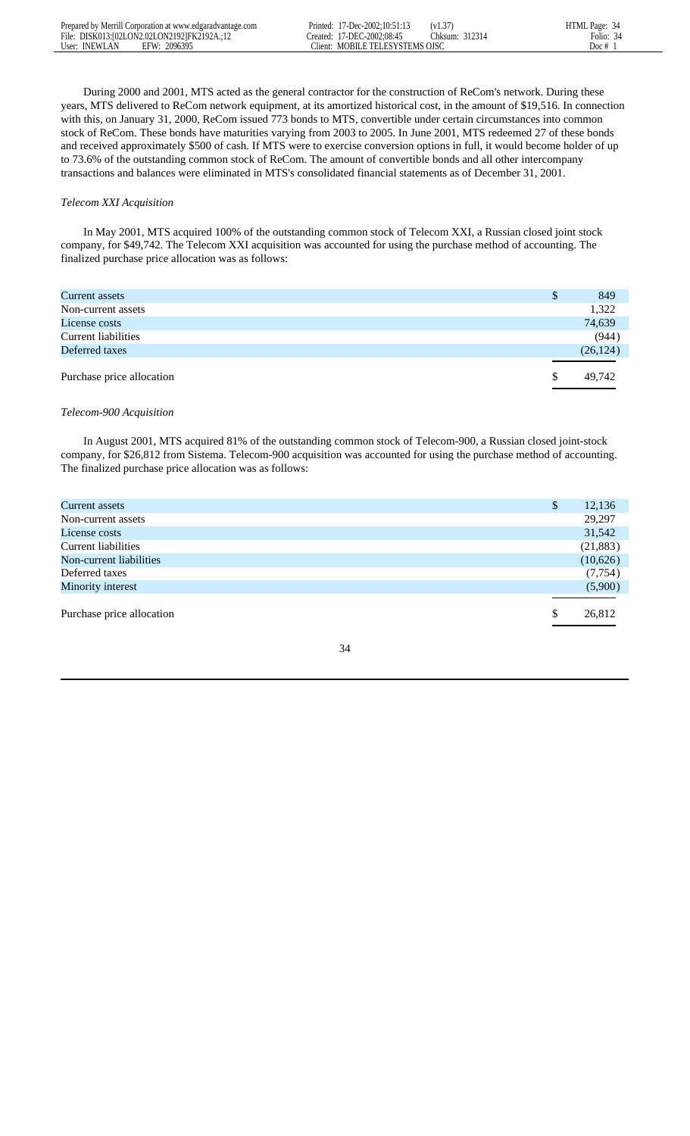During 2000 and 2001, MTS acted as the general contractor for the construction of ReCom's network. During these years, MTS delivered to ReCom network equipment, at its amortized historical cost, in the amount of \$19,516. In connection with this, on January 31, 2000, ReCom issued 773 bonds to MTS, convertible under certain circumstances into common stock of ReCom. These bonds have maturities varying from 2003 to 2005. In June 2001, MTS redeemed 27 of these bonds and received approximately \$500 of cash. If MTS were to exercise conversion options in full, it would become holder of up to 73.6% of the outstanding common stock of ReCom. The amount of convertible bonds and all other intercompany transactions and balances were eliminated in MTS's consolidated financial statements as of December 31, 2001.

## *Telecom XXI Acquisition*

 In May 2001, MTS acquired 100% of the outstanding common stock of Telecom XXI, a Russian closed joint stock company, for \$49,742. The Telecom XXI acquisition was accounted for using the purchase method of accounting. The finalized purchase price allocation was as follows:

| Current assets            | <sup>\$</sup> | 849       |
|---------------------------|---------------|-----------|
| Non-current assets        |               | 1,322     |
| License costs             |               | 74,639    |
| Current liabilities       |               | (944)     |
| Deferred taxes            |               | (26, 124) |
|                           |               |           |
| Purchase price allocation | S             | 49,742    |
|                           |               |           |

## *Telecom-900 Acquisition*

 In August 2001, MTS acquired 81% of the outstanding common stock of Telecom-900, a Russian closed joint-stock company, for \$26,812 from Sistema. Telecom-900 acquisition was accounted for using the purchase method of accounting. The finalized purchase price allocation was as follows:

| Current assets            | \$<br>12,136 |
|---------------------------|--------------|
| Non-current assets        | 29,297       |
| License costs             | 31,542       |
| Current liabilities       | (21, 883)    |
| Non-current liabilities   | (10,626)     |
| Deferred taxes            | (7, 754)     |
| Minority interest         | (5,900)      |
|                           |              |
| Purchase price allocation | \$<br>26,812 |
|                           |              |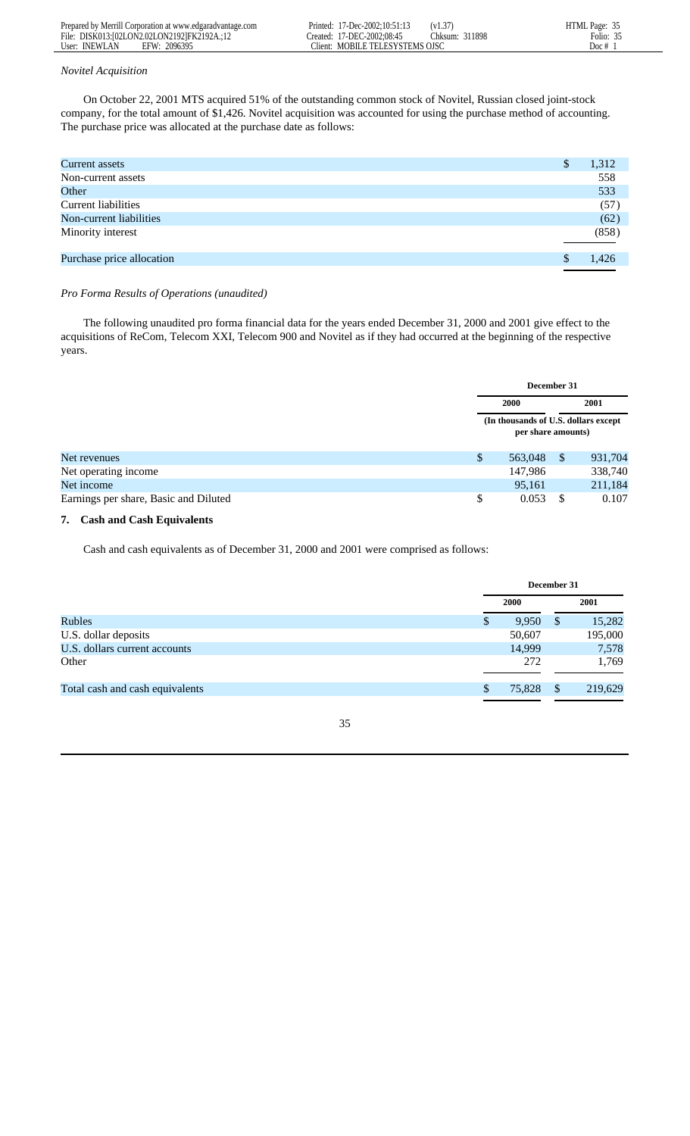|               | Prepared by Merrill Corporation at www.edgaradvantage.com | Printed: | 17-Dec-2002:10:51:13    | (V1.3)            | HTML Page: 35 |
|---------------|-----------------------------------------------------------|----------|-------------------------|-------------------|---------------|
|               | File: DISK013:102LON2.02LON21921FK2192A.:12               | reated:  | 17-DEC-2002:08:45       | 311898<br>Thksum: | 25<br>Folio:  |
| User: INEWLAN | 2096395<br>FFW                                            | Tlient:  | MOBILE TELESYSTEMS OISC |                   | Doc #         |

## *Novitel Acquisition*

 On October 22, 2001 MTS acquired 51% of the outstanding common stock of Novitel, Russian closed joint-stock company, for the total amount of \$1,426. Novitel acquisition was accounted for using the purchase method of accounting. The purchase price was allocated at the purchase date as follows:

| Current assets             | 1,312 |
|----------------------------|-------|
| Non-current assets         | 558   |
| Other                      | 533   |
| <b>Current liabilities</b> | (57)  |
| Non-current liabilities    | (62)  |
| Minority interest          | (858) |
|                            |       |
| Purchase price allocation  | 1.426 |
|                            |       |

# *Pro Forma Results of Operations (unaudited)*

 The following unaudited pro forma financial data for the years ended December 31, 2000 and 2001 give effect to the acquisitions of ReCom, Telecom XXI, Telecom 900 and Novitel as if they had occurred at the beginning of the respective years.

|                                       | December 31                                                 |              |         |
|---------------------------------------|-------------------------------------------------------------|--------------|---------|
|                                       | <b>2000</b>                                                 |              | 2001    |
|                                       | (In thousands of U.S. dollars except)<br>per share amounts) |              |         |
| Net revenues                          | \$<br>563,048                                               | $\mathbb{S}$ | 931,704 |
| Net operating income                  | 147,986                                                     |              | 338,740 |
| Net income                            | 95,161                                                      |              | 211,184 |
| Earnings per share, Basic and Diluted | \$<br>0.053                                                 | S            | 0.107   |

# **7. Cash and Cash Equivalents**

Cash and cash equivalents as of December 31, 2000 and 2001 were comprised as follows:

|                                 |             | December 31             |
|---------------------------------|-------------|-------------------------|
|                                 | 2000        | 2001                    |
| <b>Rubles</b>                   | 9,950<br>\$ | 15,282<br>$\mathcal{S}$ |
| U.S. dollar deposits            | 50,607      | 195,000                 |
| U.S. dollars current accounts   | 14,999      | 7,578                   |
| Other                           | 272         | 1,769                   |
| Total cash and cash equivalents | 75,828<br>S | 219,629<br>\$           |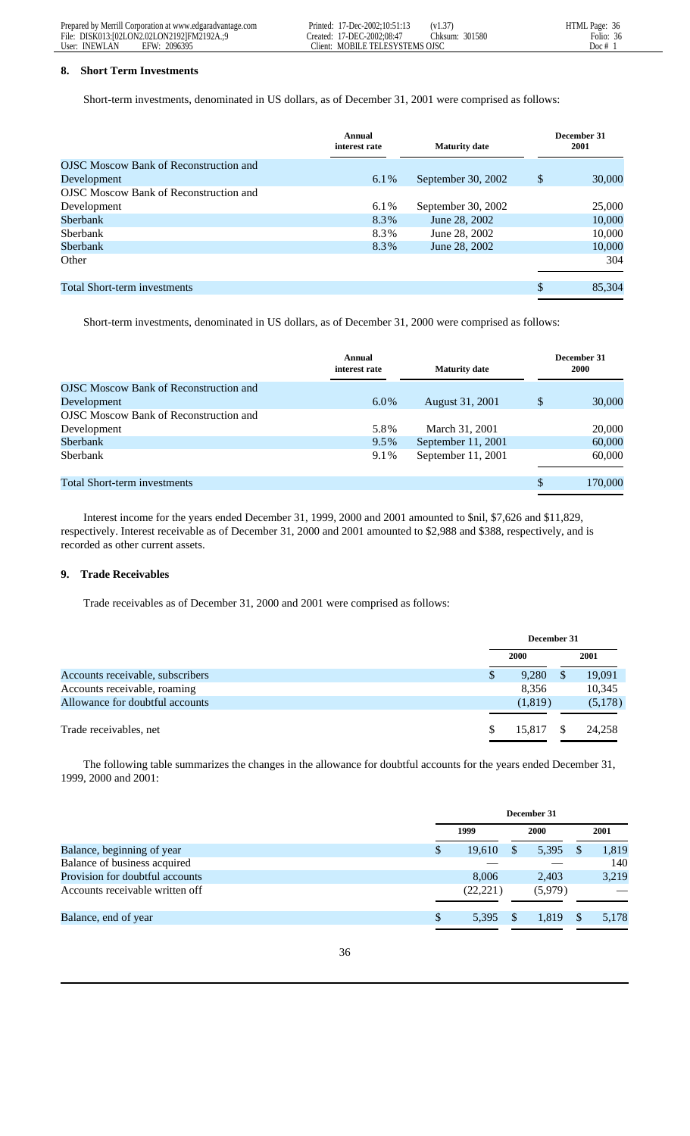| Prepared by Merrill Corporation at www.edgaradvantage.com | Printed: 17-Dec-2002:10:51:13   | (v1.37)        | HTML Page: 36 |
|-----------------------------------------------------------|---------------------------------|----------------|---------------|
| File: DISK013:102LON2.02LON21921FM2192A.:9                | Created: 17-DEC-2002:08:47      | Chksum: 301580 | Folio: 36     |
| User: INEWLAN<br>2096395<br>EFW:                          | Client: MOBILE TELESYSTEMS OJSC |                | Doc #         |

## **8. Short Term Investments**

Short-term investments, denominated in US dollars, as of December 31, 2001 were comprised as follows:

|                                               | Annual<br>interest rate | <b>Maturity date</b> | December 31<br>2001 |
|-----------------------------------------------|-------------------------|----------------------|---------------------|
| <b>OJSC</b> Moscow Bank of Reconstruction and |                         |                      |                     |
| Development                                   | 6.1%                    | September 30, 2002   | \$<br>30,000        |
| <b>OJSC</b> Moscow Bank of Reconstruction and |                         |                      |                     |
| Development                                   | 6.1%                    | September 30, 2002   | 25,000              |
| Sberbank                                      | 8.3%                    | June 28, 2002        | 10,000              |
| Sberbank                                      | 8.3%                    | June 28, 2002        | 10,000              |
| Sberbank                                      | 8.3%                    | June 28, 2002        | 10,000              |
| Other                                         |                         |                      | 304                 |
| <b>Total Short-term investments</b>           |                         |                      | \$<br>85,304        |

Short-term investments, denominated in US dollars, as of December 31, 2000 were comprised as follows:

| Annual<br>interest rate | <b>Maturity date</b> | December 31<br><b>2000</b> |
|-------------------------|----------------------|----------------------------|
|                         |                      |                            |
| $6.0\%$                 | August 31, 2001      | \$<br>30,000               |
|                         |                      |                            |
| 5.8%                    | March 31, 2001       | 20,000                     |
| $9.5\%$                 | September 11, 2001   | 60,000                     |
| 9.1%                    | September 11, 2001   | 60,000                     |
|                         |                      |                            |
|                         |                      | \$<br>170,000              |
|                         |                      |                            |

 Interest income for the years ended December 31, 1999, 2000 and 2001 amounted to \$nil, \$7,626 and \$11,829, respectively. Interest receivable as of December 31, 2000 and 2001 amounted to \$2,988 and \$388, respectively, and is recorded as other current assets.

# **9. Trade Receivables**

Trade receivables as of December 31, 2000 and 2001 were comprised as follows:

|                                  |   | December 31 |  |         |
|----------------------------------|---|-------------|--|---------|
|                                  |   | 2000        |  | 2001    |
| Accounts receivable, subscribers | S | 9,280       |  | 19,091  |
| Accounts receivable, roaming     |   | 8.356       |  | 10,345  |
| Allowance for doubtful accounts  |   | (1,819)     |  | (5,178) |
|                                  |   |             |  |         |
| Trade receivables, net           |   | 15.817      |  | 24,258  |

 The following table summarizes the changes in the allowance for doubtful accounts for the years ended December 31, 1999, 2000 and 2001:

|                                 |                        | December 31 |                        |               |       |  |
|---------------------------------|------------------------|-------------|------------------------|---------------|-------|--|
|                                 | 1999                   |             | <b>2000</b>            |               | 2001  |  |
| Balance, beginning of year      | 19.610<br><sup>S</sup> |             | 5,395<br><sup>\$</sup> | <sup>\$</sup> | 1,819 |  |
| Balance of business acquired    |                        |             |                        |               | 140   |  |
| Provision for doubtful accounts |                        | 8,006       | 2.403                  |               | 3,219 |  |
| Accounts receivable written off | (22, 221)              |             | (5,979)                |               |       |  |
| Balance, end of year            | \$.                    | 5,395       | 1.819                  | \$.           | 5,178 |  |
|                                 |                        |             |                        |               |       |  |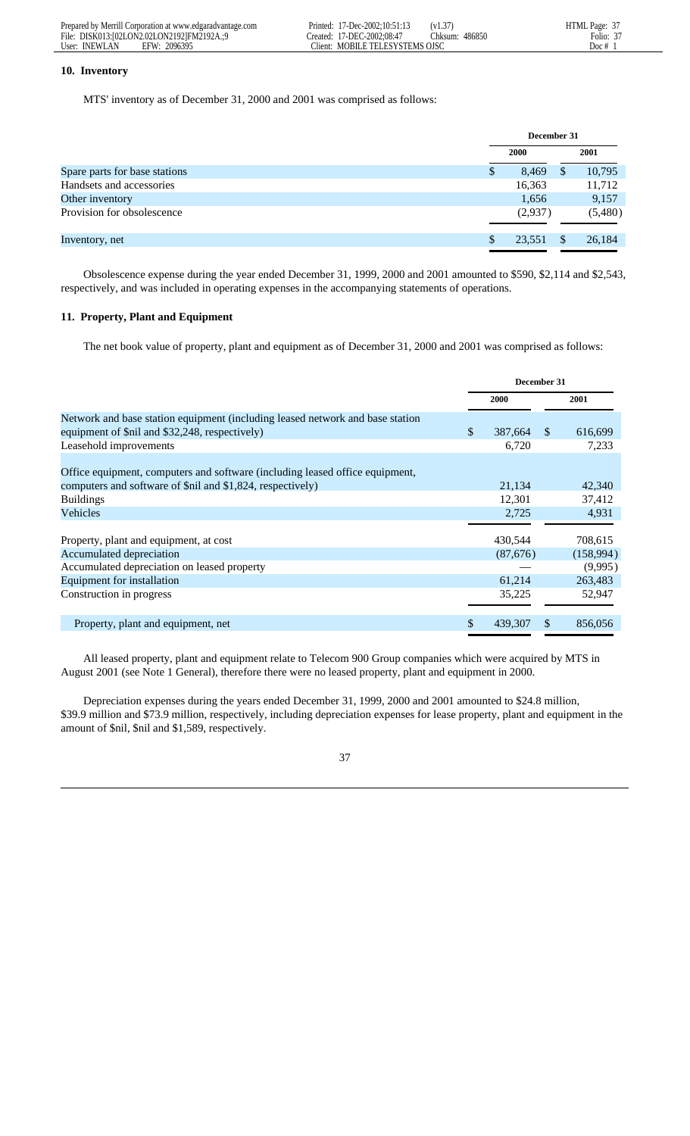| Prepared by Merrill Corporation at www.edgaradvantage.com | Printed: 17-Dec-2002:10:51:13   | (V1.3)         | HTML Page: 37 |
|-----------------------------------------------------------|---------------------------------|----------------|---------------|
| File: DISK013:102LON2.02LON21921FM2192A.:9                | Created: 17-DEC-2002:08:47      | Chksum: 486850 | Folio:        |
| User: INEWLAN<br>2096395<br>EFW:                          | Client: MOBILE TELESYSTEMS OJSC |                | Doc #         |

## **10. Inventory**

MTS' inventory as of December 31, 2000 and 2001 was comprised as follows:

|                               | December 31 |         |   |         |
|-------------------------------|-------------|---------|---|---------|
|                               |             | 2000    |   | 2001    |
| Spare parts for base stations | S           | 8,469   | S | 10,795  |
| Handsets and accessories      |             | 16,363  |   | 11,712  |
| Other inventory               |             | 1,656   |   | 9,157   |
| Provision for obsolescence    |             | (2,937) |   | (5,480) |
| Inventory, net                |             | 23,551  |   | 26,184  |

 Obsolescence expense during the year ended December 31, 1999, 2000 and 2001 amounted to \$590, \$2,114 and \$2,543, respectively, and was included in operating expenses in the accompanying statements of operations.

## **11. Property, Plant and Equipment**

The net book value of property, plant and equipment as of December 31, 2000 and 2001 was comprised as follows:

|                                                                               | December 31 |             |    |           |
|-------------------------------------------------------------------------------|-------------|-------------|----|-----------|
|                                                                               |             | <b>2000</b> |    | 2001      |
| Network and base station equipment (including leased network and base station |             |             |    |           |
| equipment of \$nil and \$32,248, respectively)                                | \$          | 387,664     | -S | 616,699   |
| Leasehold improvements                                                        |             | 6,720       |    | 7,233     |
| Office equipment, computers and software (including leased office equipment,  |             |             |    |           |
| computers and software of \$nil and \$1,824, respectively)                    |             | 21,134      |    | 42,340    |
| <b>Buildings</b>                                                              |             | 12,301      |    | 37,412    |
| Vehicles                                                                      |             | 2,725       |    | 4,931     |
|                                                                               |             |             |    |           |
| Property, plant and equipment, at cost                                        |             | 430,544     |    | 708,615   |
| Accumulated depreciation                                                      |             | (87,676)    |    | (158,994) |
| Accumulated depreciation on leased property                                   |             |             |    | (9,995)   |
| Equipment for installation                                                    |             | 61,214      |    | 263,483   |
| Construction in progress                                                      |             | 35,225      |    | 52,947    |
| Property, plant and equipment, net                                            | \$.         | 439,307     |    | 856,056   |

 All leased property, plant and equipment relate to Telecom 900 Group companies which were acquired by MTS in August 2001 (see Note 1 General), therefore there were no leased property, plant and equipment in 2000.

 Depreciation expenses during the years ended December 31, 1999, 2000 and 2001 amounted to \$24.8 million, \$39.9 million and \$73.9 million, respectively, including depreciation expenses for lease property, plant and equipment in the amount of \$nil, \$nil and \$1,589, respectively.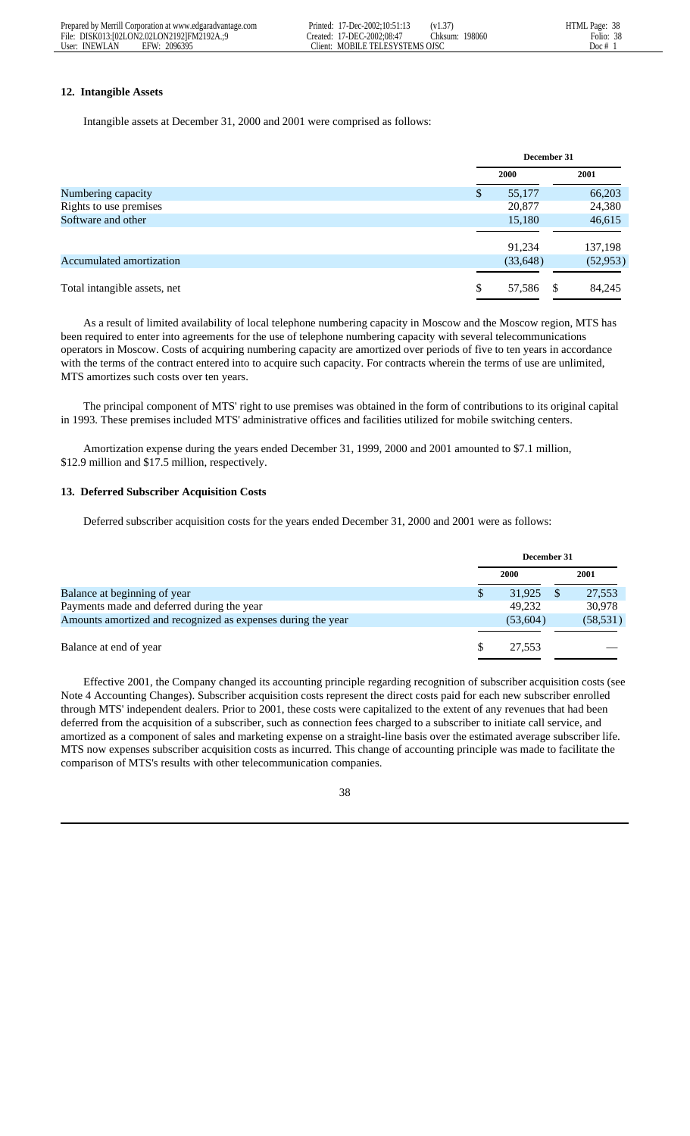|               | Prepared by Merrill Corporation at www.edgaradvantage.com | Printed: | 17-Dec-2002:10:51:13       | (V1.3)  |        | HTML Page: 38 |
|---------------|-----------------------------------------------------------|----------|----------------------------|---------|--------|---------------|
|               | File: DISK013:102LON2.02LON21921FM2192A.:9                |          | Created: 17-DEC-2002:08:47 | .hksum: | 198060 | 38<br>Folio:  |
| User: INEWLAN | 2096395<br><b>FFW</b>                                     | Tient:   | MOBILE TELESYSTEMS OJSC    |         |        | Doc #         |

# **12. Intangible Assets**

Intangible assets at December 31, 2000 and 2001 were comprised as follows:

|                              |    | December 31 |      |           |  |
|------------------------------|----|-------------|------|-----------|--|
|                              |    | 2000        | 2001 |           |  |
| Numbering capacity           | \$ | 55,177      |      | 66,203    |  |
| Rights to use premises       |    | 20,877      |      | 24,380    |  |
| Software and other           |    | 15,180      |      | 46,615    |  |
|                              |    |             |      |           |  |
|                              |    | 91.234      |      | 137,198   |  |
| Accumulated amortization     |    | (33, 648)   |      | (52, 953) |  |
|                              |    |             |      |           |  |
| Total intangible assets, net | S  | 57,586      | - \$ | 84,245    |  |
|                              |    |             |      |           |  |

 As a result of limited availability of local telephone numbering capacity in Moscow and the Moscow region, MTS has been required to enter into agreements for the use of telephone numbering capacity with several telecommunications operators in Moscow. Costs of acquiring numbering capacity are amortized over periods of five to ten years in accordance with the terms of the contract entered into to acquire such capacity. For contracts wherein the terms of use are unlimited, MTS amortizes such costs over ten years.

 The principal component of MTS' right to use premises was obtained in the form of contributions to its original capital in 1993. These premises included MTS' administrative offices and facilities utilized for mobile switching centers.

 Amortization expense during the years ended December 31, 1999, 2000 and 2001 amounted to \$7.1 million, \$12.9 million and \$17.5 million, respectively.

## **13. Deferred Subscriber Acquisition Costs**

Deferred subscriber acquisition costs for the years ended December 31, 2000 and 2001 were as follows:

|                                                              |   | December 31 |  |           |  |
|--------------------------------------------------------------|---|-------------|--|-----------|--|
|                                                              |   | <b>2000</b> |  | 2001      |  |
| Balance at beginning of year                                 | S | 31,925      |  | 27,553    |  |
| Payments made and deferred during the year                   |   | 49.232      |  | 30,978    |  |
| Amounts amortized and recognized as expenses during the year |   | (53,604)    |  | (58, 531) |  |
| Balance at end of year                                       | S | 27.553      |  |           |  |

 Effective 2001, the Company changed its accounting principle regarding recognition of subscriber acquisition costs (see Note 4 Accounting Changes). Subscriber acquisition costs represent the direct costs paid for each new subscriber enrolled through MTS' independent dealers. Prior to 2001, these costs were capitalized to the extent of any revenues that had been deferred from the acquisition of a subscriber, such as connection fees charged to a subscriber to initiate call service, and amortized as a component of sales and marketing expense on a straight-line basis over the estimated average subscriber life. MTS now expenses subscriber acquisition costs as incurred. This change of accounting principle was made to facilitate the comparison of MTS's results with other telecommunication companies.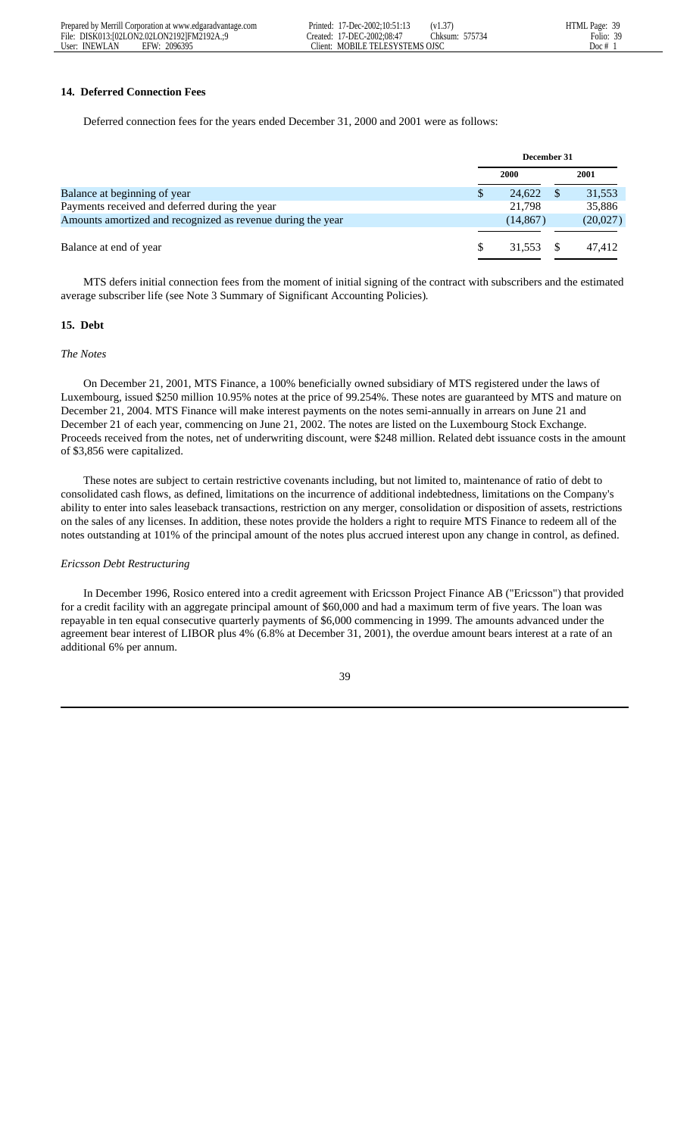|               | Prepared by Merrill Corporation at www.edgaradvantage.com | Printed: | 17-Dec-2002:10:51:13       | (V1.3)            | HTML Page: 39 |
|---------------|-----------------------------------------------------------|----------|----------------------------|-------------------|---------------|
|               | File: DISK013:102LON2.02LON21921FM2192A.:9                |          | Created: 17-DEC-2002:08:47 | 575734<br>.:hksum | Folio: 39     |
| User: INEWLAN | 2096395<br><b>EFW</b>                                     | Tient:   | : MOBILE TELESYSTEMS OJSC  |                   | Doc #         |

 $\frac{39}{39}$ 

# **14. Deferred Connection Fees**

Deferred connection fees for the years ended December 31, 2000 and 2001 were as follows:

|                                                             |   | December 31 |          |  |  |
|-------------------------------------------------------------|---|-------------|----------|--|--|
|                                                             |   | <b>2000</b> | 2001     |  |  |
| Balance at beginning of year                                | S | 24,622      | 31,553   |  |  |
| Payments received and deferred during the year              |   | 21.798      | 35,886   |  |  |
| Amounts amortized and recognized as revenue during the year |   | (14, 867)   | (20,027) |  |  |
|                                                             |   |             |          |  |  |
| Balance at end of year                                      |   | 31,553      | 47.412   |  |  |
|                                                             |   |             |          |  |  |

 MTS defers initial connection fees from the moment of initial signing of the contract with subscribers and the estimated average subscriber life (see Note 3 Summary of Significant Accounting Policies)*.*

### **15. Debt**

#### *The Notes*

 On December 21, 2001, MTS Finance, a 100% beneficially owned subsidiary of MTS registered under the laws of Luxembourg, issued \$250 million 10.95% notes at the price of 99.254%. These notes are guaranteed by MTS and mature on December 21, 2004. MTS Finance will make interest payments on the notes semi-annually in arrears on June 21 and December 21 of each year, commencing on June 21, 2002. The notes are listed on the Luxembourg Stock Exchange. Proceeds received from the notes, net of underwriting discount, were \$248 million. Related debt issuance costs in the amount of \$3,856 were capitalized.

 These notes are subject to certain restrictive covenants including, but not limited to, maintenance of ratio of debt to consolidated cash flows, as defined, limitations on the incurrence of additional indebtedness, limitations on the Company's ability to enter into sales leaseback transactions, restriction on any merger, consolidation or disposition of assets, restrictions on the sales of any licenses. In addition, these notes provide the holders a right to require MTS Finance to redeem all of the notes outstanding at 101% of the principal amount of the notes plus accrued interest upon any change in control, as defined.

## *Ericsson Debt Restructuring*

 In December 1996, Rosico entered into a credit agreement with Ericsson Project Finance AB ("Ericsson") that provided for a credit facility with an aggregate principal amount of \$60,000 and had a maximum term of five years. The loan was repayable in ten equal consecutive quarterly payments of \$6,000 commencing in 1999. The amounts advanced under the agreement bear interest of LIBOR plus 4% (6.8% at December 31, 2001), the overdue amount bears interest at a rate of an additional 6% per annum.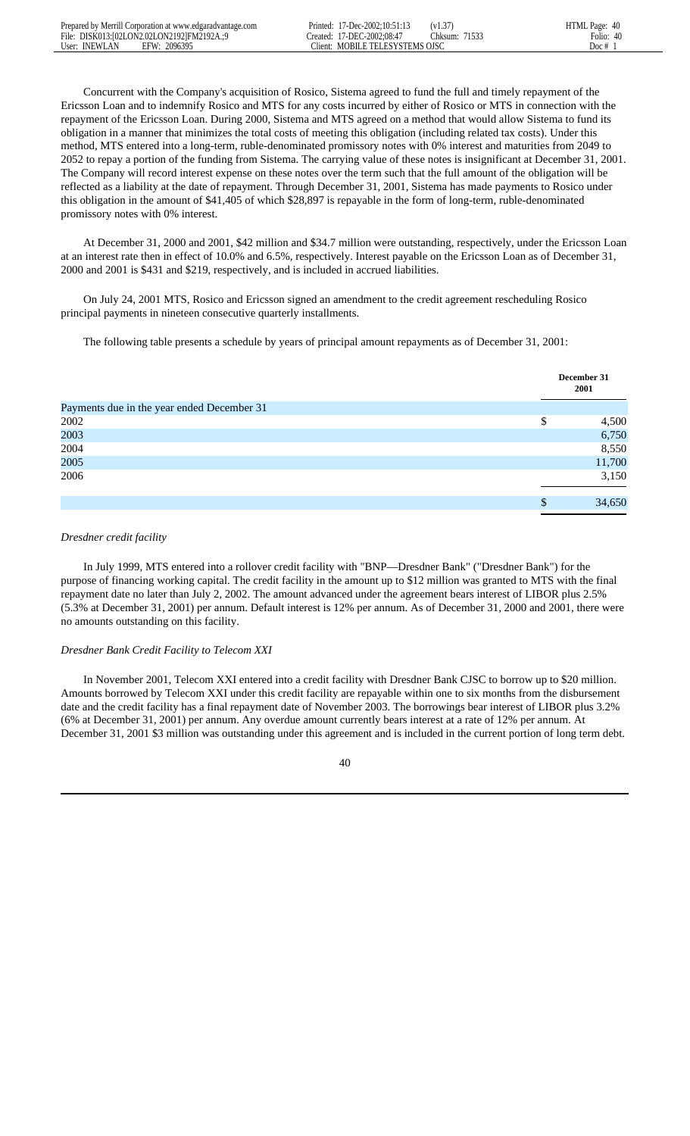Concurrent with the Company's acquisition of Rosico, Sistema agreed to fund the full and timely repayment of the Ericsson Loan and to indemnify Rosico and MTS for any costs incurred by either of Rosico or MTS in connection with the repayment of the Ericsson Loan. During 2000, Sistema and MTS agreed on a method that would allow Sistema to fund its obligation in a manner that minimizes the total costs of meeting this obligation (including related tax costs). Under this method, MTS entered into a long-term, ruble-denominated promissory notes with 0% interest and maturities from 2049 to 2052 to repay a portion of the funding from Sistema. The carrying value of these notes is insignificant at December 31, 2001. The Company will record interest expense on these notes over the term such that the full amount of the obligation will be reflected as a liability at the date of repayment. Through December 31, 2001, Sistema has made payments to Rosico under this obligation in the amount of \$41,405 of which \$28,897 is repayable in the form of long-term, ruble-denominated promissory notes with 0% interest.

 At December 31, 2000 and 2001, \$42 million and \$34.7 million were outstanding, respectively, under the Ericsson Loan at an interest rate then in effect of 10.0% and 6.5%, respectively. Interest payable on the Ericsson Loan as of December 31, 2000 and 2001 is \$431 and \$219, respectively, and is included in accrued liabilities.

 On July 24, 2001 MTS, Rosico and Ericsson signed an amendment to the credit agreement rescheduling Rosico principal payments in nineteen consecutive quarterly installments.

The following table presents a schedule by years of principal amount repayments as of December 31, 2001:

|                                            |    | December 31<br>2001 |
|--------------------------------------------|----|---------------------|
| Payments due in the year ended December 31 |    |                     |
| 2002                                       | \$ | 4,500               |
| 2003                                       |    | 6,750               |
| 2004                                       |    | 8,550               |
| 2005                                       |    | 11,700              |
| 2006                                       |    | 3,150               |
|                                            |    |                     |
|                                            | S  | 34,650              |

# *Dresdner credit facility*

 In July 1999, MTS entered into a rollover credit facility with "BNP—Dresdner Bank" ("Dresdner Bank") for the purpose of financing working capital. The credit facility in the amount up to \$12 million was granted to MTS with the final repayment date no later than July 2, 2002. The amount advanced under the agreement bears interest of LIBOR plus 2.5% (5.3% at December 31, 2001) per annum. Default interest is 12% per annum. As of December 31, 2000 and 2001, there were no amounts outstanding on this facility.

## *Dresdner Bank Credit Facility to Telecom XXI*

 In November 2001, Telecom XXI entered into a credit facility with Dresdner Bank CJSC to borrow up to \$20 million. Amounts borrowed by Telecom XXI under this credit facility are repayable within one to six months from the disbursement date and the credit facility has a final repayment date of November 2003. The borrowings bear interest of LIBOR plus 3.2% (6% at December 31, 2001) per annum. Any overdue amount currently bears interest at a rate of 12% per annum. At December 31, 2001 \$3 million was outstanding under this agreement and is included in the current portion of long term debt.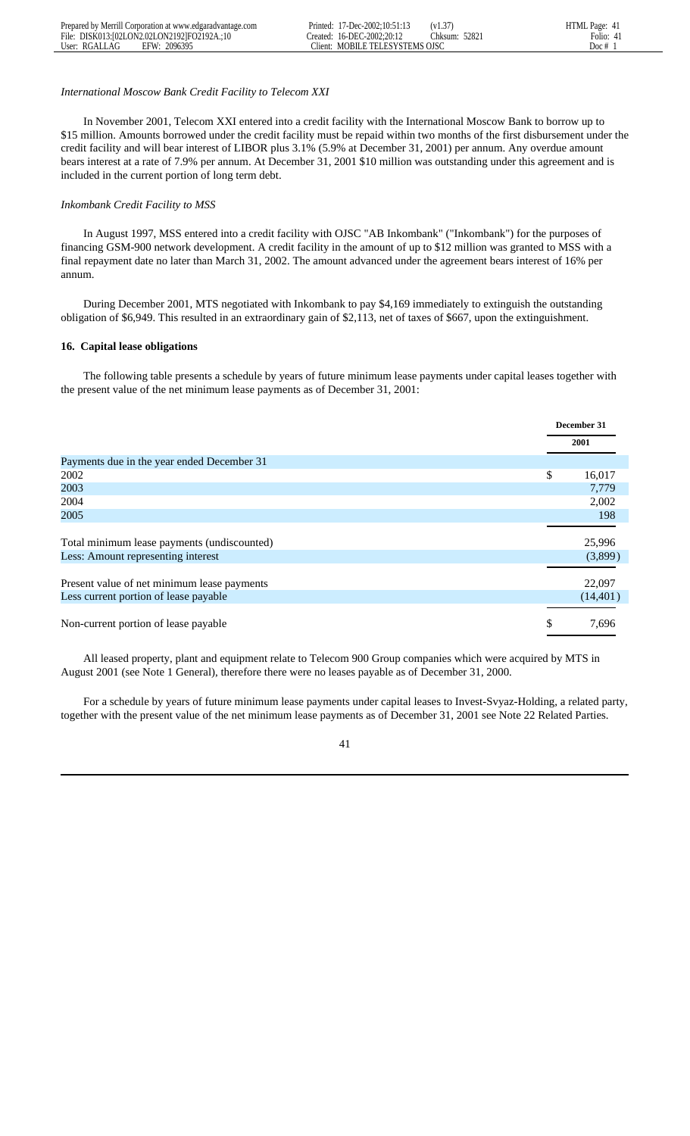# *International Moscow Bank Credit Facility to Telecom XXI*

 In November 2001, Telecom XXI entered into a credit facility with the International Moscow Bank to borrow up to \$15 million. Amounts borrowed under the credit facility must be repaid within two months of the first disbursement under the credit facility and will bear interest of LIBOR plus 3.1% (5.9% at December 31, 2001) per annum. Any overdue amount bears interest at a rate of 7.9% per annum. At December 31, 2001 \$10 million was outstanding under this agreement and is included in the current portion of long term debt.

## *Inkombank Credit Facility to MSS*

 In August 1997, MSS entered into a credit facility with OJSC "AB Inkombank" ("Inkombank") for the purposes of financing GSM-900 network development. A credit facility in the amount of up to \$12 million was granted to MSS with a final repayment date no later than March 31, 2002. The amount advanced under the agreement bears interest of 16% per annum.

 During December 2001, MTS negotiated with Inkombank to pay \$4,169 immediately to extinguish the outstanding obligation of \$6,949. This resulted in an extraordinary gain of \$2,113, net of taxes of \$667, upon the extinguishment.

### **16. Capital lease obligations**

 The following table presents a schedule by years of future minimum lease payments under capital leases together with the present value of the net minimum lease payments as of December 31, 2001:

|                                             | December 31  |
|---------------------------------------------|--------------|
|                                             | 2001         |
| Payments due in the year ended December 31  |              |
| 2002                                        | \$<br>16,017 |
| 2003                                        | 7,779        |
| 2004                                        | 2,002        |
| 2005                                        | 198          |
|                                             |              |
| Total minimum lease payments (undiscounted) | 25,996       |
| Less: Amount representing interest          | (3,899)      |
|                                             |              |
| Present value of net minimum lease payments | 22,097       |
| Less current portion of lease payable       | (14, 401)    |
|                                             |              |
| Non-current portion of lease payable        | \$<br>7.696  |

 All leased property, plant and equipment relate to Telecom 900 Group companies which were acquired by MTS in August 2001 (see Note 1 General), therefore there were no leases payable as of December 31, 2000.

 For a schedule by years of future minimum lease payments under capital leases to Invest-Svyaz-Holding, a related party, together with the present value of the net minimum lease payments as of December 31, 2001 see Note 22 Related Parties.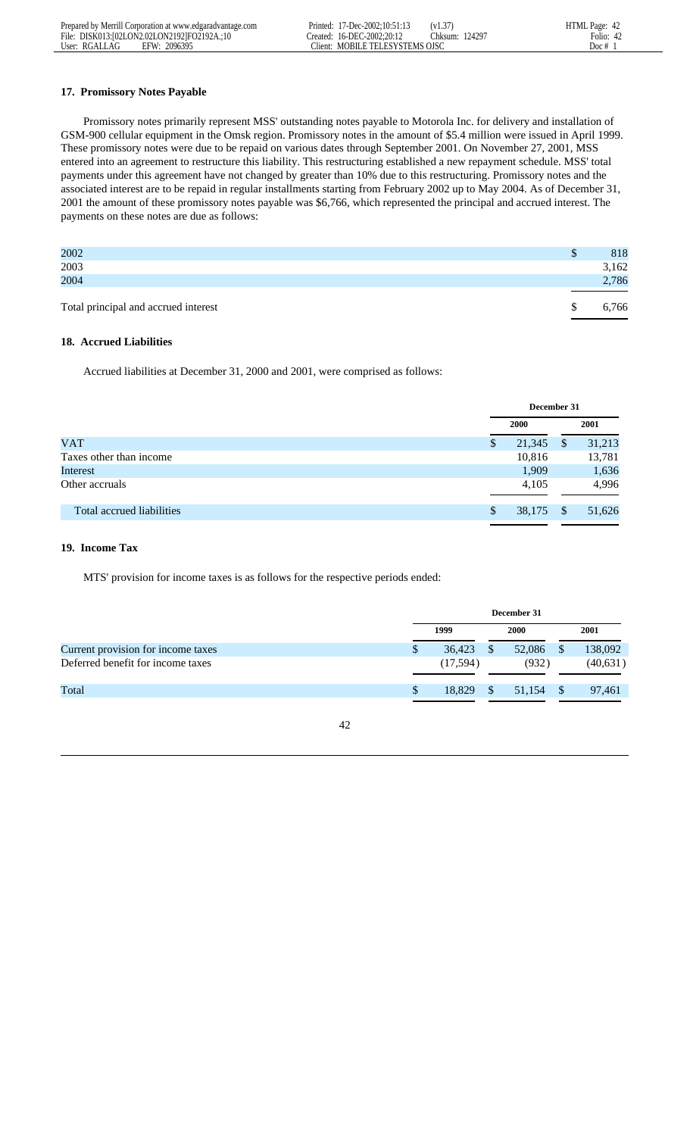|               | Prepared by Merrill Corporation at www.edgaradvantage.com | Printed: | 17-Dec-2002:10:51:13       | (V1.3)         | HTML Page: 42 |
|---------------|-----------------------------------------------------------|----------|----------------------------|----------------|---------------|
|               | File: DISK013:102LON2.02LON21921FO2192A.:10               |          | Created: 16-DEC-2002:20:12 | Chksum: 124297 | Folio:<br>4/  |
| User: RGALLAG | 2096395<br>EFW:                                           | :11ent:  | MOBILE TELESYSTEMS OISC    |                | Doc #         |

# **17. Promissory Notes Payable**

 Promissory notes primarily represent MSS' outstanding notes payable to Motorola Inc. for delivery and installation of GSM-900 cellular equipment in the Omsk region. Promissory notes in the amount of \$5.4 million were issued in April 1999. These promissory notes were due to be repaid on various dates through September 2001. On November 27, 2001, MSS entered into an agreement to restructure this liability. This restructuring established a new repayment schedule. MSS' total payments under this agreement have not changed by greater than 10% due to this restructuring. Promissory notes and the associated interest are to be repaid in regular installments starting from February 2002 up to May 2004. As of December 31, 2001 the amount of these promissory notes payable was \$6,766, which represented the principal and accrued interest. The payments on these notes are due as follows:

| Total principal and accrued interest |   | 5,766 |
|--------------------------------------|---|-------|
| 2004                                 |   | 2,786 |
| 2003                                 |   | 3,162 |
| 2002                                 | D | 818   |
|                                      |   |       |

# **18. Accrued Liabilities**

Accrued liabilities at December 31, 2000 and 2001, were comprised as follows:

|                           |   | December 31 |               |        |  |
|---------------------------|---|-------------|---------------|--------|--|
|                           |   | 2000        |               | 2001   |  |
| <b>VAT</b>                | S | 21,345      | <sup>\$</sup> | 31,213 |  |
| Taxes other than income   |   | 10,816      |               | 13,781 |  |
| Interest                  |   | 1,909       |               | 1,636  |  |
| Other accruals            |   | 4,105       |               | 4,996  |  |
| Total accrued liabilities | S | 38,175      | S             | 51,626 |  |
|                           |   |             |               |        |  |

### **19. Income Tax**

MTS' provision for income taxes is as follows for the respective periods ended:

|                                    |   | December 31 |  |        |              |           |
|------------------------------------|---|-------------|--|--------|--------------|-----------|
|                                    |   | 1999        |  |        |              | 2001      |
| Current provision for income taxes | S | 36,423      |  | 52,086 |              | 138,092   |
| Deferred benefit for income taxes  |   | (17,594)    |  | (932)  |              | (40, 631) |
| Total                              |   | 18.829      |  | 51,154 | $\mathbf{s}$ | 97,461    |
|                                    |   |             |  |        |              |           |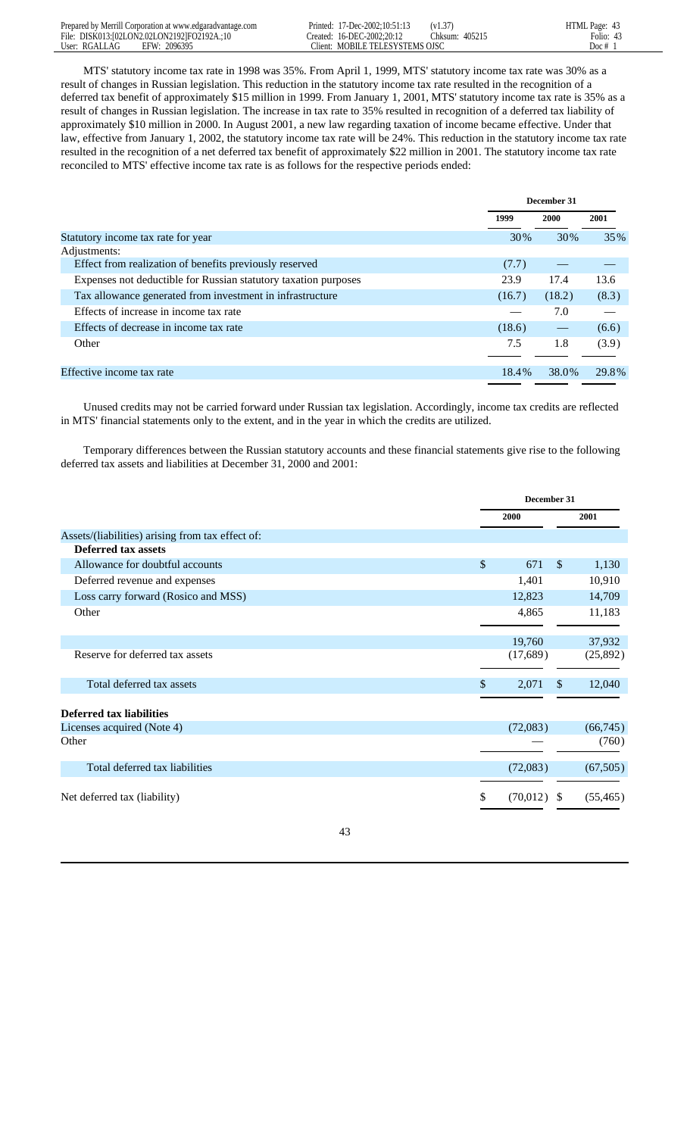| Prepared by Merrill Corporation at www.edgaradvantage.com | 17-Dec-2002:10:51:13<br>Printed: \           | (v1.37)           | HTML Page: 43 |
|-----------------------------------------------------------|----------------------------------------------|-------------------|---------------|
| File: DISK013:102LON2.02LON21921FO2192A.:10               | 16-DEC-2002:20:12<br>reated:                 | 40521:<br>.hksum: | Folio:<br>4.1 |
| 2096395<br>User: RGALLAG<br><b>FFW·</b>                   | $T$ lient:<br><b>MOBILE TELESYSTEMS OJSC</b> |                   | Doc $#$       |

 MTS' statutory income tax rate in 1998 was 35%. From April 1, 1999, MTS' statutory income tax rate was 30% as a result of changes in Russian legislation. This reduction in the statutory income tax rate resulted in the recognition of a deferred tax benefit of approximately \$15 million in 1999. From January 1, 2001, MTS' statutory income tax rate is 35% as a result of changes in Russian legislation. The increase in tax rate to 35% resulted in recognition of a deferred tax liability of approximately \$10 million in 2000. In August 2001, a new law regarding taxation of income became effective. Under that law, effective from January 1, 2002, the statutory income tax rate will be 24%. This reduction in the statutory income tax rate resulted in the recognition of a net deferred tax benefit of approximately \$22 million in 2001. The statutory income tax rate reconciled to MTS' effective income tax rate is as follows for the respective periods ended:

|                                                                 | December 31 |        |       |
|-----------------------------------------------------------------|-------------|--------|-------|
|                                                                 | 1999        | 2000   | 2001  |
| Statutory income tax rate for year                              | 30%         | 30%    | 35%   |
| Adjustments:                                                    |             |        |       |
| Effect from realization of benefits previously reserved         | (7.7)       |        |       |
| Expenses not deductible for Russian statutory taxation purposes | 23.9        | 17.4   | 13.6  |
| Tax allowance generated from investment in infrastructure       | (16.7)      | (18.2) | (8.3) |
| Effects of increase in income tax rate                          |             | 7.0    |       |
| Effects of decrease in income tax rate                          | (18.6)      |        | (6.6) |
| Other                                                           | 7.5         | 1.8    | (3.9) |
|                                                                 |             |        |       |
| Effective income tax rate                                       | 18.4%       | 38.0%  | 29.8% |
|                                                                 |             |        |       |

 Unused credits may not be carried forward under Russian tax legislation. Accordingly, income tax credits are reflected in MTS' financial statements only to the extent, and in the year in which the credits are utilized.

 Temporary differences between the Russian statutory accounts and these financial statements give rise to the following deferred tax assets and liabilities at December 31, 2000 and 2001:

|                                                  |                      | December 31  |           |  |  |
|--------------------------------------------------|----------------------|--------------|-----------|--|--|
|                                                  | 2000                 |              | 2001      |  |  |
| Assets/(liabilities) arising from tax effect of: |                      |              |           |  |  |
| <b>Deferred tax assets</b>                       |                      |              |           |  |  |
| Allowance for doubtful accounts                  | $\mathcal{S}$<br>671 | $\mathbb{S}$ | 1,130     |  |  |
| Deferred revenue and expenses                    | 1,401                |              | 10,910    |  |  |
| Loss carry forward (Rosico and MSS)              | 12,823               |              | 14,709    |  |  |
| Other                                            | 4,865                |              | 11,183    |  |  |
|                                                  |                      |              |           |  |  |
|                                                  | 19,760               |              | 37,932    |  |  |
| Reserve for deferred tax assets                  | (17,689)             |              | (25,892)  |  |  |
| Total deferred tax assets                        | \$<br>2,071          | \$           | 12,040    |  |  |
| <b>Deferred tax liabilities</b>                  |                      |              |           |  |  |
| Licenses acquired (Note 4)                       | (72,083)             |              | (66,745)  |  |  |
| Other                                            |                      |              | (760)     |  |  |
| Total deferred tax liabilities                   | (72,083)             |              | (67, 505) |  |  |
| Net deferred tax (liability)                     | \$<br>(70,012)       | -S           | (55, 465) |  |  |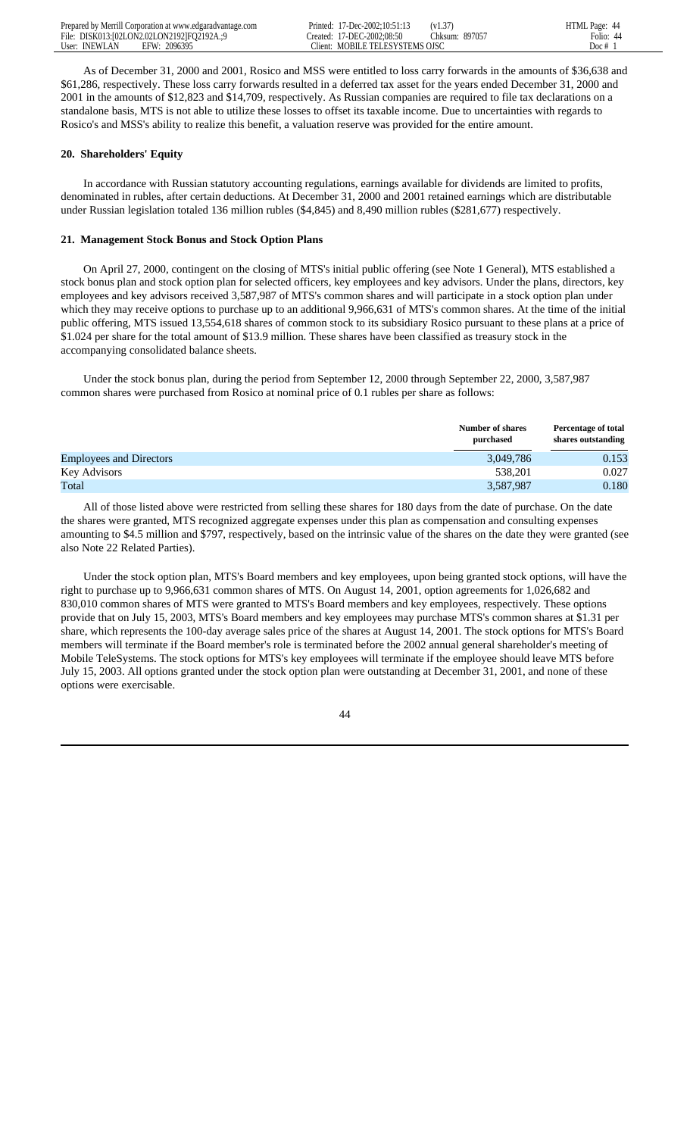| Prepared by Merrill Corporation at www.edgaradvantage.com | Printed: | $17 - Dec - 2002:10:51:1.$     | (v1.37)          | HTML Page:<br>44 |
|-----------------------------------------------------------|----------|--------------------------------|------------------|------------------|
| File:<br>DISK013:102LON2.02LON21921F02192A.:9             | reated:  | 7-DEC-2002:08:50               | 89705<br>.hksum: | Folio:           |
| 2096395<br>User: INEWLAN<br>EFW:                          | Tient:   | <b>MOBILE TELESYSTEMS OJSC</b> |                  | Doc #            |

 As of December 31, 2000 and 2001, Rosico and MSS were entitled to loss carry forwards in the amounts of \$36,638 and \$61,286, respectively. These loss carry forwards resulted in a deferred tax asset for the years ended December 31, 2000 and 2001 in the amounts of \$12,823 and \$14,709, respectively. As Russian companies are required to file tax declarations on a standalone basis, MTS is not able to utilize these losses to offset its taxable income. Due to uncertainties with regards to Rosico's and MSS's ability to realize this benefit, a valuation reserve was provided for the entire amount.

## **20. Shareholders' Equity**

 In accordance with Russian statutory accounting regulations, earnings available for dividends are limited to profits, denominated in rubles, after certain deductions. At December 31, 2000 and 2001 retained earnings which are distributable under Russian legislation totaled 136 million rubles (\$4,845) and 8,490 million rubles (\$281,677) respectively.

## **21. Management Stock Bonus and Stock Option Plans**

 On April 27, 2000, contingent on the closing of MTS's initial public offering (see Note 1 General), MTS established a stock bonus plan and stock option plan for selected officers, key employees and key advisors. Under the plans, directors, key employees and key advisors received 3,587,987 of MTS's common shares and will participate in a stock option plan under which they may receive options to purchase up to an additional 9,966,631 of MTS's common shares. At the time of the initial public offering, MTS issued 13,554,618 shares of common stock to its subsidiary Rosico pursuant to these plans at a price of \$1.024 per share for the total amount of \$13.9 million. These shares have been classified as treasury stock in the accompanying consolidated balance sheets.

 Under the stock bonus plan, during the period from September 12, 2000 through September 22, 2000, 3,587,987 common shares were purchased from Rosico at nominal price of 0.1 rubles per share as follows:

|                                | <b>Number of shares</b><br>purchased | <b>Percentage of total</b><br>shares outstanding |
|--------------------------------|--------------------------------------|--------------------------------------------------|
| <b>Employees and Directors</b> | 3,049,786                            | 0.153                                            |
| Key Advisors                   | 538.201                              | 0.027                                            |
| Total                          | 3,587,987                            | 0.180                                            |

 All of those listed above were restricted from selling these shares for 180 days from the date of purchase. On the date the shares were granted, MTS recognized aggregate expenses under this plan as compensation and consulting expenses amounting to \$4.5 million and \$797, respectively, based on the intrinsic value of the shares on the date they were granted (see also Note 22 Related Parties).

 Under the stock option plan, MTS's Board members and key employees, upon being granted stock options, will have the right to purchase up to 9,966,631 common shares of MTS. On August 14, 2001, option agreements for 1,026,682 and 830,010 common shares of MTS were granted to MTS's Board members and key employees, respectively. These options provide that on July 15, 2003, MTS's Board members and key employees may purchase MTS's common shares at \$1.31 per share, which represents the 100-day average sales price of the shares at August 14, 2001. The stock options for MTS's Board members will terminate if the Board member's role is terminated before the 2002 annual general shareholder's meeting of Mobile TeleSystems. The stock options for MTS's key employees will terminate if the employee should leave MTS before July 15, 2003. All options granted under the stock option plan were outstanding at December 31, 2001, and none of these options were exercisable.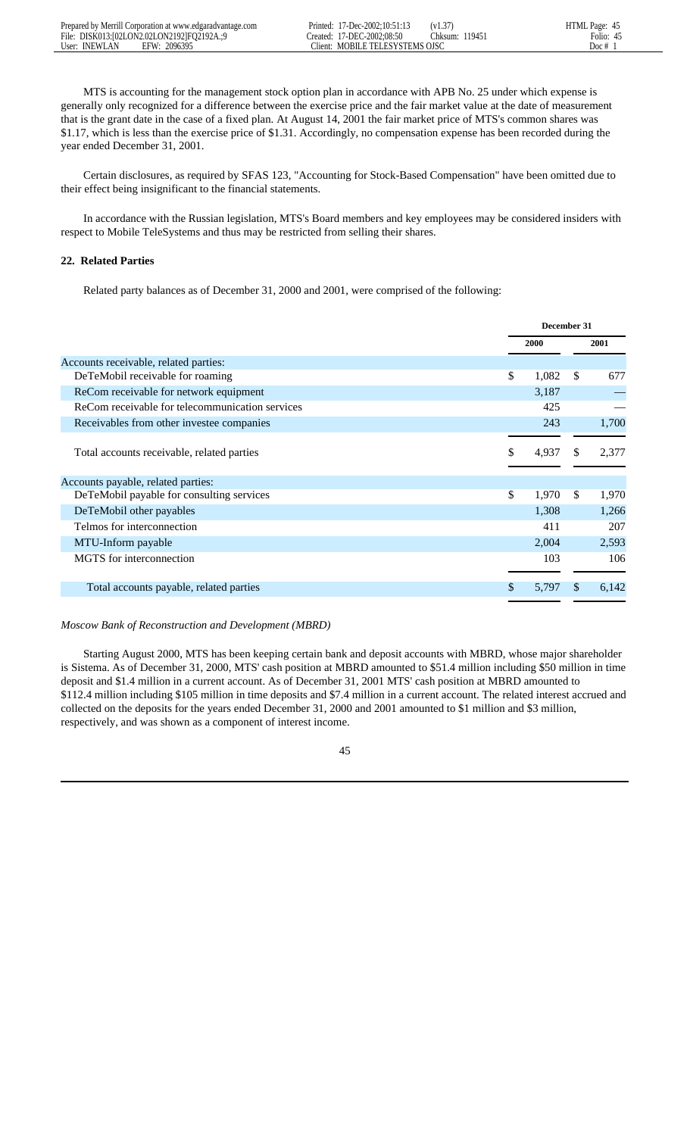MTS is accounting for the management stock option plan in accordance with APB No. 25 under which expense is generally only recognized for a difference between the exercise price and the fair market value at the date of measurement that is the grant date in the case of a fixed plan. At August 14, 2001 the fair market price of MTS's common shares was \$1.17, which is less than the exercise price of \$1.31. Accordingly, no compensation expense has been recorded during the year ended December 31, 2001.

 Certain disclosures, as required by SFAS 123, "Accounting for Stock-Based Compensation" have been omitted due to their effect being insignificant to the financial statements.

 In accordance with the Russian legislation, MTS's Board members and key employees may be considered insiders with respect to Mobile TeleSystems and thus may be restricted from selling their shares.

# **22. Related Parties**

Related party balances as of December 31, 2000 and 2001, were comprised of the following:

|                                                 | December 31 |    |       |
|-------------------------------------------------|-------------|----|-------|
|                                                 | 2000        |    | 2001  |
| Accounts receivable, related parties:           |             |    |       |
| DeTeMobil receivable for roaming                | \$<br>1,082 | \$ | 677   |
| ReCom receivable for network equipment          | 3,187       |    |       |
| ReCom receivable for telecommunication services | 425         |    |       |
| Receivables from other investee companies       | 243         |    | 1,700 |
|                                                 |             |    |       |
| Total accounts receivable, related parties      | \$<br>4,937 | S  | 2,377 |
|                                                 |             |    |       |
| Accounts payable, related parties:              |             |    |       |
| DeTeMobil payable for consulting services       | \$<br>1,970 | \$ | 1,970 |
| DeTeMobil other payables                        | 1,308       |    | 1,266 |
| Telmos for interconnection                      | 411         |    | 207   |
| MTU-Inform payable                              | 2,004       |    | 2,593 |
| MGTS for interconnection                        | 103         |    | 106   |
|                                                 |             |    |       |
| Total accounts payable, related parties         | \$<br>5,797 | \$ | 6,142 |
|                                                 |             |    |       |

# *Moscow Bank of Reconstruction and Development (MBRD)*

 Starting August 2000, MTS has been keeping certain bank and deposit accounts with MBRD, whose major shareholder is Sistema. As of December 31, 2000, MTS' cash position at MBRD amounted to \$51.4 million including \$50 million in time deposit and \$1.4 million in a current account. As of December 31, 2001 MTS' cash position at MBRD amounted to \$112.4 million including \$105 million in time deposits and \$7.4 million in a current account. The related interest accrued and collected on the deposits for the years ended December 31, 2000 and 2001 amounted to \$1 million and \$3 million, respectively, and was shown as a component of interest income.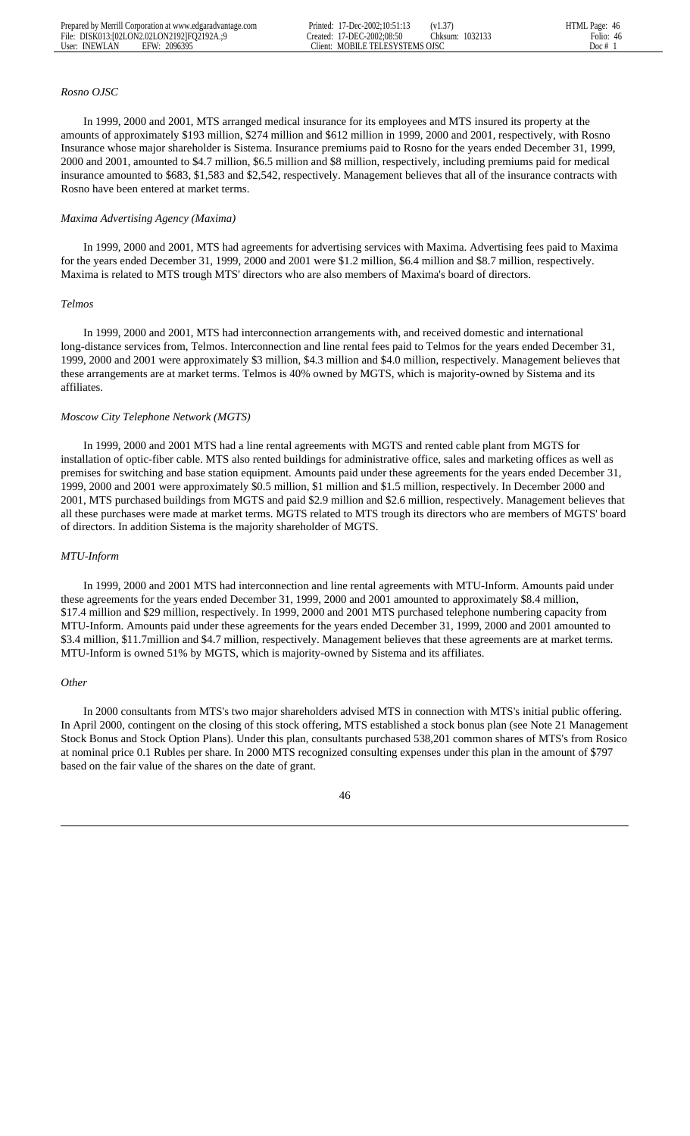Created: 17-DEC-2002;08:50

### *Rosno OJSC*

 In 1999, 2000 and 2001, MTS arranged medical insurance for its employees and MTS insured its property at the amounts of approximately \$193 million, \$274 million and \$612 million in 1999, 2000 and 2001, respectively, with Rosno Insurance whose major shareholder is Sistema. Insurance premiums paid to Rosno for the years ended December 31, 1999, 2000 and 2001, amounted to \$4.7 million, \$6.5 million and \$8 million, respectively, including premiums paid for medical insurance amounted to \$683, \$1,583 and \$2,542, respectively. Management believes that all of the insurance contracts with Rosno have been entered at market terms.

### *Maxima Advertising Agency (Maxima)*

 In 1999, 2000 and 2001, MTS had agreements for advertising services with Maxima. Advertising fees paid to Maxima for the years ended December 31, 1999, 2000 and 2001 were \$1.2 million, \$6.4 million and \$8.7 million, respectively. Maxima is related to MTS trough MTS' directors who are also members of Maxima's board of directors.

#### *Telmos*

 In 1999, 2000 and 2001, MTS had interconnection arrangements with, and received domestic and international long-distance services from, Telmos. Interconnection and line rental fees paid to Telmos for the years ended December 31, 1999, 2000 and 2001 were approximately \$3 million, \$4.3 million and \$4.0 million, respectively. Management believes that these arrangements are at market terms. Telmos is 40% owned by MGTS, which is majority-owned by Sistema and its affiliates.

#### *Moscow City Telephone Network (MGTS)*

 In 1999, 2000 and 2001 MTS had a line rental agreements with MGTS and rented cable plant from MGTS for installation of optic-fiber cable. MTS also rented buildings for administrative office, sales and marketing offices as well as premises for switching and base station equipment. Amounts paid under these agreements for the years ended December 31, 1999, 2000 and 2001 were approximately \$0.5 million, \$1 million and \$1.5 million, respectively. In December 2000 and 2001, MTS purchased buildings from MGTS and paid \$2.9 million and \$2.6 million, respectively. Management believes that all these purchases were made at market terms. MGTS related to MTS trough its directors who are members of MGTS' board of directors. In addition Sistema is the majority shareholder of MGTS.

## *MTU-Inform*

 In 1999, 2000 and 2001 MTS had interconnection and line rental agreements with MTU-Inform. Amounts paid under these agreements for the years ended December 31, 1999, 2000 and 2001 amounted to approximately \$8.4 million, \$17.4 million and \$29 million, respectively. In 1999, 2000 and 2001 MTS purchased telephone numbering capacity from MTU-Inform. Amounts paid under these agreements for the years ended December 31, 1999, 2000 and 2001 amounted to \$3.4 million, \$11.7million and \$4.7 million, respectively. Management believes that these agreements are at market terms. MTU-Inform is owned 51% by MGTS, which is majority-owned by Sistema and its affiliates.

#### *Other*

 In 2000 consultants from MTS's two major shareholders advised MTS in connection with MTS's initial public offering. In April 2000, contingent on the closing of this stock offering, MTS established a stock bonus plan (see Note 21 Management Stock Bonus and Stock Option Plans). Under this plan, consultants purchased 538,201 common shares of MTS's from Rosico at nominal price 0.1 Rubles per share. In 2000 MTS recognized consulting expenses under this plan in the amount of \$797 based on the fair value of the shares on the date of grant.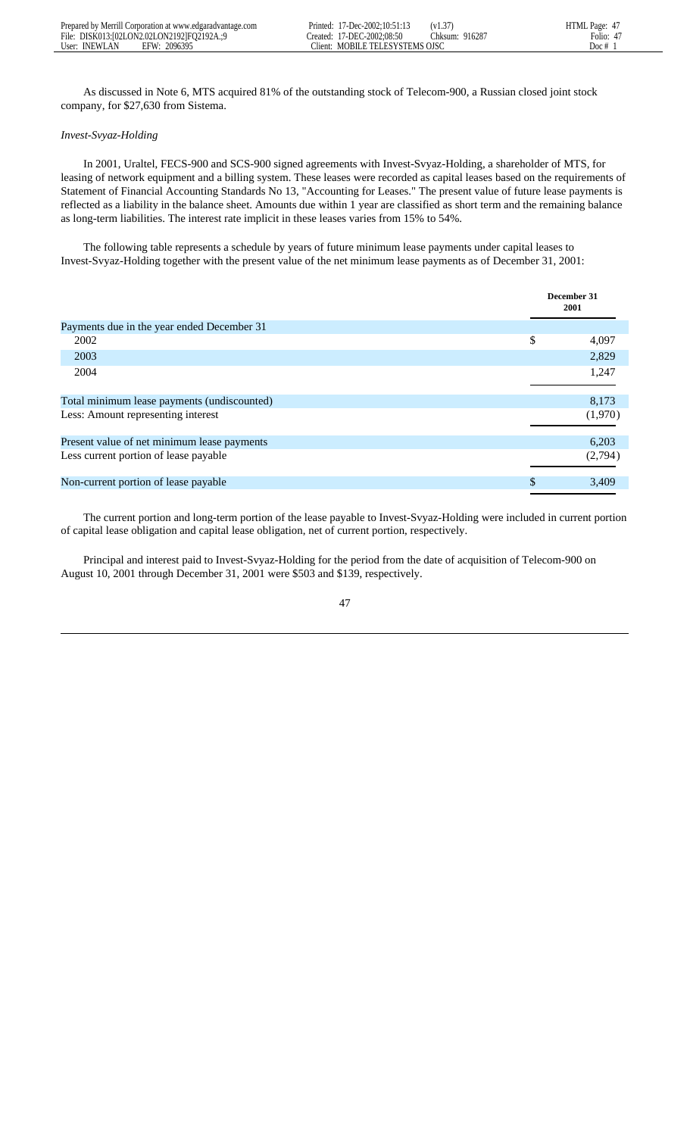As discussed in Note 6, MTS acquired 81% of the outstanding stock of Telecom-900, a Russian closed joint stock company, for \$27,630 from Sistema.

## *Invest-Svyaz-Holding*

 In 2001, Uraltel, FECS-900 and SCS-900 signed agreements with Invest-Svyaz-Holding, a shareholder of MTS, for leasing of network equipment and a billing system. These leases were recorded as capital leases based on the requirements of Statement of Financial Accounting Standards No 13, "Accounting for Leases." The present value of future lease payments is reflected as a liability in the balance sheet. Amounts due within 1 year are classified as short term and the remaining balance as long-term liabilities. The interest rate implicit in these leases varies from 15% to 54%.

 The following table represents a schedule by years of future minimum lease payments under capital leases to Invest-Svyaz-Holding together with the present value of the net minimum lease payments as of December 31, 2001:

|                                             | December 31<br>2001 |
|---------------------------------------------|---------------------|
| Payments due in the year ended December 31  |                     |
| 2002                                        | \$<br>4,097         |
| 2003                                        | 2,829               |
| 2004                                        | 1,247               |
| Total minimum lease payments (undiscounted) | 8,173               |
| Less: Amount representing interest          | (1,970)             |
| Present value of net minimum lease payments | 6,203               |
| Less current portion of lease payable       | (2,794)             |
| Non-current portion of lease payable        | \$<br>3,409         |

 The current portion and long-term portion of the lease payable to Invest-Svyaz-Holding were included in current portion of capital lease obligation and capital lease obligation, net of current portion, respectively.

 Principal and interest paid to Invest-Svyaz-Holding for the period from the date of acquisition of Telecom-900 on August 10, 2001 through December 31, 2001 were \$503 and \$139, respectively.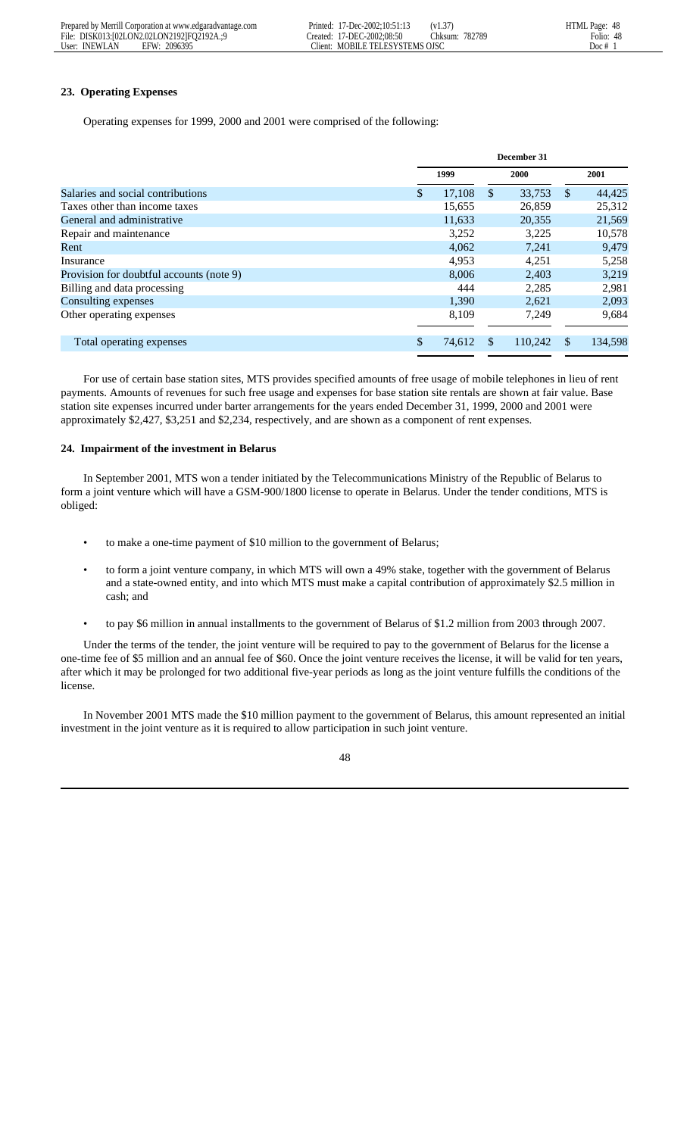| Prepared by Merrill Corporation at www.edgaradvantage.com | 17-Dec-2002:10:51:13<br>Printed:  | HTML Page: 48<br>$'V1.3'$ .       |
|-----------------------------------------------------------|-----------------------------------|-----------------------------------|
| File: DISK013:[02LON2.02LON2192]FO2192A.:9                | Created: 17-DEC-2002:08:50        | 782789<br>48<br>Folio:<br>Chksum: |
| User: INEWLAN<br>2096395<br>EFW:                          | MOBILE TELESYSTEMS OISC<br>lient: | $100c$ #                          |

# **23. Operating Expenses**

Operating expenses for 1999, 2000 and 2001 were comprised of the following:

|                                          | December 31 |        |     |             |               |         |  |
|------------------------------------------|-------------|--------|-----|-------------|---------------|---------|--|
|                                          |             | 1999   |     | <b>2000</b> |               | 2001    |  |
| Salaries and social contributions        | \$          | 17,108 | \$  | 33,753      | <sup>\$</sup> | 44,425  |  |
| Taxes other than income taxes            |             | 15,655 |     | 26,859      |               | 25,312  |  |
| General and administrative               |             | 11,633 |     | 20,355      |               | 21,569  |  |
| Repair and maintenance                   |             | 3.252  |     | 3.225       |               | 10,578  |  |
| Rent                                     |             | 4,062  |     | 7.241       |               | 9,479   |  |
| Insurance                                |             | 4.953  |     | 4.251       |               | 5,258   |  |
| Provision for doubtful accounts (note 9) |             | 8.006  |     | 2,403       |               | 3.219   |  |
| Billing and data processing              |             | 444    |     | 2.285       |               | 2,981   |  |
| Consulting expenses                      |             | 1.390  |     | 2.621       |               | 2,093   |  |
| Other operating expenses                 |             | 8,109  |     | 7,249       |               | 9,684   |  |
| Total operating expenses                 | \$          | 74,612 | \$. | 110.242     | <b>S</b>      | 134,598 |  |

 For use of certain base station sites, MTS provides specified amounts of free usage of mobile telephones in lieu of rent payments. Amounts of revenues for such free usage and expenses for base station site rentals are shown at fair value. Base station site expenses incurred under barter arrangements for the years ended December 31, 1999, 2000 and 2001 were approximately \$2,427, \$3,251 and \$2,234, respectively, and are shown as a component of rent expenses.

### **24. Impairment of the investment in Belarus**

 In September 2001, MTS won a tender initiated by the Telecommunications Ministry of the Republic of Belarus to form a joint venture which will have a GSM-900/1800 license to operate in Belarus. Under the tender conditions, MTS is obliged:

- to make a one-time payment of \$10 million to the government of Belarus;
- to form a joint venture company, in which MTS will own a 49% stake, together with the government of Belarus and a state-owned entity, and into which MTS must make a capital contribution of approximately \$2.5 million in cash; and
- to pay \$6 million in annual installments to the government of Belarus of \$1.2 million from 2003 through 2007.

 Under the terms of the tender, the joint venture will be required to pay to the government of Belarus for the license a one-time fee of \$5 million and an annual fee of \$60. Once the joint venture receives the license, it will be valid for ten years, after which it may be prolonged for two additional five-year periods as long as the joint venture fulfills the conditions of the license.

 In November 2001 MTS made the \$10 million payment to the government of Belarus, this amount represented an initial investment in the joint venture as it is required to allow participation in such joint venture.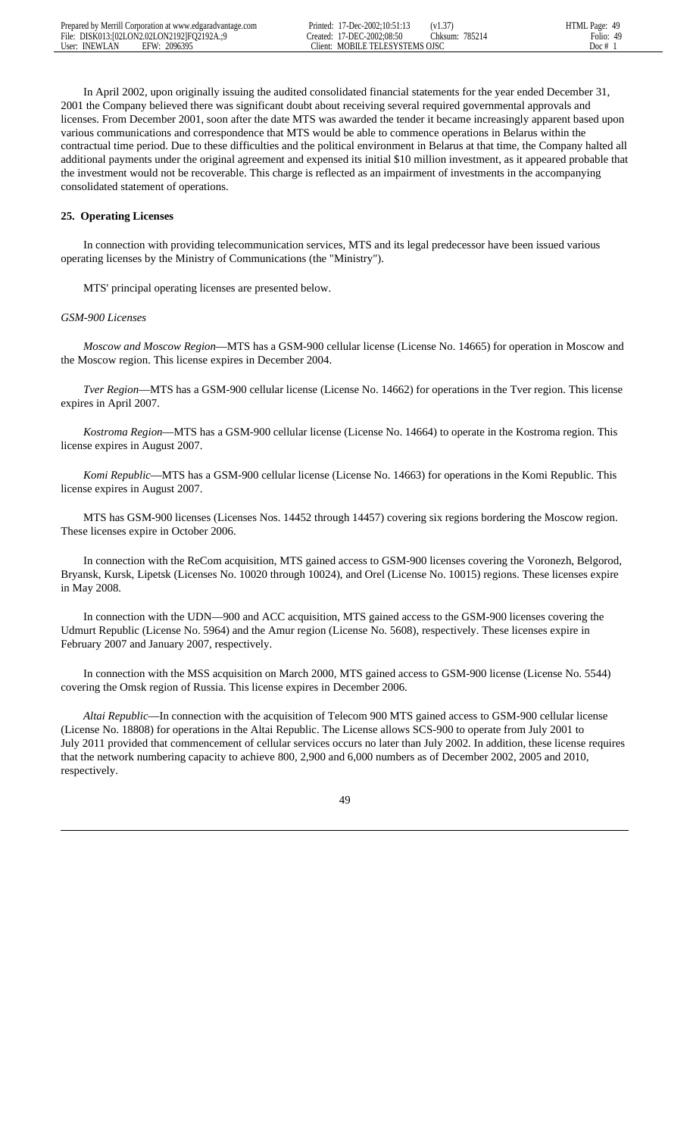In April 2002, upon originally issuing the audited consolidated financial statements for the year ended December 31, 2001 the Company believed there was significant doubt about receiving several required governmental approvals and licenses. From December 2001, soon after the date MTS was awarded the tender it became increasingly apparent based upon various communications and correspondence that MTS would be able to commence operations in Belarus within the contractual time period. Due to these difficulties and the political environment in Belarus at that time, the Company halted all additional payments under the original agreement and expensed its initial \$10 million investment, as it appeared probable that the investment would not be recoverable. This charge is reflected as an impairment of investments in the accompanying consolidated statement of operations.

# **25. Operating Licenses**

 In connection with providing telecommunication services, MTS and its legal predecessor have been issued various operating licenses by the Ministry of Communications (the "Ministry").

MTS' principal operating licenses are presented below.

### *GSM-900 Licenses*

 *Moscow and Moscow Region*—MTS has a GSM-900 cellular license (License No. 14665) for operation in Moscow and the Moscow region. This license expires in December 2004.

 *Tver Region*—MTS has a GSM-900 cellular license (License No. 14662) for operations in the Tver region. This license expires in April 2007.

 *Kostroma Region*—MTS has a GSM-900 cellular license (License No. 14664) to operate in the Kostroma region. This license expires in August 2007.

 *Komi Republic*—MTS has a GSM-900 cellular license (License No. 14663) for operations in the Komi Republic. This license expires in August 2007.

 MTS has GSM-900 licenses (Licenses Nos. 14452 through 14457) covering six regions bordering the Moscow region. These licenses expire in October 2006.

 In connection with the ReCom acquisition, MTS gained access to GSM-900 licenses covering the Voronezh, Belgorod, Bryansk, Kursk, Lipetsk (Licenses No. 10020 through 10024), and Orel (License No. 10015) regions. These licenses expire in May 2008.

 In connection with the UDN—900 and ACC acquisition, MTS gained access to the GSM-900 licenses covering the Udmurt Republic (License No. 5964) and the Amur region (License No. 5608), respectively. These licenses expire in February 2007 and January 2007, respectively.

 In connection with the MSS acquisition on March 2000, MTS gained access to GSM-900 license (License No. 5544) covering the Omsk region of Russia. This license expires in December 2006.

 *Altai Republic*—In connection with the acquisition of Telecom 900 MTS gained access to GSM-900 cellular license (License No. 18808) for operations in the Altai Republic. The License allows SCS-900 to operate from July 2001 to July 2011 provided that commencement of cellular services occurs no later than July 2002. In addition, these license requires that the network numbering capacity to achieve 800, 2,900 and 6,000 numbers as of December 2002, 2005 and 2010, respectively.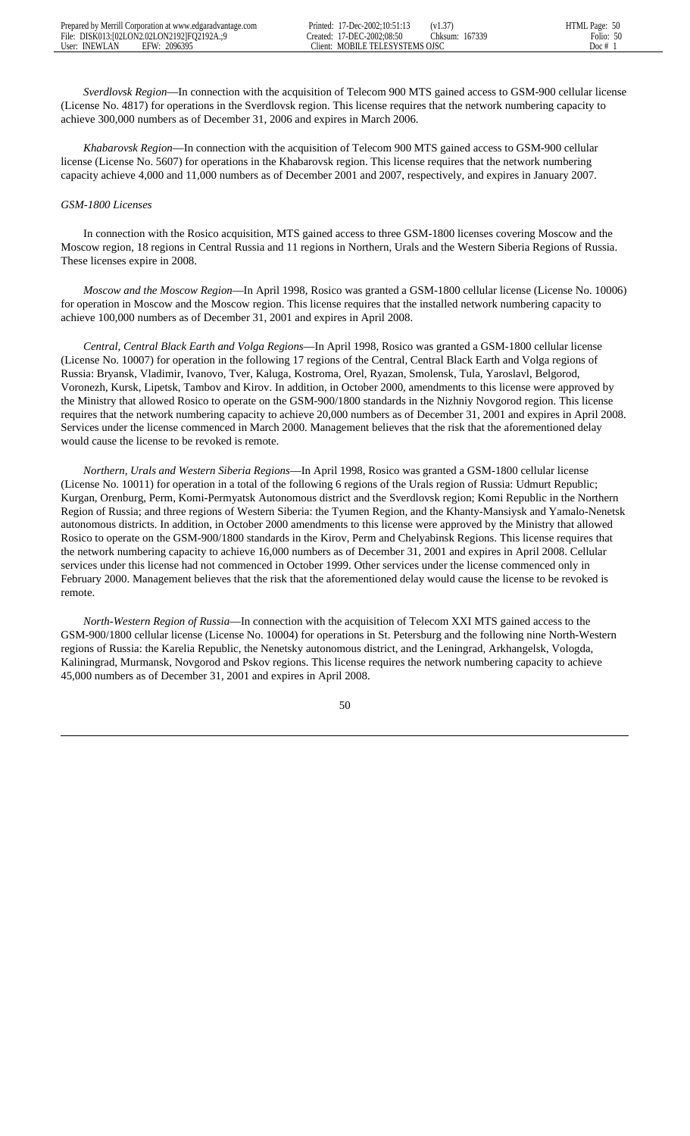*Sverdlovsk Region*—In connection with the acquisition of Telecom 900 MTS gained access to GSM-900 cellular license (License No. 4817) for operations in the Sverdlovsk region. This license requires that the network numbering capacity to achieve 300,000 numbers as of December 31, 2006 and expires in March 2006.

 *Khabarovsk Region*—In connection with the acquisition of Telecom 900 MTS gained access to GSM-900 cellular license (License No. 5607) for operations in the Khabarovsk region. This license requires that the network numbering capacity achieve 4,000 and 11,000 numbers as of December 2001 and 2007, respectively, and expires in January 2007.

#### *GSM-1800 Licenses*

 In connection with the Rosico acquisition, MTS gained access to three GSM-1800 licenses covering Moscow and the Moscow region, 18 regions in Central Russia and 11 regions in Northern, Urals and the Western Siberia Regions of Russia. These licenses expire in 2008.

 *Moscow and the Moscow Region*—In April 1998, Rosico was granted a GSM-1800 cellular license (License No. 10006) for operation in Moscow and the Moscow region. This license requires that the installed network numbering capacity to achieve 100,000 numbers as of December 31, 2001 and expires in April 2008.

 *Central, Central Black Earth and Volga Regions*—In April 1998, Rosico was granted a GSM-1800 cellular license (License No. 10007) for operation in the following 17 regions of the Central, Central Black Earth and Volga regions of Russia: Bryansk, Vladimir, Ivanovo, Tver, Kaluga, Kostroma, Orel, Ryazan, Smolensk, Tula, Yaroslavl, Belgorod, Voronezh, Kursk, Lipetsk, Tambov and Kirov. In addition, in October 2000, amendments to this license were approved by the Ministry that allowed Rosico to operate on the GSM-900/1800 standards in the Nizhniy Novgorod region. This license requires that the network numbering capacity to achieve 20,000 numbers as of December 31, 2001 and expires in April 2008. Services under the license commenced in March 2000. Management believes that the risk that the aforementioned delay would cause the license to be revoked is remote.

 *Northern, Urals and Western Siberia Regions*—In April 1998, Rosico was granted a GSM-1800 cellular license (License No. 10011) for operation in a total of the following 6 regions of the Urals region of Russia: Udmurt Republic; Kurgan, Orenburg, Perm, Komi-Permyatsk Autonomous district and the Sverdlovsk region; Komi Republic in the Northern Region of Russia; and three regions of Western Siberia: the Tyumen Region, and the Khanty-Mansiysk and Yamalo-Nenetsk autonomous districts. In addition, in October 2000 amendments to this license were approved by the Ministry that allowed Rosico to operate on the GSM-900/1800 standards in the Kirov, Perm and Chelyabinsk Regions. This license requires that the network numbering capacity to achieve 16,000 numbers as of December 31, 2001 and expires in April 2008. Cellular services under this license had not commenced in October 1999. Other services under the license commenced only in February 2000. Management believes that the risk that the aforementioned delay would cause the license to be revoked is remote.

 *North-Western Region of Russia*—In connection with the acquisition of Telecom XXI MTS gained access to the GSM-900/1800 cellular license (License No. 10004) for operations in St. Petersburg and the following nine North-Western regions of Russia: the Karelia Republic, the Nenetsky autonomous district, and the Leningrad, Arkhangelsk, Vologda, Kaliningrad, Murmansk, Novgorod and Pskov regions. This license requires the network numbering capacity to achieve 45,000 numbers as of December 31, 2001 and expires in April 2008.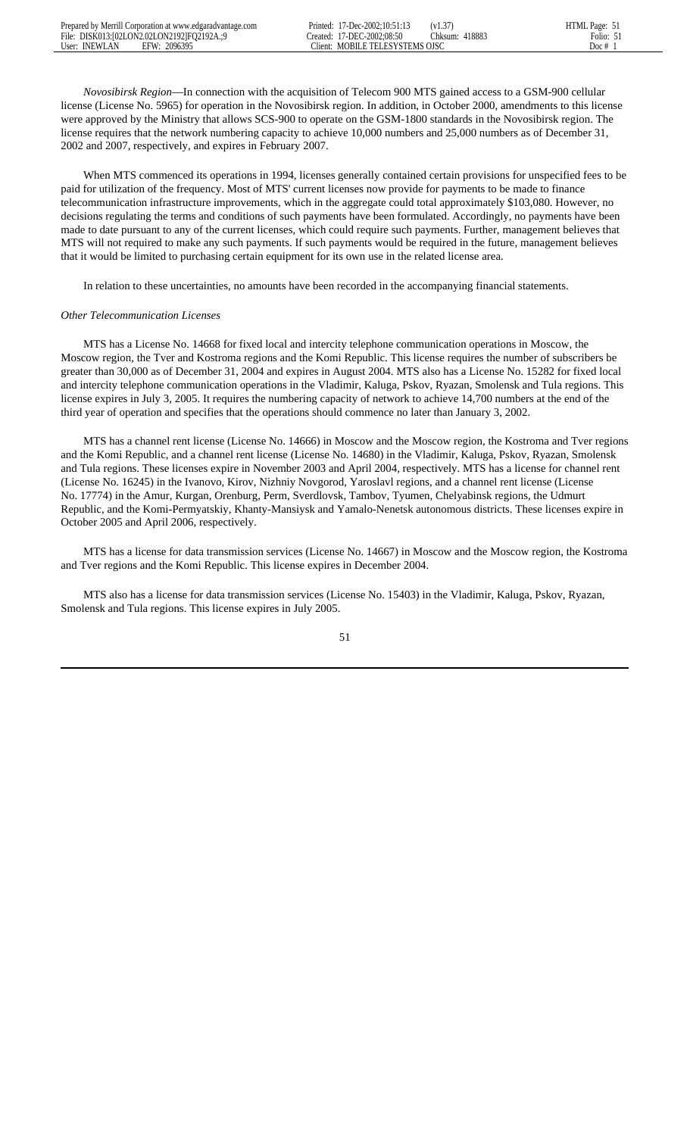*Novosibirsk Region*—In connection with the acquisition of Telecom 900 MTS gained access to a GSM-900 cellular license (License No. 5965) for operation in the Novosibirsk region. In addition, in October 2000, amendments to this license were approved by the Ministry that allows SCS-900 to operate on the GSM-1800 standards in the Novosibirsk region. The license requires that the network numbering capacity to achieve 10,000 numbers and 25,000 numbers as of December 31, 2002 and 2007, respectively, and expires in February 2007.

 When MTS commenced its operations in 1994, licenses generally contained certain provisions for unspecified fees to be paid for utilization of the frequency. Most of MTS' current licenses now provide for payments to be made to finance telecommunication infrastructure improvements, which in the aggregate could total approximately \$103,080. However, no decisions regulating the terms and conditions of such payments have been formulated. Accordingly, no payments have been made to date pursuant to any of the current licenses, which could require such payments. Further, management believes that MTS will not required to make any such payments. If such payments would be required in the future, management believes that it would be limited to purchasing certain equipment for its own use in the related license area.

In relation to these uncertainties, no amounts have been recorded in the accompanying financial statements.

### *Other Telecommunication Licenses*

 MTS has a License No. 14668 for fixed local and intercity telephone communication operations in Moscow, the Moscow region, the Tver and Kostroma regions and the Komi Republic. This license requires the number of subscribers be greater than 30,000 as of December 31, 2004 and expires in August 2004. MTS also has a License No. 15282 for fixed local and intercity telephone communication operations in the Vladimir, Kaluga, Pskov, Ryazan, Smolensk and Tula regions. This license expires in July 3, 2005. It requires the numbering capacity of network to achieve 14,700 numbers at the end of the third year of operation and specifies that the operations should commence no later than January 3, 2002.

 MTS has a channel rent license (License No. 14666) in Moscow and the Moscow region, the Kostroma and Tver regions and the Komi Republic, and a channel rent license (License No. 14680) in the Vladimir, Kaluga, Pskov, Ryazan, Smolensk and Tula regions. These licenses expire in November 2003 and April 2004, respectively. MTS has a license for channel rent (License No. 16245) in the Ivanovo, Kirov, Nizhniy Novgorod, Yaroslavl regions, and a channel rent license (License No. 17774) in the Amur, Kurgan, Orenburg, Perm, Sverdlovsk, Tambov, Tyumen, Chelyabinsk regions, the Udmurt Republic, and the Komi-Permyatskiy, Khanty-Mansiysk and Yamalo-Nenetsk autonomous districts. These licenses expire in October 2005 and April 2006, respectively.

 MTS has a license for data transmission services (License No. 14667) in Moscow and the Moscow region, the Kostroma and Tver regions and the Komi Republic. This license expires in December 2004.

 MTS also has a license for data transmission services (License No. 15403) in the Vladimir, Kaluga, Pskov, Ryazan, Smolensk and Tula regions. This license expires in July 2005.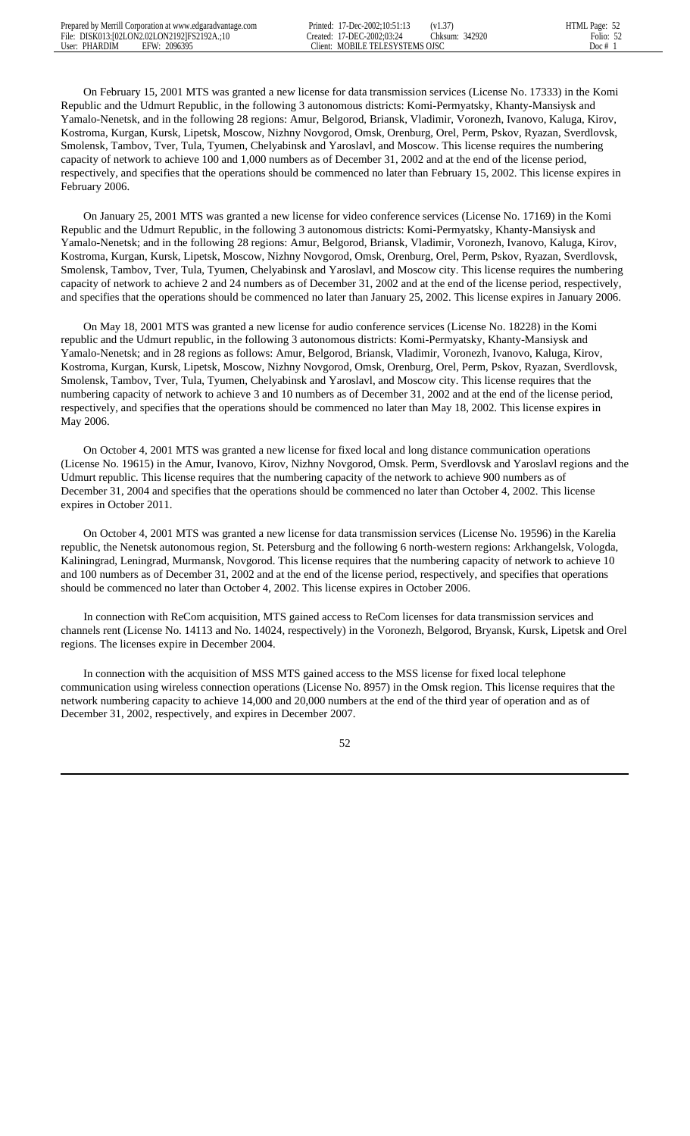On February 15, 2001 MTS was granted a new license for data transmission services (License No. 17333) in the Komi Republic and the Udmurt Republic, in the following 3 autonomous districts: Komi-Permyatsky, Khanty-Mansiysk and Yamalo-Nenetsk, and in the following 28 regions: Amur, Belgorod, Briansk, Vladimir, Voronezh, Ivanovo, Kaluga, Kirov, Kostroma, Kurgan, Kursk, Lipetsk, Moscow, Nizhny Novgorod, Omsk, Orenburg, Orel, Perm, Pskov, Ryazan, Sverdlovsk, Smolensk, Tambov, Tver, Tula, Tyumen, Chelyabinsk and Yaroslavl, and Moscow. This license requires the numbering capacity of network to achieve 100 and 1,000 numbers as of December 31, 2002 and at the end of the license period, respectively, and specifies that the operations should be commenced no later than February 15, 2002. This license expires in February 2006.

 On January 25, 2001 MTS was granted a new license for video conference services (License No. 17169) in the Komi Republic and the Udmurt Republic, in the following 3 autonomous districts: Komi-Permyatsky, Khanty-Mansiysk and Yamalo-Nenetsk; and in the following 28 regions: Amur, Belgorod, Briansk, Vladimir, Voronezh, Ivanovo, Kaluga, Kirov, Kostroma, Kurgan, Kursk, Lipetsk, Moscow, Nizhny Novgorod, Omsk, Orenburg, Orel, Perm, Pskov, Ryazan, Sverdlovsk, Smolensk, Tambov, Tver, Tula, Tyumen, Chelyabinsk and Yaroslavl, and Moscow city. This license requires the numbering capacity of network to achieve 2 and 24 numbers as of December 31, 2002 and at the end of the license period, respectively, and specifies that the operations should be commenced no later than January 25, 2002. This license expires in January 2006.

 On May 18, 2001 MTS was granted a new license for audio conference services (License No. 18228) in the Komi republic and the Udmurt republic, in the following 3 autonomous districts: Komi-Permyatsky, Khanty-Mansiysk and Yamalo-Nenetsk; and in 28 regions as follows: Amur, Belgorod, Briansk, Vladimir, Voronezh, Ivanovo, Kaluga, Kirov, Kostroma, Kurgan, Kursk, Lipetsk, Moscow, Nizhny Novgorod, Omsk, Orenburg, Orel, Perm, Pskov, Ryazan, Sverdlovsk, Smolensk, Tambov, Tver, Tula, Tyumen, Chelyabinsk and Yaroslavl, and Moscow city. This license requires that the numbering capacity of network to achieve 3 and 10 numbers as of December 31, 2002 and at the end of the license period, respectively, and specifies that the operations should be commenced no later than May 18, 2002. This license expires in May 2006.

 On October 4, 2001 MTS was granted a new license for fixed local and long distance communication operations (License No. 19615) in the Amur, Ivanovo, Kirov, Nizhny Novgorod, Omsk. Perm, Sverdlovsk and Yaroslavl regions and the Udmurt republic. This license requires that the numbering capacity of the network to achieve 900 numbers as of December 31, 2004 and specifies that the operations should be commenced no later than October 4, 2002. This license expires in October 2011.

 On October 4, 2001 MTS was granted a new license for data transmission services (License No. 19596) in the Karelia republic, the Nenetsk autonomous region, St. Petersburg and the following 6 north-western regions: Arkhangelsk, Vologda, Kaliningrad, Leningrad, Murmansk, Novgorod. This license requires that the numbering capacity of network to achieve 10 and 100 numbers as of December 31, 2002 and at the end of the license period, respectively, and specifies that operations should be commenced no later than October 4, 2002. This license expires in October 2006.

 In connection with ReCom acquisition, MTS gained access to ReCom licenses for data transmission services and channels rent (License No. 14113 and No. 14024, respectively) in the Voronezh, Belgorod, Bryansk, Kursk, Lipetsk and Orel regions. The licenses expire in December 2004.

 In connection with the acquisition of MSS MTS gained access to the MSS license for fixed local telephone communication using wireless connection operations (License No. 8957) in the Omsk region. This license requires that the network numbering capacity to achieve 14,000 and 20,000 numbers at the end of the third year of operation and as of December 31, 2002, respectively, and expires in December 2007.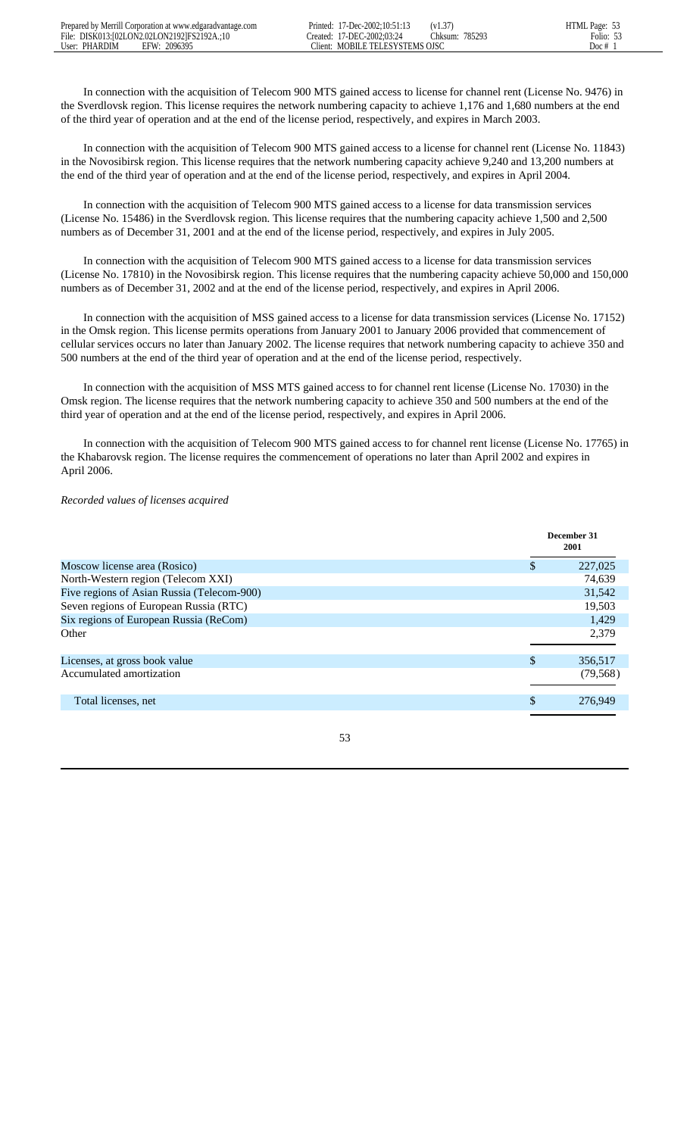In connection with the acquisition of Telecom 900 MTS gained access to license for channel rent (License No. 9476) in the Sverdlovsk region. This license requires the network numbering capacity to achieve 1,176 and 1,680 numbers at the end of the third year of operation and at the end of the license period, respectively, and expires in March 2003.

 In connection with the acquisition of Telecom 900 MTS gained access to a license for channel rent (License No. 11843) in the Novosibirsk region. This license requires that the network numbering capacity achieve 9,240 and 13,200 numbers at the end of the third year of operation and at the end of the license period, respectively, and expires in April 2004.

 In connection with the acquisition of Telecom 900 MTS gained access to a license for data transmission services (License No. 15486) in the Sverdlovsk region. This license requires that the numbering capacity achieve 1,500 and 2,500 numbers as of December 31, 2001 and at the end of the license period, respectively, and expires in July 2005.

 In connection with the acquisition of Telecom 900 MTS gained access to a license for data transmission services (License No. 17810) in the Novosibirsk region. This license requires that the numbering capacity achieve 50,000 and 150,000 numbers as of December 31, 2002 and at the end of the license period, respectively, and expires in April 2006.

 In connection with the acquisition of MSS gained access to a license for data transmission services (License No. 17152) in the Omsk region. This license permits operations from January 2001 to January 2006 provided that commencement of cellular services occurs no later than January 2002. The license requires that network numbering capacity to achieve 350 and 500 numbers at the end of the third year of operation and at the end of the license period, respectively.

 In connection with the acquisition of MSS MTS gained access to for channel rent license (License No. 17030) in the Omsk region. The license requires that the network numbering capacity to achieve 350 and 500 numbers at the end of the third year of operation and at the end of the license period, respectively, and expires in April 2006.

 In connection with the acquisition of Telecom 900 MTS gained access to for channel rent license (License No. 17765) in the Khabarovsk region. The license requires the commencement of operations no later than April 2002 and expires in April 2006.

## *Recorded values of licenses acquired*

|                                            |     | December 31<br>2001 |
|--------------------------------------------|-----|---------------------|
| Moscow license area (Rosico)               | S   | 227,025             |
| North-Western region (Telecom XXI)         |     | 74.639              |
| Five regions of Asian Russia (Telecom-900) |     | 31,542              |
| Seven regions of European Russia (RTC)     |     | 19,503              |
| Six regions of European Russia (ReCom)     |     | 1,429               |
| Other                                      |     | 2,379               |
| Licenses, at gross book value              | \$. | 356,517             |
| Accumulated amortization                   |     | (79, 568)           |
| Total licenses, net                        | \$  | 276,949             |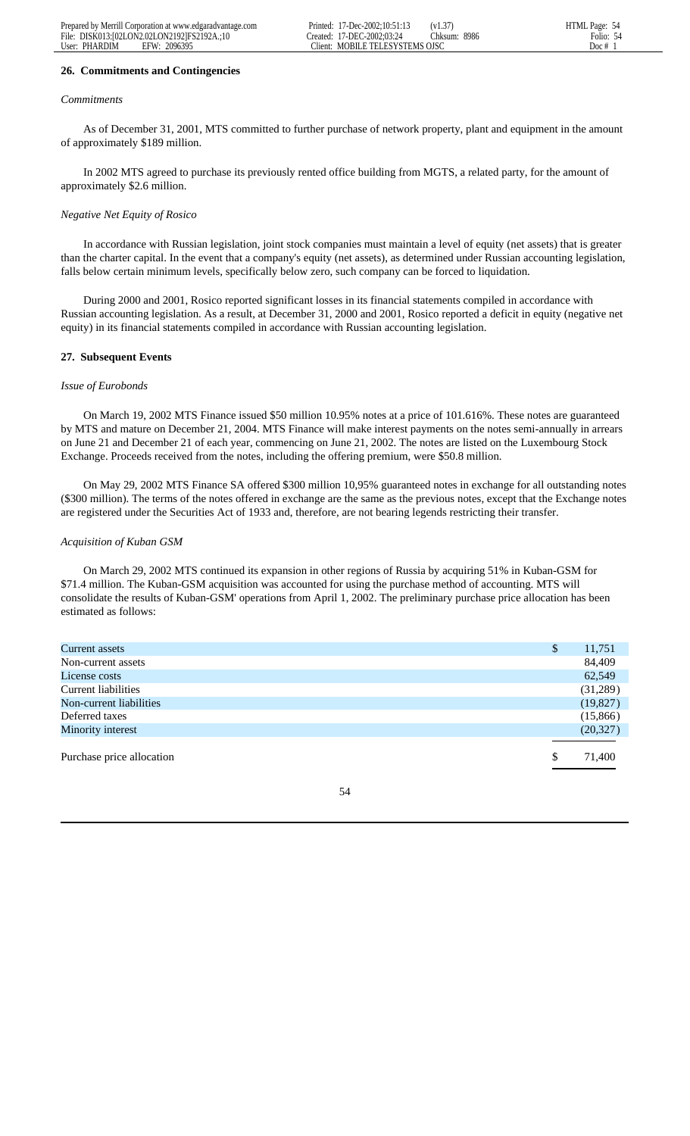### **26. Commitments and Contingencies**

#### *Commitments*

 As of December 31, 2001, MTS committed to further purchase of network property, plant and equipment in the amount of approximately \$189 million.

 In 2002 MTS agreed to purchase its previously rented office building from MGTS, a related party, for the amount of approximately \$2.6 million.

### *Negative Net Equity of Rosico*

 In accordance with Russian legislation, joint stock companies must maintain a level of equity (net assets) that is greater than the charter capital. In the event that a company's equity (net assets), as determined under Russian accounting legislation, falls below certain minimum levels, specifically below zero, such company can be forced to liquidation.

 During 2000 and 2001, Rosico reported significant losses in its financial statements compiled in accordance with Russian accounting legislation. As a result, at December 31, 2000 and 2001, Rosico reported a deficit in equity (negative net equity) in its financial statements compiled in accordance with Russian accounting legislation.

### **27. Subsequent Events**

#### *Issue of Eurobonds*

 On March 19, 2002 MTS Finance issued \$50 million 10.95% notes at a price of 101.616%. These notes are guaranteed by MTS and mature on December 21, 2004. MTS Finance will make interest payments on the notes semi-annually in arrears on June 21 and December 21 of each year, commencing on June 21, 2002. The notes are listed on the Luxembourg Stock Exchange. Proceeds received from the notes, including the offering premium, were \$50.8 million.

 On May 29, 2002 MTS Finance SA offered \$300 million 10,95% guaranteed notes in exchange for all outstanding notes (\$300 million). The terms of the notes offered in exchange are the same as the previous notes, except that the Exchange notes are registered under the Securities Act of 1933 and, therefore, are not bearing legends restricting their transfer.

### *Acquisition of Kuban GSM*

 On March 29, 2002 MTS continued its expansion in other regions of Russia by acquiring 51% in Kuban-GSM for \$71.4 million. The Kuban-GSM acquisition was accounted for using the purchase method of accounting. MTS will consolidate the results of Kuban-GSM' operations from April 1, 2002. The preliminary purchase price allocation has been estimated as follows:

| Current assets            | $\mathbb{S}$ | 11,751    |
|---------------------------|--------------|-----------|
| Non-current assets        |              | 84,409    |
| License costs             |              | 62,549    |
| Current liabilities       |              | (31,289)  |
| Non-current liabilities   |              | (19, 827) |
| Deferred taxes            |              | (15,866)  |
| Minority interest         |              | (20, 327) |
|                           |              |           |
| Purchase price allocation | S            | 71,400    |
|                           |              |           |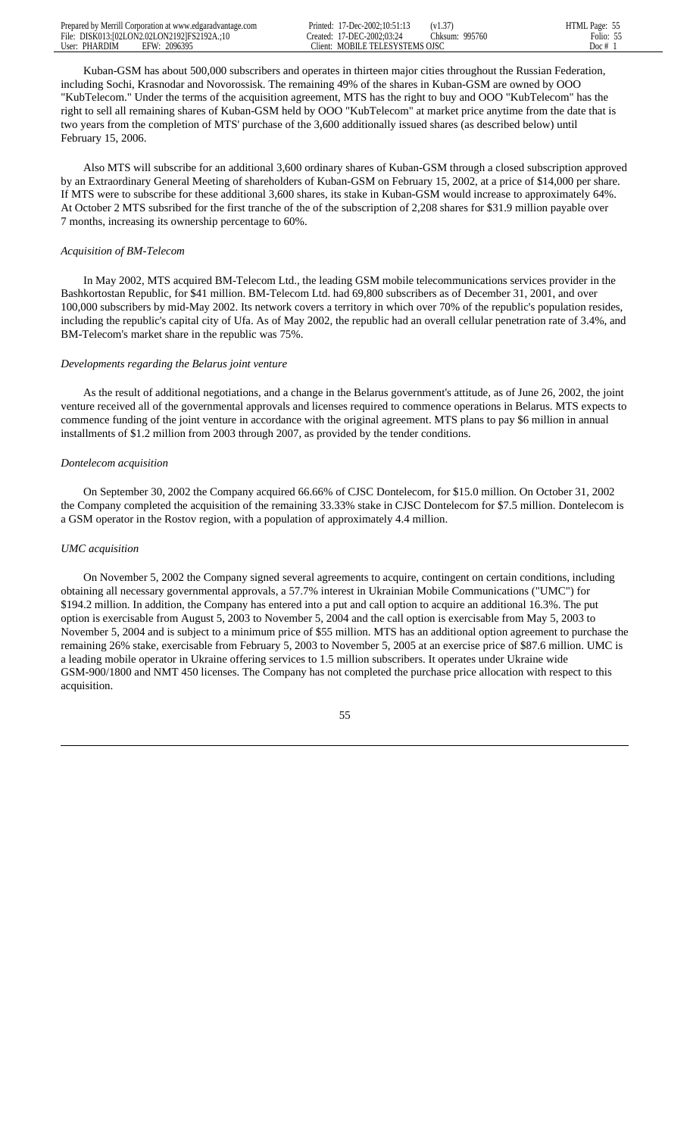| Prepared by Merrill Corporation at www.edgaradvantage.com | 17-Dec-2002:10:51:13<br>Printed:   | (v1.37)        | HTML Page: |
|-----------------------------------------------------------|------------------------------------|----------------|------------|
| File: DISK013:102LON2.02LON21921FS2192A.:10               | Created: 17-DEC-2002:03:24         | Chksum: 995760 | Folio: 55  |
| 2096395<br>User: PHARDIM<br>EFW:                          | MOBILE TELESYSTEMS OISC<br>Tlient: |                | Doc $#$    |

 Kuban-GSM has about 500,000 subscribers and operates in thirteen major cities throughout the Russian Federation, including Sochi, Krasnodar and Novorossisk. The remaining 49% of the shares in Kuban-GSM are owned by OOO "KubTelecom." Under the terms of the acquisition agreement, MTS has the right to buy and OOO "KubTelecom" has the right to sell all remaining shares of Kuban-GSM held by OOO "KubTelecom" at market price anytime from the date that is two years from the completion of MTS' purchase of the 3,600 additionally issued shares (as described below) until February 15, 2006.

 Also MTS will subscribe for an additional 3,600 ordinary shares of Kuban-GSM through a closed subscription approved by an Extraordinary General Meeting of shareholders of Kuban-GSM on February 15, 2002, at a price of \$14,000 per share. If MTS were to subscribe for these additional 3,600 shares, its stake in Kuban-GSM would increase to approximately 64%. At October 2 MTS subsribed for the first tranche of the of the subscription of 2,208 shares for \$31.9 million payable over 7 months, increasing its ownership percentage to 60%.

## *Acquisition of BM-Telecom*

 In May 2002, MTS acquired BM-Telecom Ltd., the leading GSM mobile telecommunications services provider in the Bashkortostan Republic, for \$41 million. BM-Telecom Ltd. had 69,800 subscribers as of December 31, 2001, and over 100,000 subscribers by mid-May 2002. Its network covers a territory in which over 70% of the republic's population resides, including the republic's capital city of Ufa. As of May 2002, the republic had an overall cellular penetration rate of 3.4%, and BM-Telecom's market share in the republic was 75%.

### *Developments regarding the Belarus joint venture*

 As the result of additional negotiations, and a change in the Belarus government's attitude, as of June 26, 2002, the joint venture received all of the governmental approvals and licenses required to commence operations in Belarus. MTS expects to commence funding of the joint venture in accordance with the original agreement. MTS plans to pay \$6 million in annual installments of \$1.2 million from 2003 through 2007, as provided by the tender conditions.

#### *Dontelecom acquisition*

 On September 30, 2002 the Company acquired 66.66% of CJSC Dontelecom, for \$15.0 million. On October 31, 2002 the Company completed the acquisition of the remaining 33.33% stake in CJSC Dontelecom for \$7.5 million. Dontelecom is a GSM operator in the Rostov region, with a population of approximately 4.4 million.

## *UMC acquisition*

 On November 5, 2002 the Company signed several agreements to acquire, contingent on certain conditions, including obtaining all necessary governmental approvals, a 57.7% interest in Ukrainian Mobile Communications ("UMC") for \$194.2 million. In addition, the Company has entered into a put and call option to acquire an additional 16.3%. The put option is exercisable from August 5, 2003 to November 5, 2004 and the call option is exercisable from May 5, 2003 to November 5, 2004 and is subject to a minimum price of \$55 million. MTS has an additional option agreement to purchase the remaining 26% stake, exercisable from February 5, 2003 to November 5, 2005 at an exercise price of \$87.6 million. UMC is a leading mobile operator in Ukraine offering services to 1.5 million subscribers. It operates under Ukraine wide GSM-900/1800 and NMT 450 licenses. The Company has not completed the purchase price allocation with respect to this acquisition.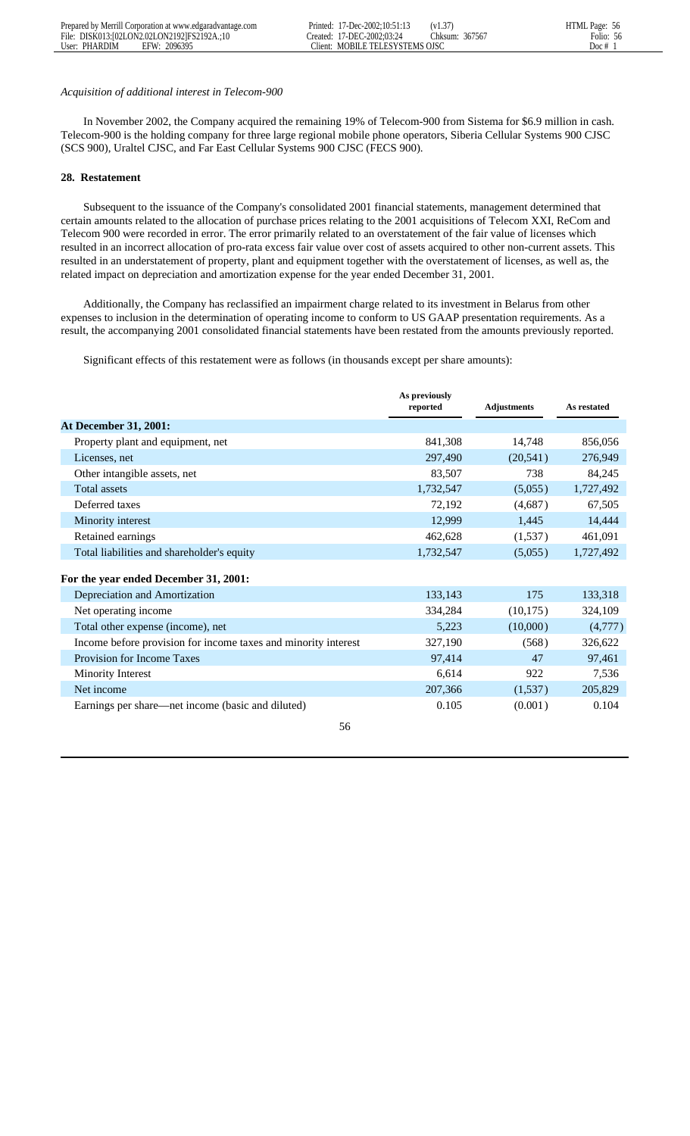### *Acquisition of additional interest in Telecom-900*

 In November 2002, the Company acquired the remaining 19% of Telecom-900 from Sistema for \$6.9 million in cash. Telecom-900 is the holding company for three large regional mobile phone operators, Siberia Cellular Systems 900 CJSC (SCS 900), Uraltel CJSC, and Far East Cellular Systems 900 CJSC (FECS 900).

## **28. Restatement**

 Subsequent to the issuance of the Company's consolidated 2001 financial statements, management determined that certain amounts related to the allocation of purchase prices relating to the 2001 acquisitions of Telecom XXI, ReCom and Telecom 900 were recorded in error. The error primarily related to an overstatement of the fair value of licenses which resulted in an incorrect allocation of pro-rata excess fair value over cost of assets acquired to other non-current assets. This resulted in an understatement of property, plant and equipment together with the overstatement of licenses, as well as, the related impact on depreciation and amortization expense for the year ended December 31, 2001.

 Additionally, the Company has reclassified an impairment charge related to its investment in Belarus from other expenses to inclusion in the determination of operating income to conform to US GAAP presentation requirements. As a result, the accompanying 2001 consolidated financial statements have been restated from the amounts previously reported.

Significant effects of this restatement were as follows (in thousands except per share amounts):

|                                                                | As previously<br>reported | <b>Adjustments</b> | As restated |
|----------------------------------------------------------------|---------------------------|--------------------|-------------|
| <b>At December 31, 2001:</b>                                   |                           |                    |             |
|                                                                |                           |                    |             |
| Property plant and equipment, net                              | 841,308                   | 14,748             | 856,056     |
| Licenses, net                                                  | 297,490                   | (20, 541)          | 276,949     |
| Other intangible assets, net                                   | 83,507                    | 738                | 84,245      |
| <b>Total assets</b>                                            | 1,732,547                 | (5,055)            | 1,727,492   |
| Deferred taxes                                                 | 72,192                    | (4,687)            | 67,505      |
| Minority interest                                              | 12,999                    | 1,445              | 14,444      |
| Retained earnings                                              | 462,628                   | (1,537)            | 461,091     |
| Total liabilities and shareholder's equity                     | 1,732,547                 | (5,055)            | 1,727,492   |
|                                                                |                           |                    |             |
| For the year ended December 31, 2001:                          |                           |                    |             |
| Depreciation and Amortization                                  | 133,143                   | 175                | 133,318     |
| Net operating income                                           | 334,284                   | (10, 175)          | 324,109     |
| Total other expense (income), net                              | 5,223                     | (10,000)           | (4,777)     |
| Income before provision for income taxes and minority interest | 327,190                   | (568)              | 326,622     |
| <b>Provision for Income Taxes</b>                              | 97,414                    | 47                 | 97,461      |
| Minority Interest                                              | 6,614                     | 922                | 7,536       |
| Net income                                                     | 207,366                   | (1,537)            | 205,829     |
| Earnings per share—net income (basic and diluted)              | 0.105                     | (0.001)            | 0.104       |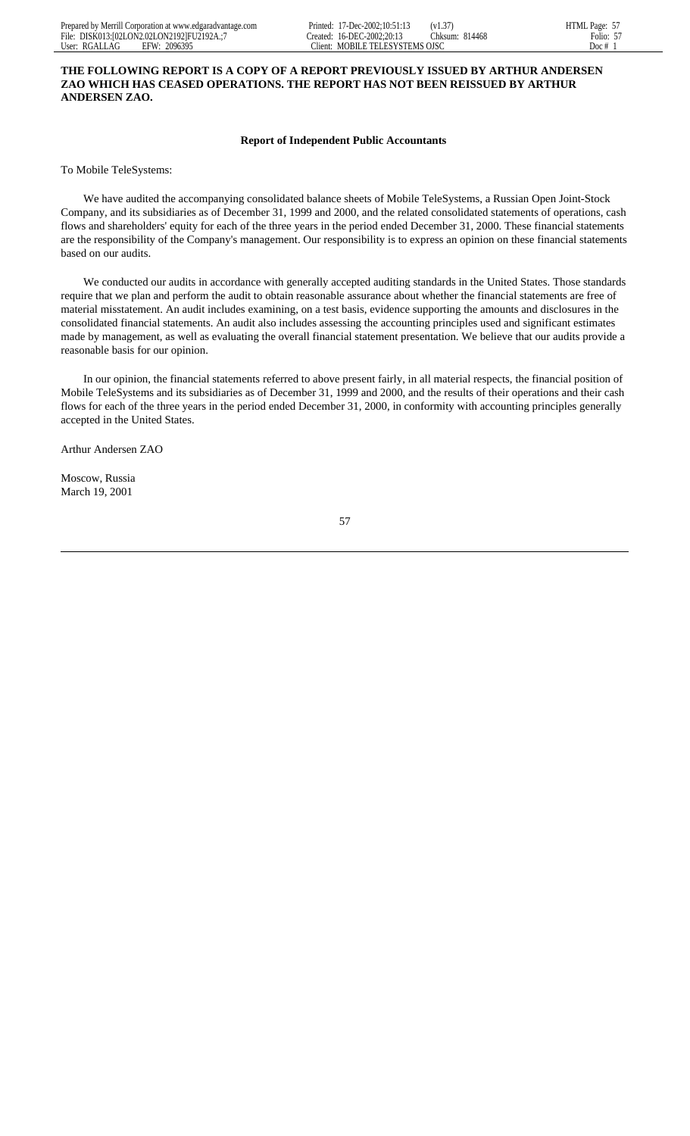# **THE FOLLOWING REPORT IS A COPY OF A REPORT PREVIOUSLY ISSUED BY ARTHUR ANDERSEN ZAO WHICH HAS CEASED OPERATIONS. THE REPORT HAS NOT BEEN REISSUED BY ARTHUR ANDERSEN ZAO.**

## **Report of Independent Public Accountants**

To Mobile TeleSystems:

 We have audited the accompanying consolidated balance sheets of Mobile TeleSystems, a Russian Open Joint-Stock Company, and its subsidiaries as of December 31, 1999 and 2000, and the related consolidated statements of operations, cash flows and shareholders' equity for each of the three years in the period ended December 31, 2000. These financial statements are the responsibility of the Company's management. Our responsibility is to express an opinion on these financial statements based on our audits.

 We conducted our audits in accordance with generally accepted auditing standards in the United States. Those standards require that we plan and perform the audit to obtain reasonable assurance about whether the financial statements are free of material misstatement. An audit includes examining, on a test basis, evidence supporting the amounts and disclosures in the consolidated financial statements. An audit also includes assessing the accounting principles used and significant estimates made by management, as well as evaluating the overall financial statement presentation. We believe that our audits provide a reasonable basis for our opinion.

 In our opinion, the financial statements referred to above present fairly, in all material respects, the financial position of Mobile TeleSystems and its subsidiaries as of December 31, 1999 and 2000, and the results of their operations and their cash flows for each of the three years in the period ended December 31, 2000, in conformity with accounting principles generally accepted in the United States.

Arthur Andersen ZAO

Moscow, Russia March 19, 2001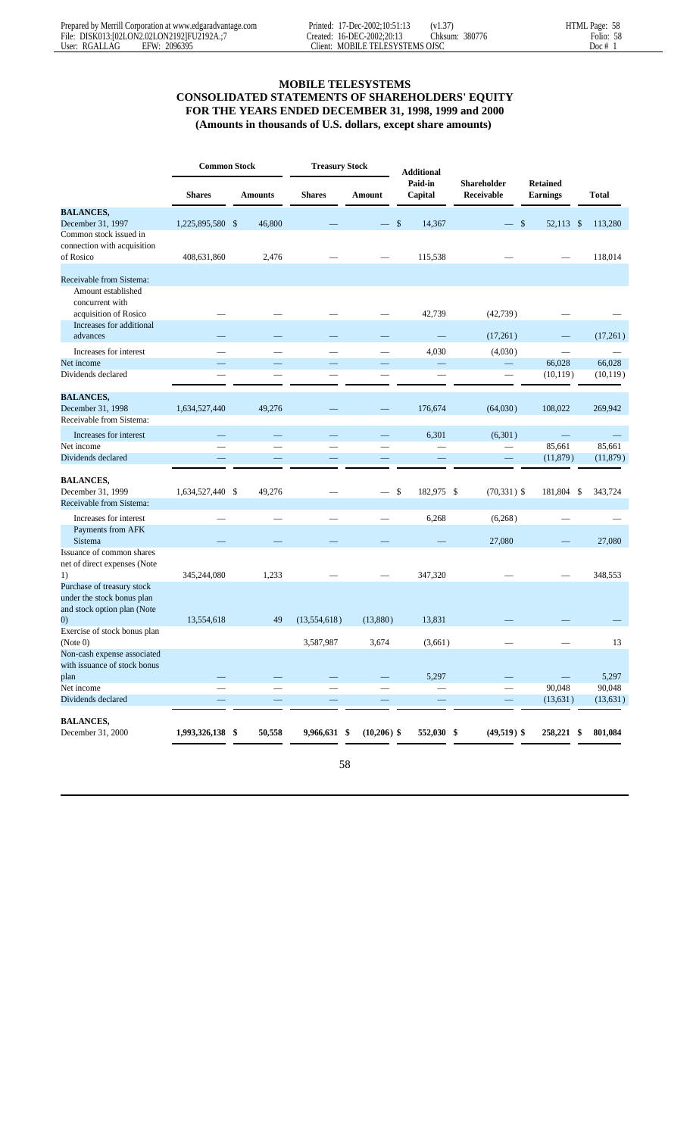# **MOBILE TELESYSTEMS**

# **CONSOLIDATED STATEMENTS OF SHAREHOLDERS' EQUITY FOR THE YEARS ENDED DECEMBER 31, 1998, 1999 and 2000 (Amounts in thousands of U.S. dollars, except share amounts)**

|                                                                    | <b>Common Stock</b> |                |               | <b>Treasury Stock</b> |                    |                           |                                    |              |
|--------------------------------------------------------------------|---------------------|----------------|---------------|-----------------------|--------------------|---------------------------|------------------------------------|--------------|
|                                                                    | <b>Shares</b>       | <b>Amounts</b> | <b>Shares</b> | Amount                | Paid-in<br>Capital | Shareholder<br>Receivable | <b>Retained</b><br><b>Earnings</b> | <b>Total</b> |
| <b>BALANCES,</b>                                                   |                     |                |               |                       |                    |                           |                                    |              |
| December 31, 1997                                                  | 1,225,895,580 \$    | 46,800         |               |                       | \$<br>14,367       | $\overline{\phantom{0}}$  | $\mathcal{S}$<br>52,113 \$         | 113,280      |
| Common stock issued in<br>connection with acquisition<br>of Rosico | 408,631,860         | 2,476          |               |                       | 115,538            |                           |                                    | 118,014      |
| Receivable from Sistema:                                           |                     |                |               |                       |                    |                           |                                    |              |
| Amount established                                                 |                     |                |               |                       |                    |                           |                                    |              |
| concurrent with                                                    |                     |                |               |                       |                    |                           |                                    |              |
| acquisition of Rosico                                              |                     |                |               |                       | 42,739             | (42, 739)                 |                                    |              |
| Increases for additional                                           |                     |                |               |                       |                    |                           |                                    |              |
| advances                                                           |                     |                |               |                       |                    | (17,261)                  |                                    | (17,261)     |
| Increases for interest                                             |                     |                |               |                       | 4,030              | (4,030)                   |                                    |              |
| Net income                                                         |                     |                |               |                       | $\equiv$           |                           | 66,028                             | 66,028       |
| Dividends declared                                                 |                     |                |               |                       |                    |                           | (10, 119)                          | (10, 119)    |
|                                                                    |                     |                |               |                       |                    |                           |                                    |              |
| <b>BALANCES,</b>                                                   |                     |                |               |                       |                    |                           |                                    |              |
| December 31, 1998                                                  | 1,634,527,440       | 49,276         |               |                       | 176,674            | (64,030)                  | 108,022                            | 269,942      |
| Receivable from Sistema:                                           |                     |                |               |                       |                    |                           |                                    |              |
| Increases for interest                                             |                     |                |               |                       | 6,301              | (6,301)                   |                                    |              |
| Net income                                                         | $\sim$              |                |               |                       |                    |                           | 85,661                             | 85,661       |
| Dividends declared                                                 |                     |                |               |                       |                    | $\equiv$                  | (11,879)                           | (11, 879)    |
|                                                                    |                     |                |               |                       |                    |                           |                                    |              |
| <b>BALANCES,</b>                                                   |                     |                |               |                       |                    |                           |                                    |              |
| December 31, 1999                                                  | 1,634,527,440 \$    | 49,276         |               |                       | \$<br>182,975 \$   | $(70, 331)$ \$            | 181,804 \$                         | 343,724      |
| Receivable from Sistema:                                           |                     |                |               |                       |                    |                           |                                    |              |
| Increases for interest                                             |                     |                |               |                       | 6,268              | (6,268)                   |                                    |              |
| Payments from AFK                                                  |                     |                |               |                       |                    |                           |                                    |              |
| Sistema                                                            |                     |                |               |                       |                    | 27,080                    |                                    | 27,080       |
| Issuance of common shares                                          |                     |                |               |                       |                    |                           |                                    |              |
| net of direct expenses (Note                                       |                     |                |               |                       |                    |                           |                                    |              |
| 1)                                                                 | 345,244,080         | 1,233          |               |                       | 347,320            |                           |                                    | 348,553      |
| Purchase of treasury stock<br>under the stock bonus plan           |                     |                |               |                       |                    |                           |                                    |              |
| and stock option plan (Note                                        |                     |                |               |                       |                    |                           |                                    |              |
| $\left( 0\right)$                                                  | 13,554,618          | 49             | (13,554,618)  | (13,880)              | 13,831             |                           |                                    |              |
| Exercise of stock bonus plan<br>(Note 0)                           |                     |                | 3,587,987     | 3,674                 | (3,661)            |                           |                                    | 13           |
| Non-cash expense associated                                        |                     |                |               |                       |                    |                           |                                    |              |
| with issuance of stock bonus                                       |                     |                |               |                       |                    |                           |                                    |              |
| plan                                                               |                     |                |               |                       | 5,297              |                           | $\overline{\phantom{0}}$           | 5,297        |
| Net income                                                         |                     |                |               |                       |                    |                           | 90,048                             | 90,048       |
| Dividends declared                                                 |                     |                |               |                       |                    |                           | (13, 631)                          | (13, 631)    |
|                                                                    |                     |                |               |                       |                    |                           |                                    |              |
| <b>BALANCES,</b>                                                   |                     |                |               |                       |                    |                           |                                    |              |
| December 31, 2000                                                  | 1,993,326,138 \$    | 50,558         | 9,966,631 \$  | $(10,206)$ \$         | 552,030 \$         | $(49,519)$ \$             | 258,221 \$                         | 801,084      |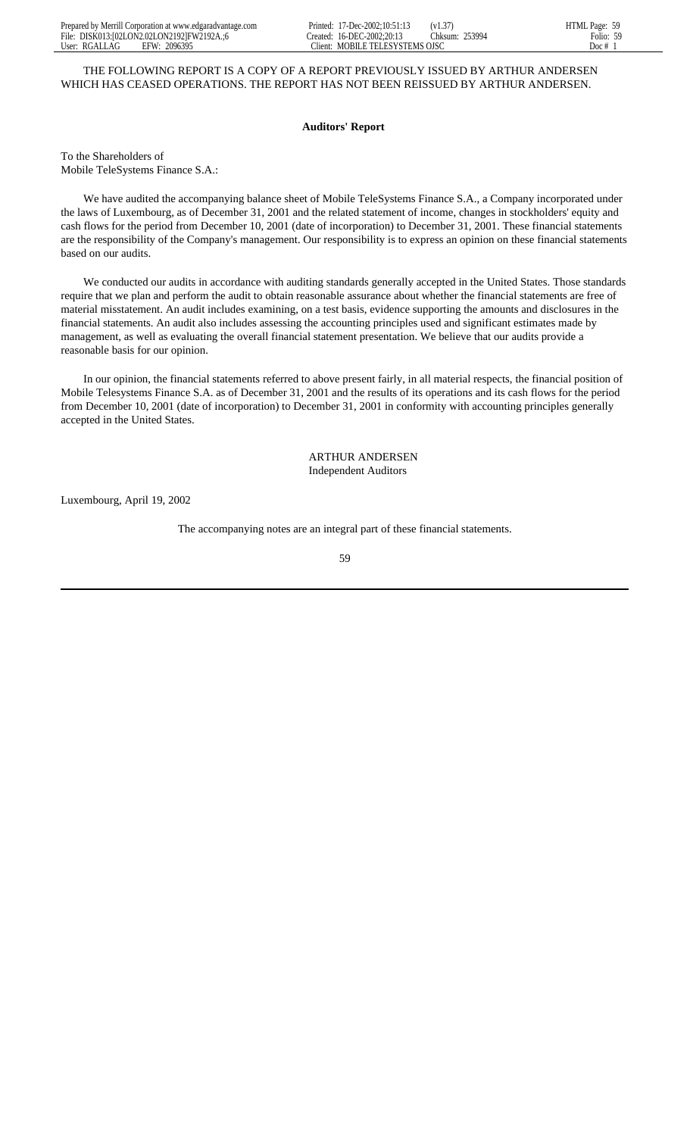## THE FOLLOWING REPORT IS A COPY OF A REPORT PREVIOUSLY ISSUED BY ARTHUR ANDERSEN WHICH HAS CEASED OPERATIONS. THE REPORT HAS NOT BEEN REISSUED BY ARTHUR ANDERSEN.

### **Auditors' Report**

To the Shareholders of Mobile TeleSystems Finance S.A.:

 We have audited the accompanying balance sheet of Mobile TeleSystems Finance S.A., a Company incorporated under the laws of Luxembourg, as of December 31, 2001 and the related statement of income, changes in stockholders' equity and cash flows for the period from December 10, 2001 (date of incorporation) to December 31, 2001. These financial statements are the responsibility of the Company's management. Our responsibility is to express an opinion on these financial statements based on our audits.

 We conducted our audits in accordance with auditing standards generally accepted in the United States. Those standards require that we plan and perform the audit to obtain reasonable assurance about whether the financial statements are free of material misstatement. An audit includes examining, on a test basis, evidence supporting the amounts and disclosures in the financial statements. An audit also includes assessing the accounting principles used and significant estimates made by management, as well as evaluating the overall financial statement presentation. We believe that our audits provide a reasonable basis for our opinion.

 In our opinion, the financial statements referred to above present fairly, in all material respects, the financial position of Mobile Telesystems Finance S.A. as of December 31, 2001 and the results of its operations and its cash flows for the period from December 10, 2001 (date of incorporation) to December 31, 2001 in conformity with accounting principles generally accepted in the United States.

> ARTHUR ANDERSEN Independent Auditors

Luxembourg, April 19, 2002

The accompanying notes are an integral part of these financial statements.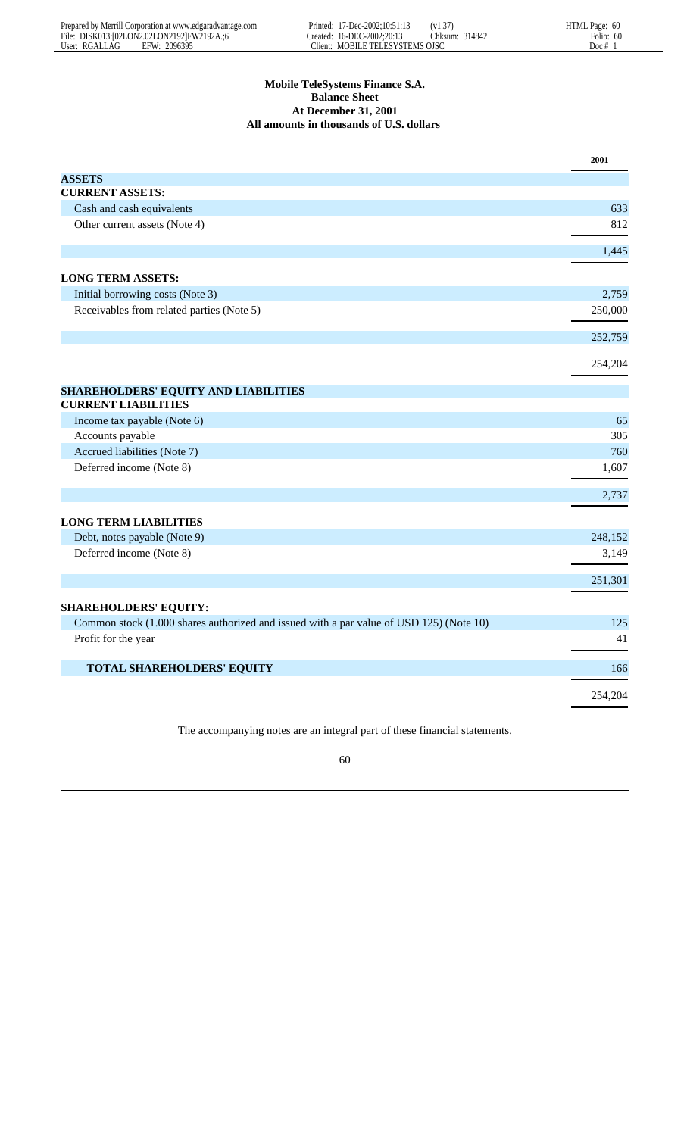# **Mobile TeleSystems Finance S.A. Balance Sheet At December 31, 2001 All amounts in thousands of U.S. dollars**

|                                                                                         | 2001    |
|-----------------------------------------------------------------------------------------|---------|
| <b>ASSETS</b>                                                                           |         |
| <b>CURRENT ASSETS:</b>                                                                  |         |
| Cash and cash equivalents                                                               | 633     |
| Other current assets (Note 4)                                                           | 812     |
|                                                                                         | 1,445   |
| <b>LONG TERM ASSETS:</b>                                                                |         |
| Initial borrowing costs (Note 3)                                                        | 2,759   |
| Receivables from related parties (Note 5)                                               | 250,000 |
|                                                                                         | 252,759 |
|                                                                                         | 254,204 |
| SHAREHOLDERS' EQUITY AND LIABILITIES                                                    |         |
| <b>CURRENT LIABILITIES</b>                                                              |         |
| Income tax payable (Note 6)                                                             | 65      |
| Accounts payable                                                                        | 305     |
| Accrued liabilities (Note 7)                                                            | 760     |
| Deferred income (Note 8)                                                                | 1,607   |
|                                                                                         | 2,737   |
| <b>LONG TERM LIABILITIES</b>                                                            |         |
| Debt, notes payable (Note 9)                                                            | 248,152 |
| Deferred income (Note 8)                                                                | 3,149   |
|                                                                                         | 251,301 |
| <b>SHAREHOLDERS' EQUITY:</b>                                                            |         |
| Common stock (1.000 shares authorized and issued with a par value of USD 125) (Note 10) | 125     |
| Profit for the year                                                                     | 41      |
| TOTAL SHAREHOLDERS' EQUITY                                                              | 166     |
|                                                                                         | 254,204 |
|                                                                                         |         |

The accompanying notes are an integral part of these financial statements.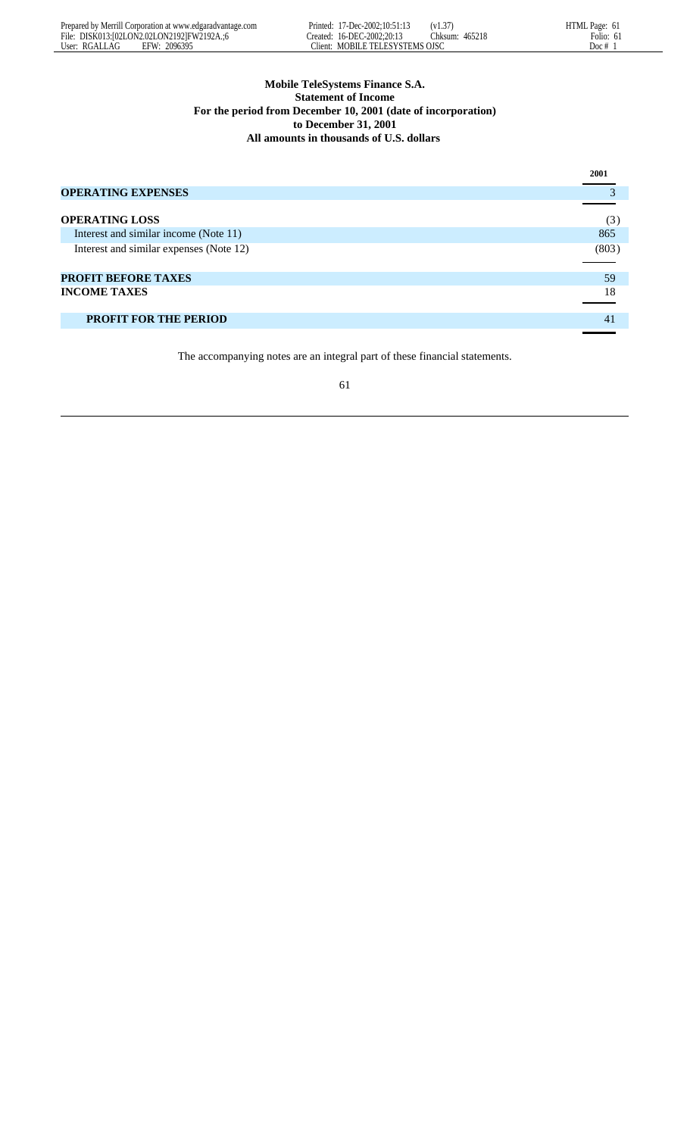# **Mobile TeleSystems Finance S.A. Statement of Income For the period from December 10, 2001 (date of incorporation) to December 31, 2001 All amounts in thousands of U.S. dollars**

|                                         | 2001  |
|-----------------------------------------|-------|
| <b>OPERATING EXPENSES</b>               |       |
|                                         |       |
| <b>OPERATING LOSS</b>                   | (3)   |
| Interest and similar income (Note 11)   | 865   |
| Interest and similar expenses (Note 12) | (803) |
|                                         |       |
| <b>PROFIT BEFORE TAXES</b>              | 59    |
| <b>INCOME TAXES</b>                     | 18    |
|                                         |       |
| <b>PROFIT FOR THE PERIOD</b>            | 41    |
|                                         |       |

The accompanying notes are an integral part of these financial statements.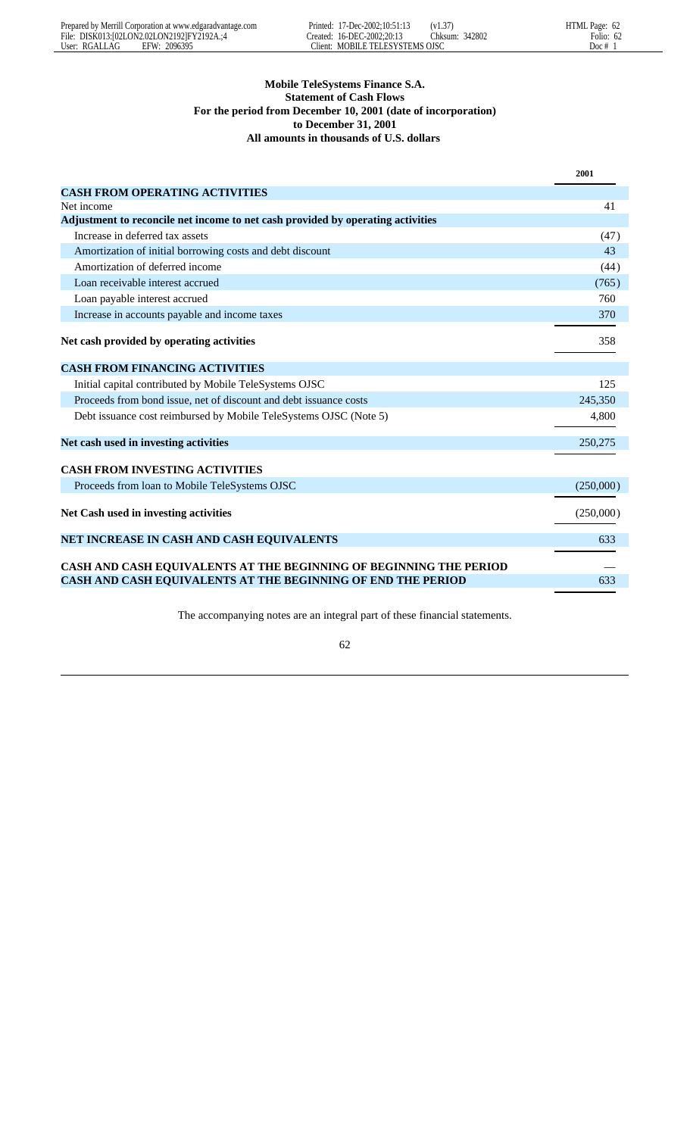|               | Prepared by Merrill Corporation at www.edgaradvantage.com |        | Printed: 17-Dec-2002:10:51:13 | (V1.3)            | HTML Page: 62 |
|---------------|-----------------------------------------------------------|--------|-------------------------------|-------------------|---------------|
|               | File: DISK013:102LON2.02LON21921FY2192A.:4                |        | Treated: 16-DEC-2002:20:13    | 342802<br>.:hksum | Folio:<br>62  |
| User: RGALLAG | FFW·<br>2096395                                           | Tient: | MOBILE TELESYSTEMS OISC       |                   | Doc #         |

|                                                                                 | 2001      |
|---------------------------------------------------------------------------------|-----------|
| <b>CASH FROM OPERATING ACTIVITIES</b>                                           |           |
| Net income                                                                      | 41        |
| Adjustment to reconcile net income to net cash provided by operating activities |           |
| Increase in deferred tax assets                                                 | (47)      |
| Amortization of initial borrowing costs and debt discount                       | 43        |
| Amortization of deferred income                                                 | (44)      |
| Loan receivable interest accrued                                                | (765)     |
| Loan payable interest accrued                                                   | 760       |
| Increase in accounts payable and income taxes                                   | 370       |
| Net cash provided by operating activities                                       | 358       |
| <b>CASH FROM FINANCING ACTIVITIES</b>                                           |           |
| Initial capital contributed by Mobile TeleSystems OJSC                          | 125       |
| Proceeds from bond issue, net of discount and debt issuance costs               | 245,350   |
| Debt issuance cost reimbursed by Mobile TeleSystems OJSC (Note 5)               | 4,800     |
| Net cash used in investing activities                                           | 250,275   |
| <b>CASH FROM INVESTING ACTIVITIES</b>                                           |           |
| Proceeds from loan to Mobile TeleSystems OJSC                                   | (250,000) |
| Net Cash used in investing activities                                           | (250,000) |
| NET INCREASE IN CASH AND CASH EQUIVALENTS                                       | 633       |
| CASH AND CASH EQUIVALENTS AT THE BEGINNING OF BEGINNING THE PERIOD              |           |
| CASH AND CASH EQUIVALENTS AT THE BEGINNING OF END THE PERIOD                    | 633       |

The accompanying notes are an integral part of these financial statements.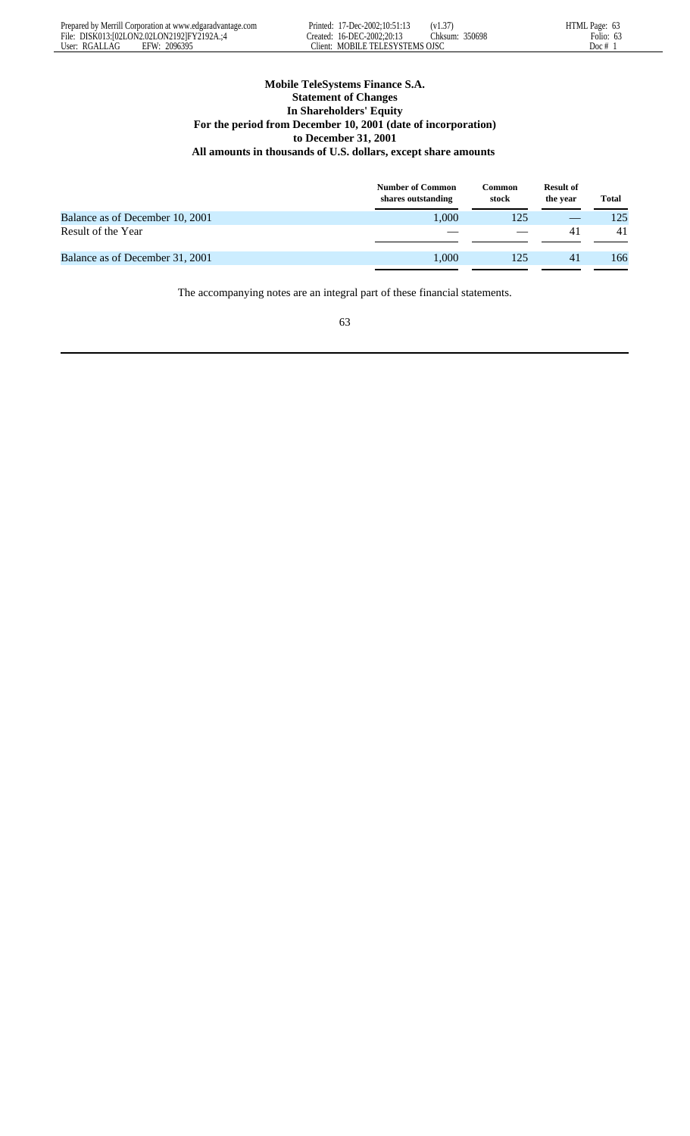|               | Prepared by Merrill Corporation at www.edgaradvantage.com | Printed: | 17-Dec-2002:10:51:13    | (v1.37)          | HTML Page: |
|---------------|-----------------------------------------------------------|----------|-------------------------|------------------|------------|
|               | File: DISK013:102LON2.02LON21921FY2192A.:4                | reated:  | 16-DEC-2002:20:13       | 350698<br>:hksum | Folio:     |
| User: RGALLAG | 2096395<br>EFW:                                           | lient:   | MOBILE TELESYSTEMS OJSC |                  | Doc #      |

# **Mobile TeleSystems Finance S.A. Statement of Changes In Shareholders' Equity For the period from December 10, 2001 (date of incorporation) to December 31, 2001 All amounts in thousands of U.S. dollars, except share amounts**

|                                 | <b>Number of Common</b><br>shares outstanding | Common<br>stock | <b>Result of</b><br>the year | <b>Total</b> |
|---------------------------------|-----------------------------------------------|-----------------|------------------------------|--------------|
| Balance as of December 10, 2001 | 1.000                                         | 125             |                              | 125          |
| Result of the Year              |                                               |                 | 41                           | 41           |
| Balance as of December 31, 2001 | 1.000                                         | 125             | 41                           | 166          |
|                                 |                                               |                 |                              |              |

The accompanying notes are an integral part of these financial statements.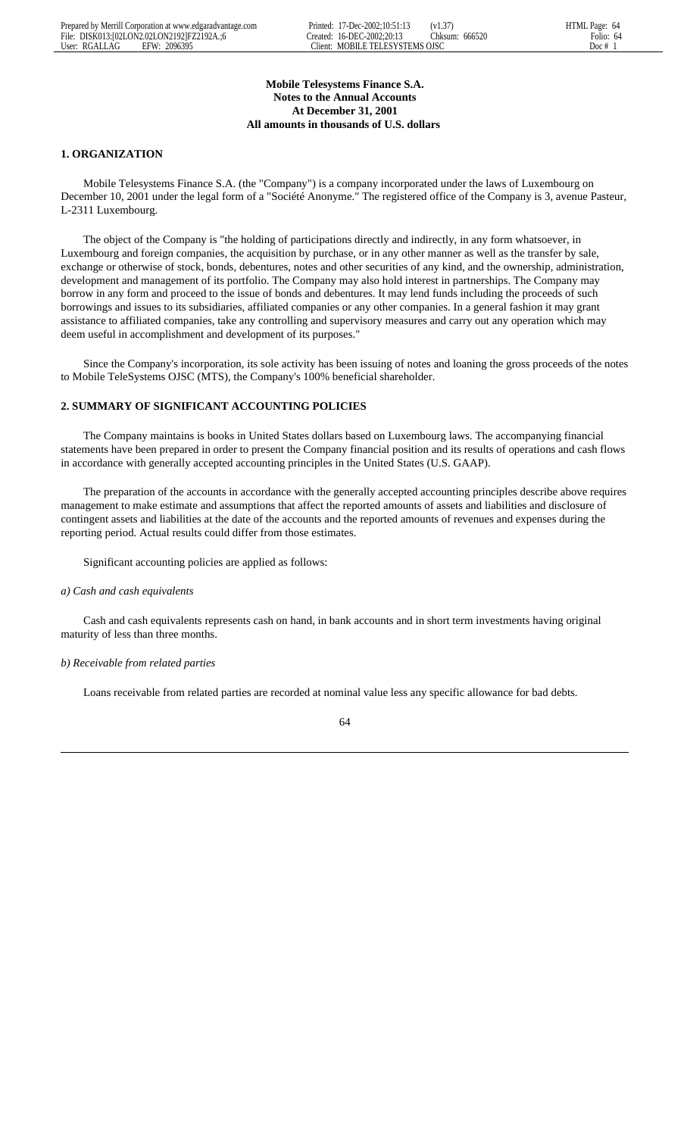# **Mobile Telesystems Finance S.A. Notes to the Annual Accounts At December 31, 2001 All amounts in thousands of U.S. dollars**

# **1. ORGANIZATION**

 Mobile Telesystems Finance S.A. (the "Company") is a company incorporated under the laws of Luxembourg on December 10, 2001 under the legal form of a "Société Anonyme." The registered office of the Company is 3, avenue Pasteur, L-2311 Luxembourg.

 The object of the Company is "the holding of participations directly and indirectly, in any form whatsoever, in Luxembourg and foreign companies, the acquisition by purchase, or in any other manner as well as the transfer by sale, exchange or otherwise of stock, bonds, debentures, notes and other securities of any kind, and the ownership, administration, development and management of its portfolio. The Company may also hold interest in partnerships. The Company may borrow in any form and proceed to the issue of bonds and debentures. It may lend funds including the proceeds of such borrowings and issues to its subsidiaries, affiliated companies or any other companies. In a general fashion it may grant assistance to affiliated companies, take any controlling and supervisory measures and carry out any operation which may deem useful in accomplishment and development of its purposes."

 Since the Company's incorporation, its sole activity has been issuing of notes and loaning the gross proceeds of the notes to Mobile TeleSystems OJSC (MTS), the Company's 100% beneficial shareholder.

# **2. SUMMARY OF SIGNIFICANT ACCOUNTING POLICIES**

 The Company maintains is books in United States dollars based on Luxembourg laws. The accompanying financial statements have been prepared in order to present the Company financial position and its results of operations and cash flows in accordance with generally accepted accounting principles in the United States (U.S. GAAP).

 The preparation of the accounts in accordance with the generally accepted accounting principles describe above requires management to make estimate and assumptions that affect the reported amounts of assets and liabilities and disclosure of contingent assets and liabilities at the date of the accounts and the reported amounts of revenues and expenses during the reporting period. Actual results could differ from those estimates.

Significant accounting policies are applied as follows:

### *a) Cash and cash equivalents*

 Cash and cash equivalents represents cash on hand, in bank accounts and in short term investments having original maturity of less than three months.

### *b) Receivable from related parties*

Loans receivable from related parties are recorded at nominal value less any specific allowance for bad debts.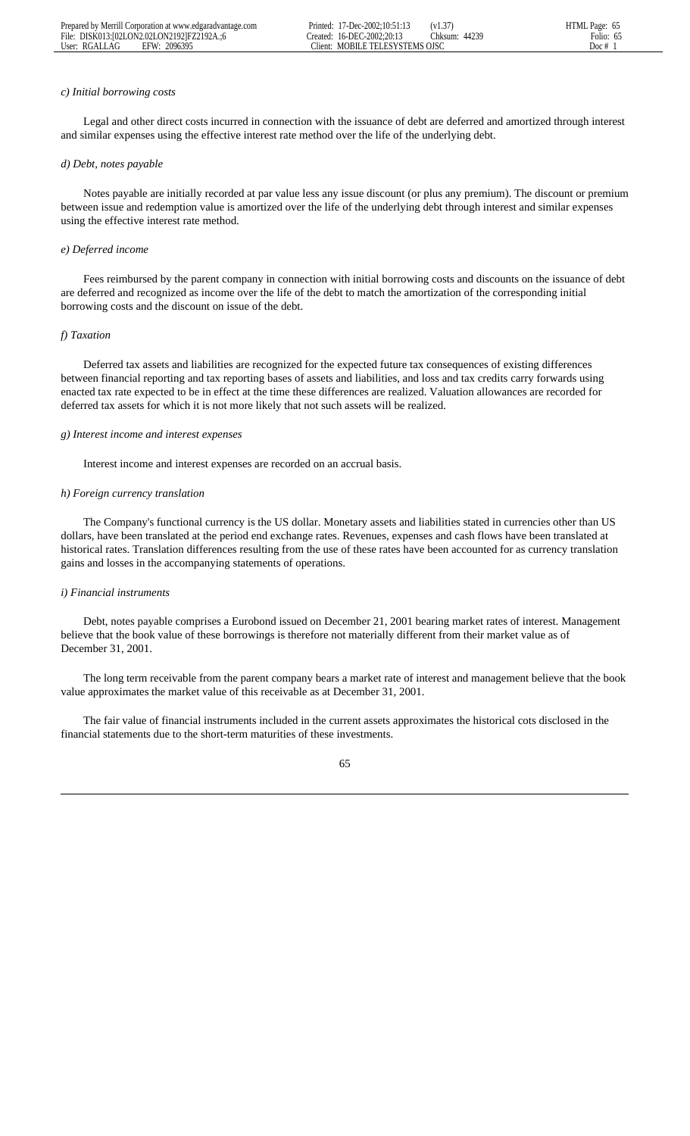### *c) Initial borrowing costs*

 Legal and other direct costs incurred in connection with the issuance of debt are deferred and amortized through interest and similar expenses using the effective interest rate method over the life of the underlying debt.

#### *d) Debt, notes payable*

 Notes payable are initially recorded at par value less any issue discount (or plus any premium). The discount or premium between issue and redemption value is amortized over the life of the underlying debt through interest and similar expenses using the effective interest rate method.

### *e) Deferred income*

 Fees reimbursed by the parent company in connection with initial borrowing costs and discounts on the issuance of debt are deferred and recognized as income over the life of the debt to match the amortization of the corresponding initial borrowing costs and the discount on issue of the debt.

#### *f) Taxation*

 Deferred tax assets and liabilities are recognized for the expected future tax consequences of existing differences between financial reporting and tax reporting bases of assets and liabilities, and loss and tax credits carry forwards using enacted tax rate expected to be in effect at the time these differences are realized. Valuation allowances are recorded for deferred tax assets for which it is not more likely that not such assets will be realized.

### *g) Interest income and interest expenses*

Interest income and interest expenses are recorded on an accrual basis.

#### *h) Foreign currency translation*

 The Company's functional currency is the US dollar. Monetary assets and liabilities stated in currencies other than US dollars, have been translated at the period end exchange rates. Revenues, expenses and cash flows have been translated at historical rates. Translation differences resulting from the use of these rates have been accounted for as currency translation gains and losses in the accompanying statements of operations.

#### *i) Financial instruments*

 Debt, notes payable comprises a Eurobond issued on December 21, 2001 bearing market rates of interest. Management believe that the book value of these borrowings is therefore not materially different from their market value as of December 31, 2001.

 The long term receivable from the parent company bears a market rate of interest and management believe that the book value approximates the market value of this receivable as at December 31, 2001.

 The fair value of financial instruments included in the current assets approximates the historical cots disclosed in the financial statements due to the short-term maturities of these investments.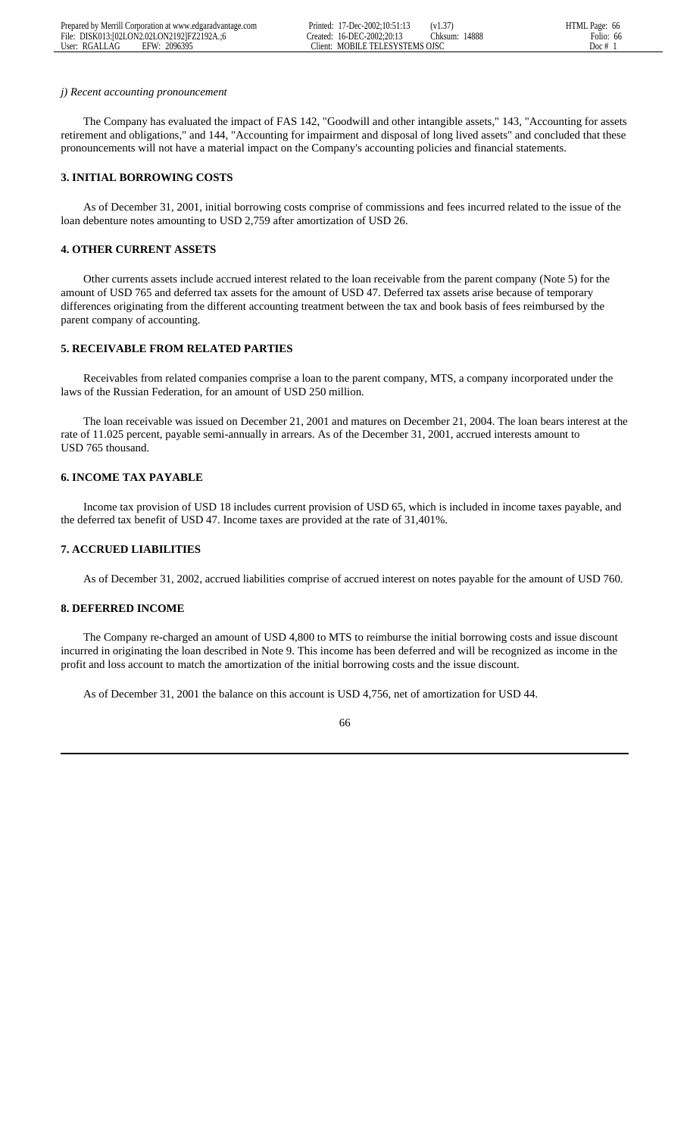|               | Prepared by Merrill Corporation at www.edgaradvantage.com |         | Printed: 17-Dec-2002:10:51:13 | (V1.3)  |       | HTML Page: 66 |
|---------------|-----------------------------------------------------------|---------|-------------------------------|---------|-------|---------------|
|               | File: DISK013:102LON2.02LON21921FZ2192A.:6                |         | Preated: 16-DEC-2002:20:13    | Thksum: | 14888 | Folio:<br>66  |
| User: RGALLAG | 2096395<br>EFW:                                           | :Iient: | MOBILE TELESYSTEMS OISC       |         |       | Doc #         |

#### *j) Recent accounting pronouncement*

 The Company has evaluated the impact of FAS 142, "Goodwill and other intangible assets," 143, "Accounting for assets retirement and obligations," and 144, "Accounting for impairment and disposal of long lived assets" and concluded that these pronouncements will not have a material impact on the Company's accounting policies and financial statements.

# **3. INITIAL BORROWING COSTS**

 As of December 31, 2001, initial borrowing costs comprise of commissions and fees incurred related to the issue of the loan debenture notes amounting to USD 2,759 after amortization of USD 26.

# **4. OTHER CURRENT ASSETS**

 Other currents assets include accrued interest related to the loan receivable from the parent company (Note 5) for the amount of USD 765 and deferred tax assets for the amount of USD 47. Deferred tax assets arise because of temporary differences originating from the different accounting treatment between the tax and book basis of fees reimbursed by the parent company of accounting.

# **5. RECEIVABLE FROM RELATED PARTIES**

 Receivables from related companies comprise a loan to the parent company, MTS, a company incorporated under the laws of the Russian Federation, for an amount of USD 250 million.

 The loan receivable was issued on December 21, 2001 and matures on December 21, 2004. The loan bears interest at the rate of 11.025 percent, payable semi-annually in arrears. As of the December 31, 2001, accrued interests amount to USD 765 thousand.

# **6. INCOME TAX PAYABLE**

 Income tax provision of USD 18 includes current provision of USD 65, which is included in income taxes payable, and the deferred tax benefit of USD 47. Income taxes are provided at the rate of 31,401%.

### **7. ACCRUED LIABILITIES**

As of December 31, 2002, accrued liabilities comprise of accrued interest on notes payable for the amount of USD 760.

## **8. DEFERRED INCOME**

 The Company re-charged an amount of USD 4,800 to MTS to reimburse the initial borrowing costs and issue discount incurred in originating the loan described in Note 9. This income has been deferred and will be recognized as income in the profit and loss account to match the amortization of the initial borrowing costs and the issue discount.

As of December 31, 2001 the balance on this account is USD 4,756, net of amortization for USD 44.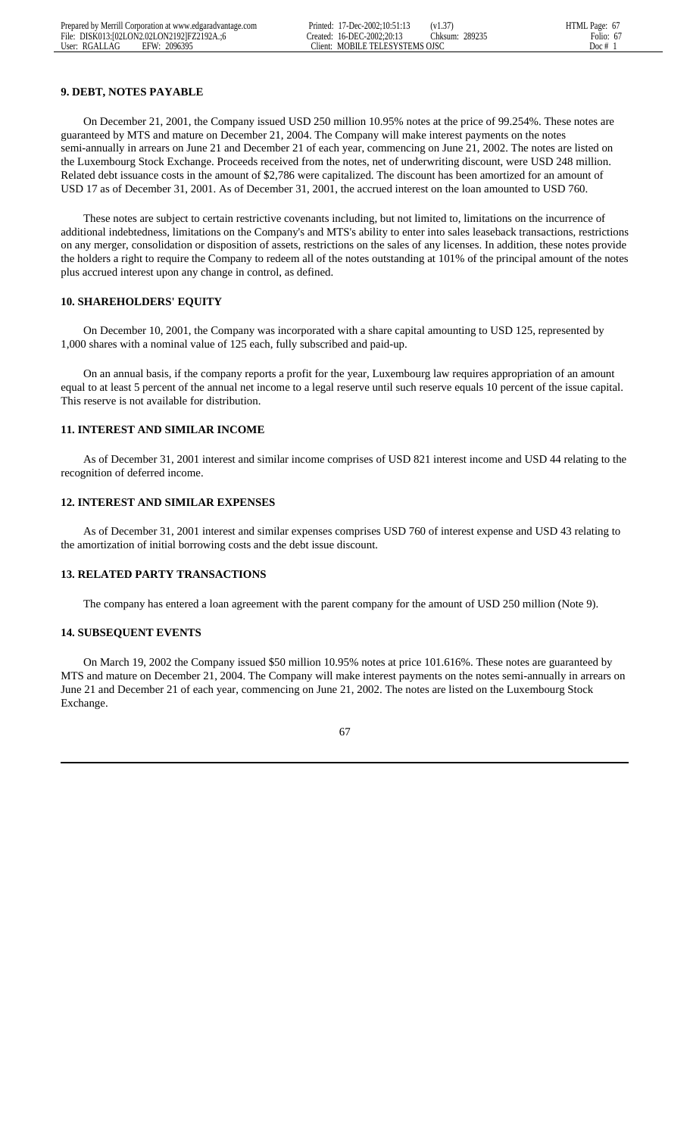# **9. DEBT, NOTES PAYABLE**

 On December 21, 2001, the Company issued USD 250 million 10.95% notes at the price of 99.254%. These notes are guaranteed by MTS and mature on December 21, 2004. The Company will make interest payments on the notes semi-annually in arrears on June 21 and December 21 of each year, commencing on June 21, 2002. The notes are listed on the Luxembourg Stock Exchange. Proceeds received from the notes, net of underwriting discount, were USD 248 million. Related debt issuance costs in the amount of \$2,786 were capitalized. The discount has been amortized for an amount of USD 17 as of December 31, 2001. As of December 31, 2001, the accrued interest on the loan amounted to USD 760.

 These notes are subject to certain restrictive covenants including, but not limited to, limitations on the incurrence of additional indebtedness, limitations on the Company's and MTS's ability to enter into sales leaseback transactions, restrictions on any merger, consolidation or disposition of assets, restrictions on the sales of any licenses. In addition, these notes provide the holders a right to require the Company to redeem all of the notes outstanding at 101% of the principal amount of the notes plus accrued interest upon any change in control, as defined.

## **10. SHAREHOLDERS' EQUITY**

 On December 10, 2001, the Company was incorporated with a share capital amounting to USD 125, represented by 1,000 shares with a nominal value of 125 each, fully subscribed and paid-up.

 On an annual basis, if the company reports a profit for the year, Luxembourg law requires appropriation of an amount equal to at least 5 percent of the annual net income to a legal reserve until such reserve equals 10 percent of the issue capital. This reserve is not available for distribution.

## **11. INTEREST AND SIMILAR INCOME**

 As of December 31, 2001 interest and similar income comprises of USD 821 interest income and USD 44 relating to the recognition of deferred income.

#### **12. INTEREST AND SIMILAR EXPENSES**

 As of December 31, 2001 interest and similar expenses comprises USD 760 of interest expense and USD 43 relating to the amortization of initial borrowing costs and the debt issue discount.

## **13. RELATED PARTY TRANSACTIONS**

The company has entered a loan agreement with the parent company for the amount of USD 250 million (Note 9).

### **14. SUBSEQUENT EVENTS**

 On March 19, 2002 the Company issued \$50 million 10.95% notes at price 101.616%. These notes are guaranteed by MTS and mature on December 21, 2004. The Company will make interest payments on the notes semi-annually in arrears on June 21 and December 21 of each year, commencing on June 21, 2002. The notes are listed on the Luxembourg Stock Exchange.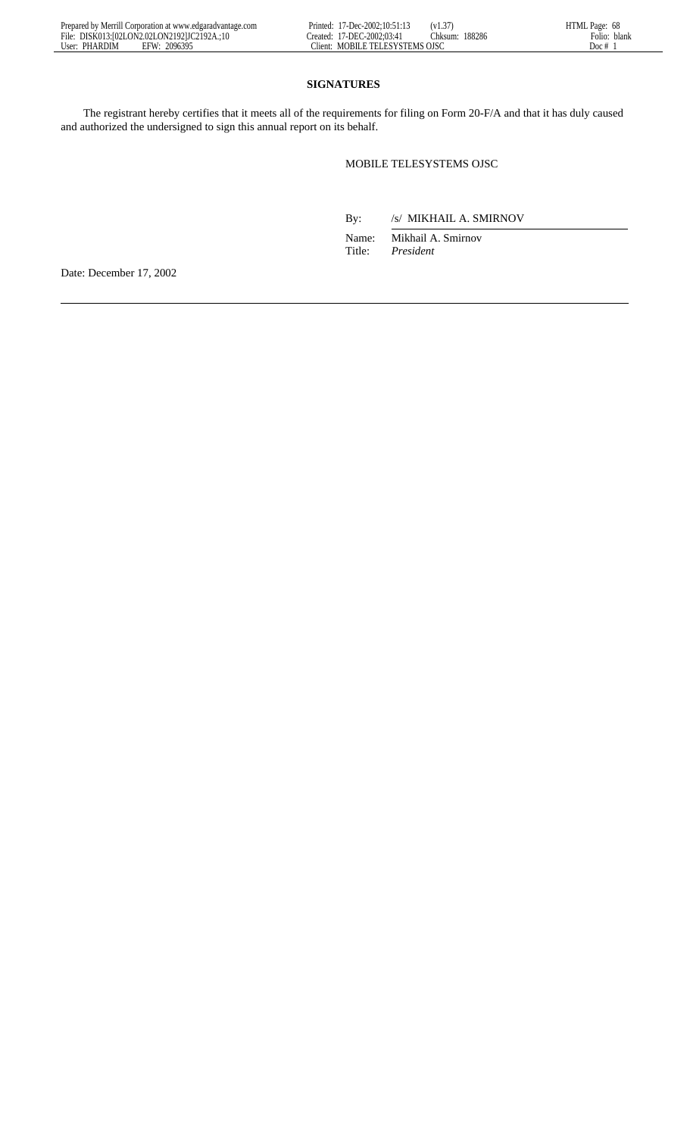## **SIGNATURES**

 The registrant hereby certifies that it meets all of the requirements for filing on Form 20-F/A and that it has duly caused and authorized the undersigned to sign this annual report on its behalf.

## MOBILE TELESYSTEMS OJSC

By: /s/ MIKHAIL A. SMIRNOV

 Name: Mikhail A. Smirnov Title: *President*

Date: December 17, 2002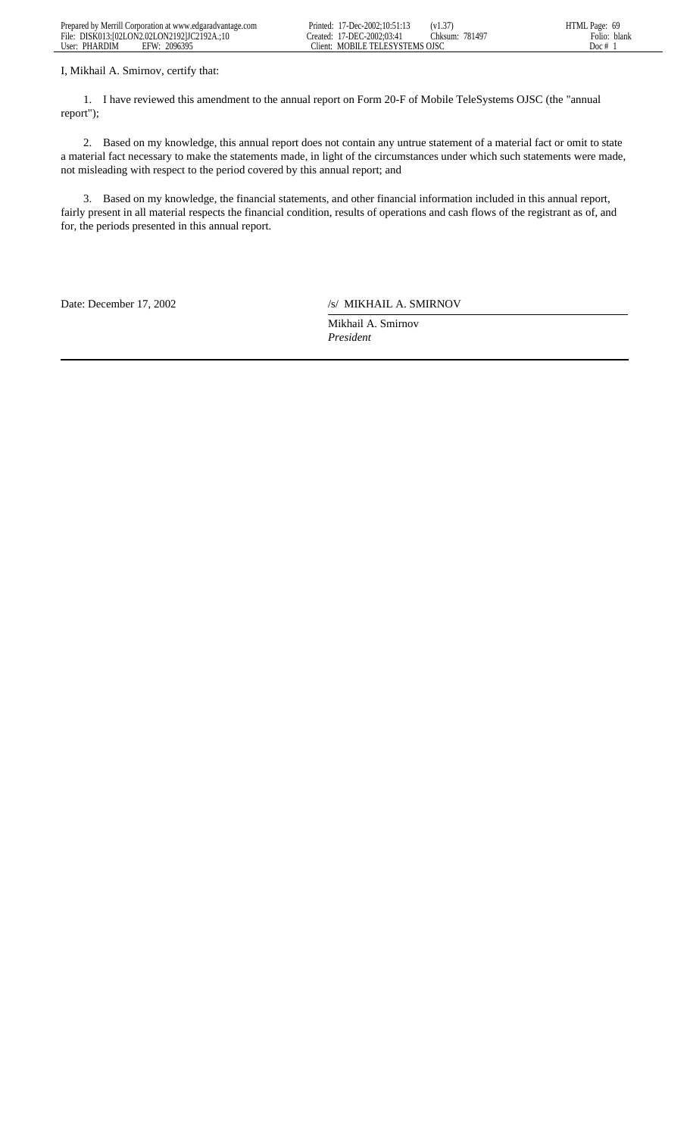| Prepared by Merrill Corporation at www.edgaradvantage.com      | $17 - Dec-2002:10:51:1.$<br>Printed:  | $\sim$<br>11.JI  | -----<br>Page:<br>.ML<br>n9 |
|----------------------------------------------------------------|---------------------------------------|------------------|-----------------------------|
| File:<br>DISK013:102LON2.02LON2.1921JC2<br>9192A<br>$\cdot$ 10 | C-2002:03:41<br>1-DEC<br>'reated'     | 781497<br>:hksum | blank<br>-olio              |
| User:<br>2096395<br>PHARDIM<br>EFW                             | ETELESYSTEMS OISO<br>MORILE.<br>lient |                  | Doc                         |

I, Mikhail A. Smirnov, certify that:

 1. I have reviewed this amendment to the annual report on Form 20-F of Mobile TeleSystems OJSC (the "annual report");

 2. Based on my knowledge, this annual report does not contain any untrue statement of a material fact or omit to state a material fact necessary to make the statements made, in light of the circumstances under which such statements were made, not misleading with respect to the period covered by this annual report; and

 3. Based on my knowledge, the financial statements, and other financial information included in this annual report, fairly present in all material respects the financial condition, results of operations and cash flows of the registrant as of, and for, the periods presented in this annual report.

Date: December 17, 2002 /s/ MIKHAIL A. SMIRNOV

Mikhail A. Smirnov *President*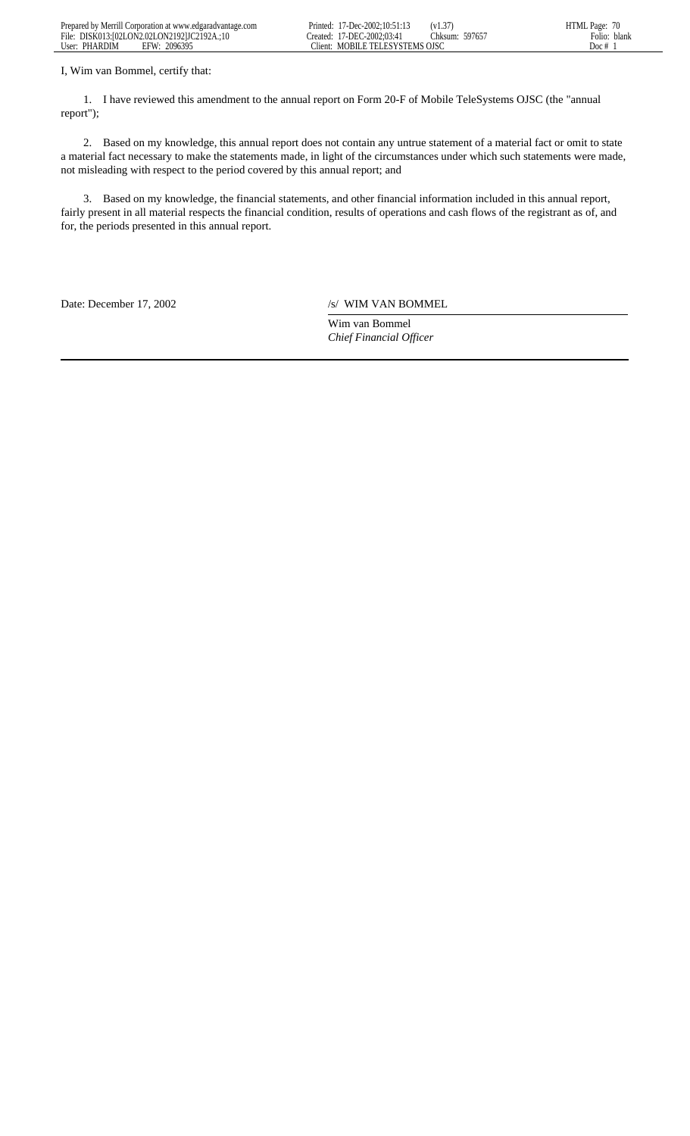| Prepared by<br>. Merrill Corporation at www.edgaradvantage.com . | . .<br>.7-Dec-2002:10:51:13<br>Printed:            | .<br>، ب         | $Page: \ldots$ |
|------------------------------------------------------------------|----------------------------------------------------|------------------|----------------|
| File:<br>DISK013:102LON2.02LON2.1921JC2192A                      | ~-2002∙03∙4<br>∴DEC ⊹<br>reated:                   | 59765,<br>:hksum | blank<br>-olio |
| 2096395<br>User:<br>EFW<br><b>PHARDIM</b>                        | $\sim$<br>: TEI ESYSTEMS OISO<br>MORILE.<br>lient: |                  | Doc.           |

I, Wim van Bommel, certify that:

 1. I have reviewed this amendment to the annual report on Form 20-F of Mobile TeleSystems OJSC (the "annual report");

 2. Based on my knowledge, this annual report does not contain any untrue statement of a material fact or omit to state a material fact necessary to make the statements made, in light of the circumstances under which such statements were made, not misleading with respect to the period covered by this annual report; and

 3. Based on my knowledge, the financial statements, and other financial information included in this annual report, fairly present in all material respects the financial condition, results of operations and cash flows of the registrant as of, and for, the periods presented in this annual report.

Date: December 17, 2002 /s/ WIM VAN BOMMEL

Wim van Bommel *Chief Financial Officer*